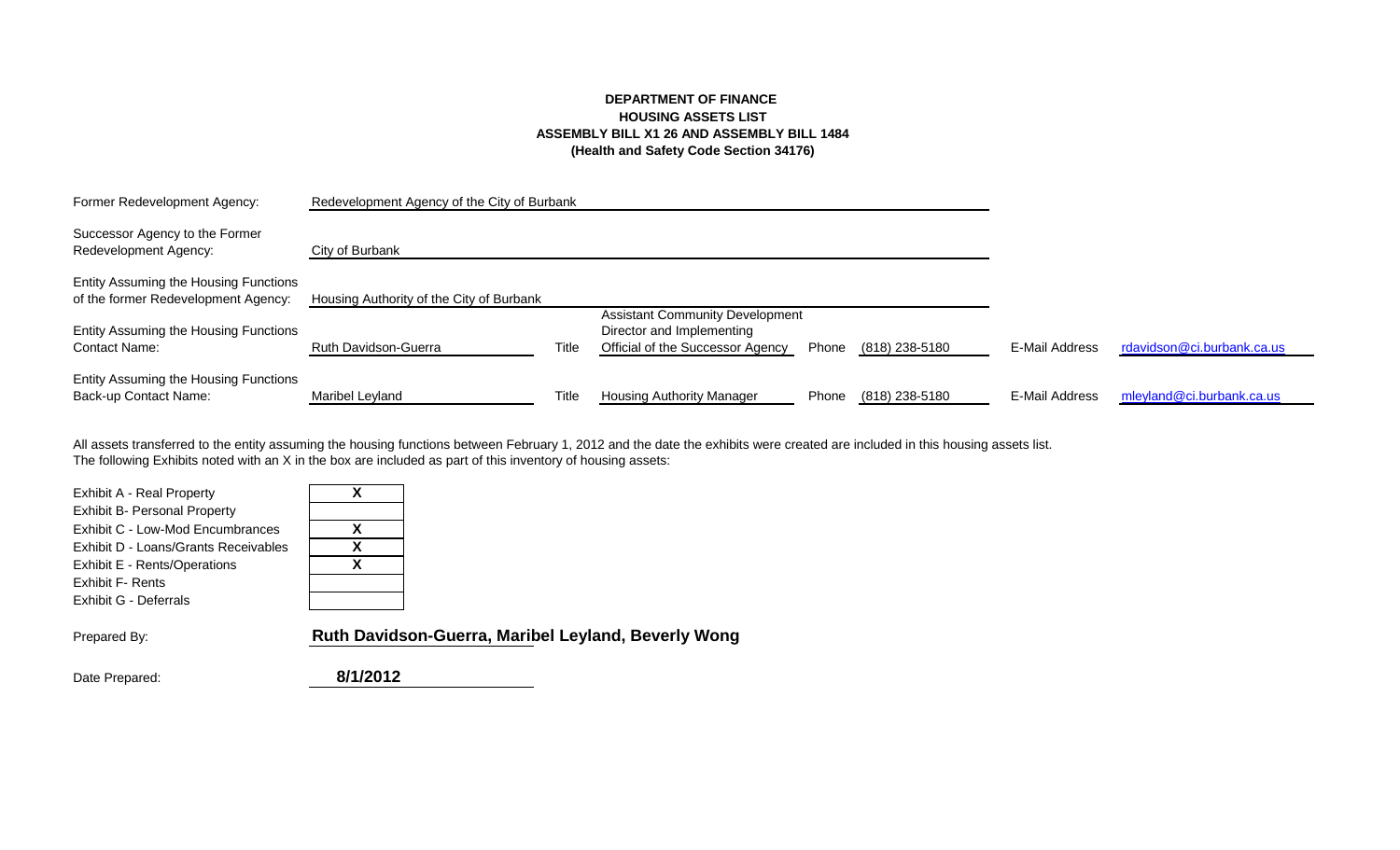# **DEPARTMENT OF FINANCE HOUSING ASSETS LIST ASSEMBLY BILL X1 26 AND ASSEMBLY BILL 1484 (Health and Safety Code Section 34176)**

| Former Redevelopment Agency:                                                 | Redevelopment Agency of the City of Burbank |       |                                                               |       |                |                |                            |
|------------------------------------------------------------------------------|---------------------------------------------|-------|---------------------------------------------------------------|-------|----------------|----------------|----------------------------|
| Successor Agency to the Former<br>Redevelopment Agency:                      | City of Burbank                             |       |                                                               |       |                |                |                            |
| Entity Assuming the Housing Functions<br>of the former Redevelopment Agency: | Housing Authority of the City of Burbank    |       | <b>Assistant Community Development</b>                        |       |                |                |                            |
| Entity Assuming the Housing Functions<br>Contact Name:                       | <b>Ruth Davidson-Guerra</b>                 | Title | Director and Implementing<br>Official of the Successor Agency | Phone | (818) 238-5180 | E-Mail Address | rdavidson@ci.burbank.ca.us |
| Entity Assuming the Housing Functions<br>Back-up Contact Name:               | Maribel Leyland                             | Title | <b>Housing Authority Manager</b>                              | Phone | (818) 238-5180 | E-Mail Address | mleyland@ci.burbank.ca.us  |

The following Exhibits noted with an X in the box are included as part of this inventory of housing assets: All assets transferred to the entity assuming the housing functions between February 1, 2012 and the date the exhibits were created are included in this housing assets list.

| x |
|---|
| x |
| Y |
|   |
|   |
|   |

| X |
|---|
| X |
| X |
|   |
|   |

Prepared By: **Ruth Davidson-Guerra, Maribel Leyland, Beverly Wong**

Date Prepared: **8/1/2012**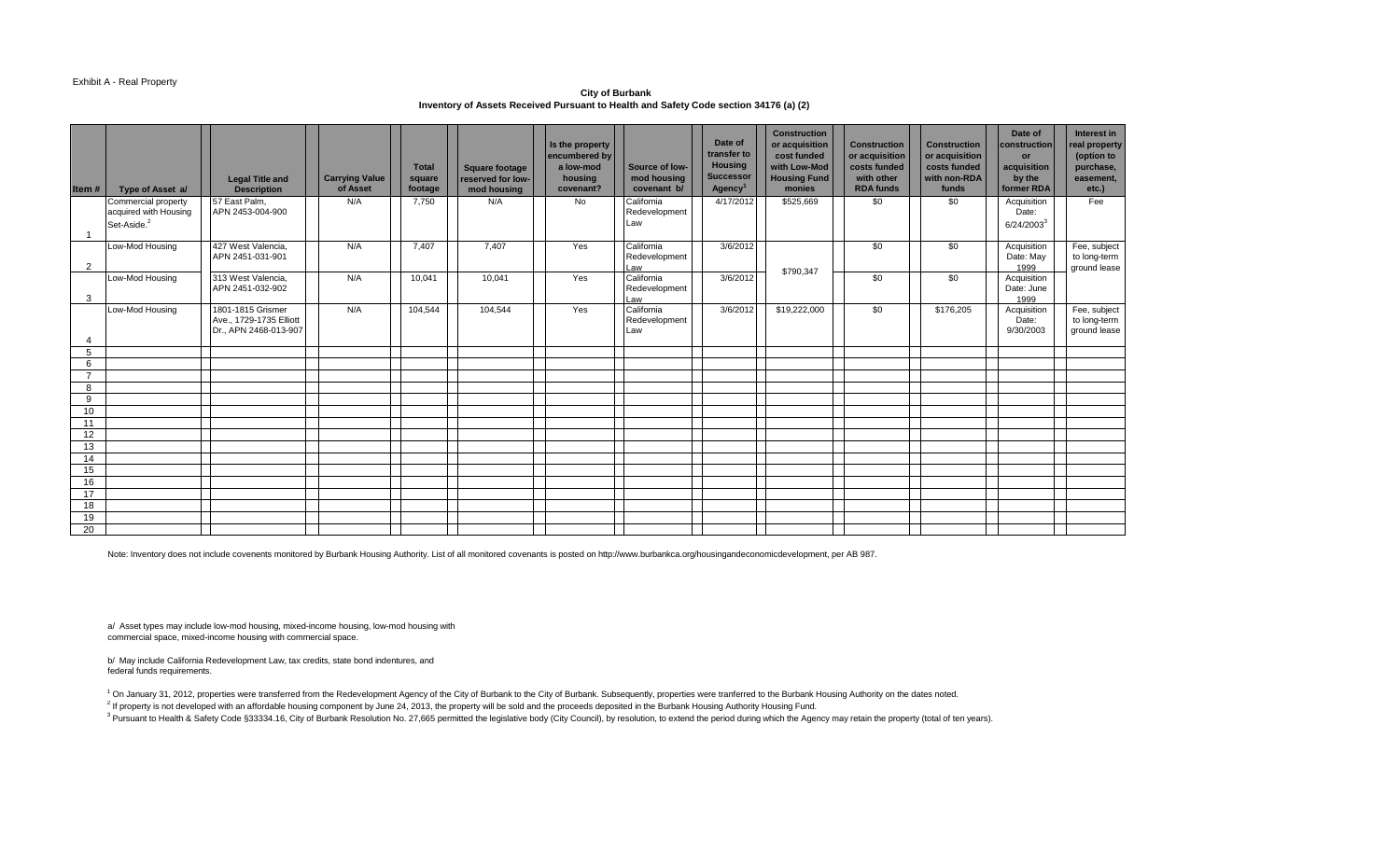#### Exhibit A - Real Property

**City of Burbank Inventory of Assets Received Pursuant to Health and Safety Code section 34176 (a) (2)** 

|                |                                         | <b>Legal Title and</b>                           | <b>Carrying Value</b><br>of Asset | <b>Total</b><br>square<br>footage | <b>Square footage</b><br>reserved for low- | Is the property<br>encumbered by<br>a low-mod<br>housing<br>covenant? | Source of low-<br>mod housing<br>covenant b/ | Date of<br>transfer to<br><b>Housing</b><br><b>Successor</b><br>Agency <sup>1</sup> | <b>Construction</b><br>or acquisition<br>cost funded<br>with Low-Mod<br><b>Housing Fund</b><br>monies | <b>Construction</b><br>or acquisition<br>costs funded<br>with other<br><b>RDA funds</b> | <b>Construction</b><br>or acquisition<br>costs funded<br>with non-RDA<br>funds | Date of<br>construction<br><b>or</b><br>acquisition<br>by the<br>former RDA | Interest in<br>real property<br>(option to<br>purchase,<br>easement,<br>$etc.$ ) |
|----------------|-----------------------------------------|--------------------------------------------------|-----------------------------------|-----------------------------------|--------------------------------------------|-----------------------------------------------------------------------|----------------------------------------------|-------------------------------------------------------------------------------------|-------------------------------------------------------------------------------------------------------|-----------------------------------------------------------------------------------------|--------------------------------------------------------------------------------|-----------------------------------------------------------------------------|----------------------------------------------------------------------------------|
| Item#          | Type of Asset a/<br>Commercial property | <b>Description</b><br>57 East Palm,              | N/A                               | 7.750                             | mod housing<br>N/A                         | <b>No</b>                                                             | California                                   | 4/17/2012                                                                           | \$525,669                                                                                             | \$0                                                                                     | \$0                                                                            | Acquisition                                                                 | Fee                                                                              |
|                | acquired with Housing                   | APN 2453-004-900                                 |                                   |                                   |                                            |                                                                       | Redevelopment                                |                                                                                     |                                                                                                       |                                                                                         |                                                                                | Date:                                                                       |                                                                                  |
|                | Set-Aside. <sup>2</sup>                 |                                                  |                                   |                                   |                                            |                                                                       | Law                                          |                                                                                     |                                                                                                       |                                                                                         |                                                                                | $6/24/2003^3$                                                               |                                                                                  |
|                | Low-Mod Housing                         | 427 West Valencia.                               | N/A                               | 7.407                             | 7,407                                      | Yes                                                                   | California                                   | 3/6/2012                                                                            |                                                                                                       | \$0                                                                                     | \$0                                                                            | Acquisition                                                                 | Fee, subject                                                                     |
|                |                                         | APN 2451-031-901                                 |                                   |                                   |                                            |                                                                       | Redevelopment                                |                                                                                     |                                                                                                       |                                                                                         |                                                                                | Date: May                                                                   | to long-term                                                                     |
| 2              |                                         |                                                  |                                   |                                   |                                            |                                                                       | Law                                          |                                                                                     | \$790,347                                                                                             |                                                                                         |                                                                                | 1999                                                                        | ground lease                                                                     |
|                | Low-Mod Housing                         | 313 West Valencia,                               | N/A                               | 10,041                            | 10,041                                     | Yes                                                                   | California                                   | 3/6/2012                                                                            |                                                                                                       | \$0                                                                                     | \$0                                                                            | Acquisition                                                                 |                                                                                  |
| 3              |                                         | APN 2451-032-902                                 |                                   |                                   |                                            |                                                                       | Redevelopment<br>Law                         |                                                                                     |                                                                                                       |                                                                                         |                                                                                | Date: June<br>1999                                                          |                                                                                  |
|                | Low-Mod Housing                         | 1801-1815 Grismer                                | N/A                               | 104,544                           | 104,544                                    | Yes                                                                   | California                                   | 3/6/2012                                                                            | \$19,222,000                                                                                          | \$0                                                                                     | \$176,205                                                                      | Acquisition                                                                 | Fee, subject                                                                     |
|                |                                         | Ave., 1729-1735 Elliott<br>Dr., APN 2468-013-907 |                                   |                                   |                                            |                                                                       | Redevelopment                                |                                                                                     |                                                                                                       |                                                                                         |                                                                                | Date:<br>9/30/2003                                                          | to long-term<br>ground lease                                                     |
|                |                                         |                                                  |                                   |                                   |                                            |                                                                       | Law                                          |                                                                                     |                                                                                                       |                                                                                         |                                                                                |                                                                             |                                                                                  |
| 5              |                                         |                                                  |                                   |                                   |                                            |                                                                       |                                              |                                                                                     |                                                                                                       |                                                                                         |                                                                                |                                                                             |                                                                                  |
| 6              |                                         |                                                  |                                   |                                   |                                            |                                                                       |                                              |                                                                                     |                                                                                                       |                                                                                         |                                                                                |                                                                             |                                                                                  |
| $\overline{7}$ |                                         |                                                  |                                   |                                   |                                            |                                                                       |                                              |                                                                                     |                                                                                                       |                                                                                         |                                                                                |                                                                             |                                                                                  |
| 8<br>9         |                                         |                                                  |                                   |                                   |                                            |                                                                       |                                              |                                                                                     |                                                                                                       |                                                                                         |                                                                                |                                                                             |                                                                                  |
| 10             |                                         |                                                  |                                   |                                   |                                            |                                                                       |                                              |                                                                                     |                                                                                                       |                                                                                         |                                                                                |                                                                             |                                                                                  |
| 11             |                                         |                                                  |                                   |                                   |                                            |                                                                       |                                              |                                                                                     |                                                                                                       |                                                                                         |                                                                                |                                                                             |                                                                                  |
| 12             |                                         |                                                  |                                   |                                   |                                            |                                                                       |                                              |                                                                                     |                                                                                                       |                                                                                         |                                                                                |                                                                             |                                                                                  |
| 13             |                                         |                                                  |                                   |                                   |                                            |                                                                       |                                              |                                                                                     |                                                                                                       |                                                                                         |                                                                                |                                                                             |                                                                                  |
| 14             |                                         |                                                  |                                   |                                   |                                            |                                                                       |                                              |                                                                                     |                                                                                                       |                                                                                         |                                                                                |                                                                             |                                                                                  |
| 15             |                                         |                                                  |                                   |                                   |                                            |                                                                       |                                              |                                                                                     |                                                                                                       |                                                                                         |                                                                                |                                                                             |                                                                                  |
| 16<br>17       |                                         |                                                  |                                   |                                   |                                            |                                                                       |                                              |                                                                                     |                                                                                                       |                                                                                         |                                                                                |                                                                             |                                                                                  |
| 18             |                                         |                                                  |                                   |                                   |                                            |                                                                       |                                              |                                                                                     |                                                                                                       |                                                                                         |                                                                                |                                                                             |                                                                                  |
| 19             |                                         |                                                  |                                   |                                   |                                            |                                                                       |                                              |                                                                                     |                                                                                                       |                                                                                         |                                                                                |                                                                             |                                                                                  |
| 20             |                                         |                                                  |                                   |                                   |                                            |                                                                       |                                              |                                                                                     |                                                                                                       |                                                                                         |                                                                                |                                                                             |                                                                                  |

Note: Inventory does not include covenents monitored by Burbank Housing Authority. List of all monitored covenants is posted on http://www.burbankca.org/housingandeconomicdevelopment, per AB 987.

a/ Asset types may include low-mod housing, mixed-income housing, low-mod housing with commercial space, mixed-income housing with commercial space.

b/ May include California Redevelopment Law, tax credits, state bond indentures, and federal funds requirements.

<sup>1</sup> On January 31, 2012, properties were transferred from the Redevelopment Agency of the City of Burbank to the City of Burbank. Subsequently, properties were tranferred to the Burbank Housing Authority on the dates noted <sup>2</sup> If property is not developed with an affordable housing component by June 24, 2013, the property will be sold and the proceeds deposited in the Burbank Housing Authority Housing Fund. <sup>3</sup> Pursuant to Health & Safety Code §33334.16, City of Burbank Resolution No. 27,665 permitted the legislative body (City Council), by resolution, to extend the period during which the Agency may retain the property (tota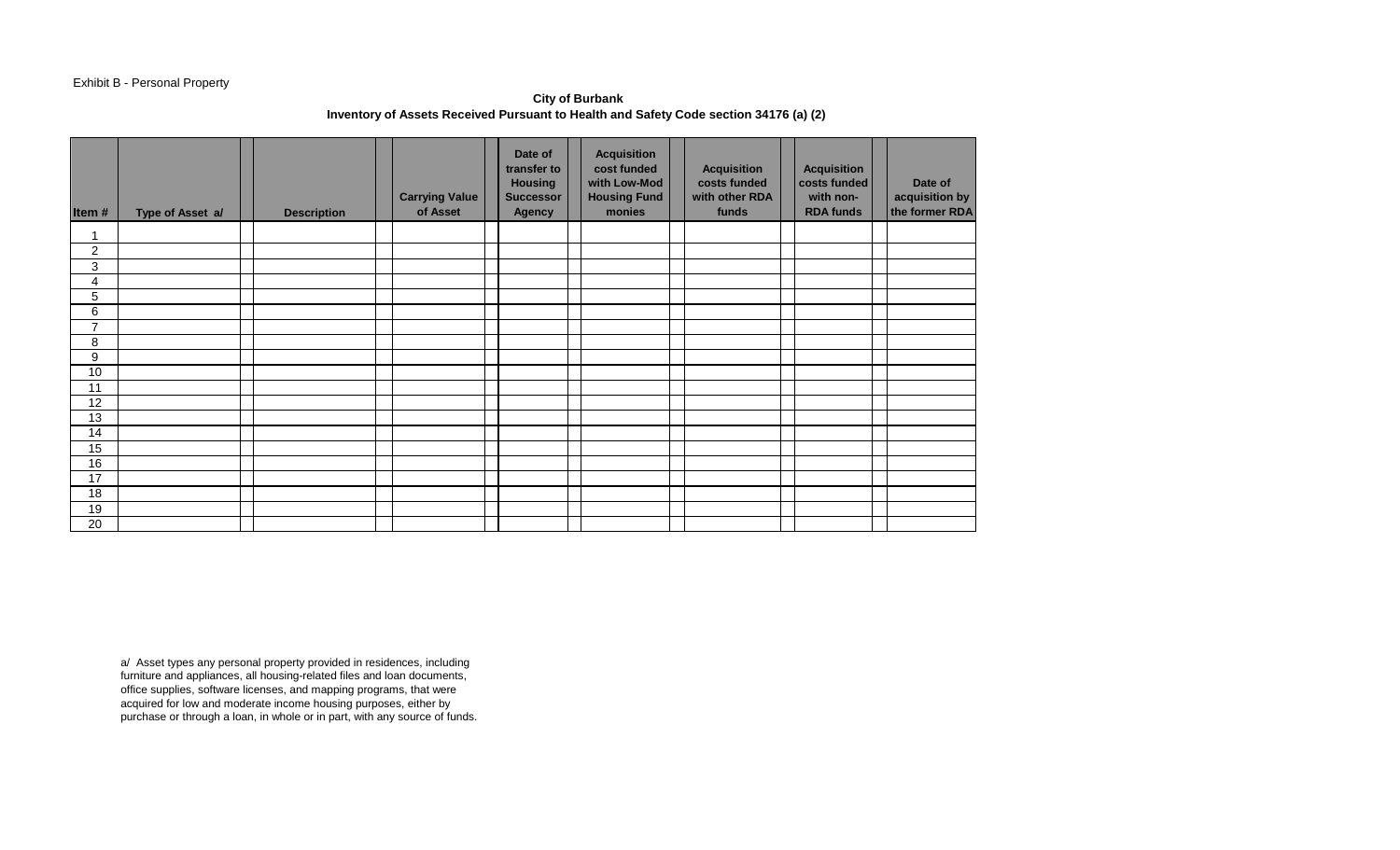# Exhibit B - Personal Property

**City of Burbank Inventory of Assets Received Pursuant to Health and Safety Code section 34176 (a) (2)** 

| Item#          | Type of Asset a/ | <b>Description</b> | <b>Carrying Value</b><br>of Asset | Date of<br>transfer to<br><b>Housing</b><br><b>Successor</b><br><b>Agency</b> | <b>Acquisition</b><br>cost funded<br>with Low-Mod<br><b>Housing Fund</b><br>monies | <b>Acquisition</b><br>costs funded<br>with other RDA<br>funds | <b>Acquisition</b><br>costs funded<br>with non-<br><b>RDA funds</b> | Date of<br>acquisition by<br>the former RDA |
|----------------|------------------|--------------------|-----------------------------------|-------------------------------------------------------------------------------|------------------------------------------------------------------------------------|---------------------------------------------------------------|---------------------------------------------------------------------|---------------------------------------------|
| 1              |                  |                    |                                   |                                                                               |                                                                                    |                                                               |                                                                     |                                             |
| $\overline{c}$ |                  |                    |                                   |                                                                               |                                                                                    |                                                               |                                                                     |                                             |
| 3              |                  |                    |                                   |                                                                               |                                                                                    |                                                               |                                                                     |                                             |
| 4              |                  |                    |                                   |                                                                               |                                                                                    |                                                               |                                                                     |                                             |
| 5              |                  |                    |                                   |                                                                               |                                                                                    |                                                               |                                                                     |                                             |
| 6              |                  |                    |                                   |                                                                               |                                                                                    |                                                               |                                                                     |                                             |
| $\overline{7}$ |                  |                    |                                   |                                                                               |                                                                                    |                                                               |                                                                     |                                             |
| 8              |                  |                    |                                   |                                                                               |                                                                                    |                                                               |                                                                     |                                             |
| 9              |                  |                    |                                   |                                                                               |                                                                                    |                                                               |                                                                     |                                             |
| 10             |                  |                    |                                   |                                                                               |                                                                                    |                                                               |                                                                     |                                             |
| 11             |                  |                    |                                   |                                                                               |                                                                                    |                                                               |                                                                     |                                             |
| 12             |                  |                    |                                   |                                                                               |                                                                                    |                                                               |                                                                     |                                             |
| 13             |                  |                    |                                   |                                                                               |                                                                                    |                                                               |                                                                     |                                             |
| 14             |                  |                    |                                   |                                                                               |                                                                                    |                                                               |                                                                     |                                             |
| 15             |                  |                    |                                   |                                                                               |                                                                                    |                                                               |                                                                     |                                             |
| 16             |                  |                    |                                   |                                                                               |                                                                                    |                                                               |                                                                     |                                             |
| 17             |                  |                    |                                   |                                                                               |                                                                                    |                                                               |                                                                     |                                             |
| 18             |                  |                    |                                   |                                                                               |                                                                                    |                                                               |                                                                     |                                             |
| 19             |                  |                    |                                   |                                                                               |                                                                                    |                                                               |                                                                     |                                             |
| 20             |                  |                    |                                   |                                                                               |                                                                                    |                                                               |                                                                     |                                             |

a/ Asset types any personal property provided in residences, including furniture and appliances, all housing-related files and loan documents, office supplies, software licenses, and mapping programs, that were acquired for low and moderate income housing purposes, either by purchase or through a loan, in whole or in part, with any source of funds.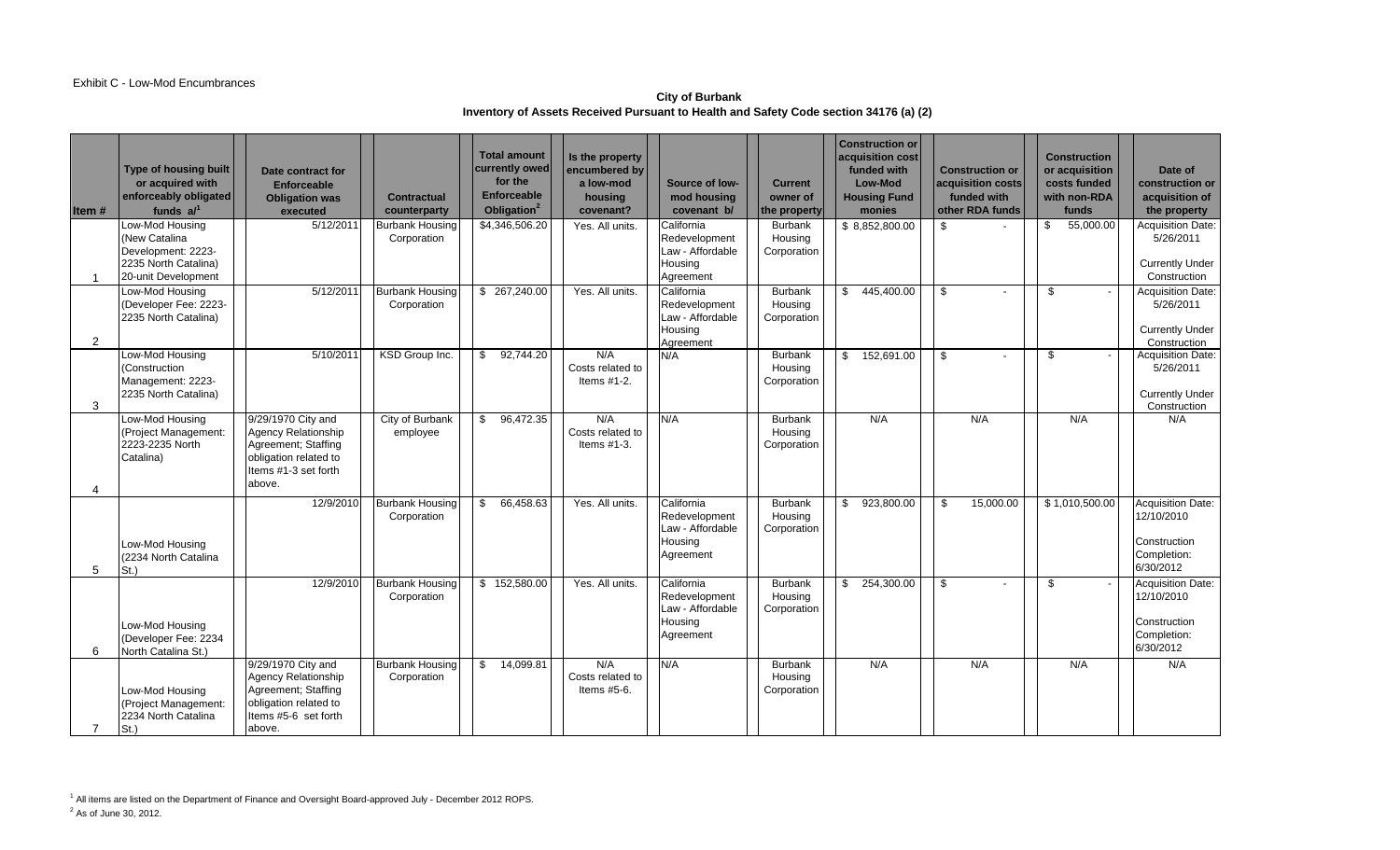### **City of Burbank Inventory of Assets Received Pursuant to Health and Safety Code section 34176 (a) (2)**

| Item#                 | <b>Type of housing built</b><br>or acquired with<br>enforceably obligated<br>funds $a1$               | Date contract for<br><b>Enforceable</b><br><b>Obligation was</b><br>executed                                                | <b>Contractual</b><br>counterparty    | <b>Total amount</b><br>currently owed<br>for the<br><b>Enforceable</b><br>Obligation <sup>2</sup> | Is the property<br>encumbered by<br>a low-mod<br>housing<br>covenant? | Source of low-<br>mod housing<br>covenant b/                            | <b>Current</b><br>owner of<br>the property | <b>Construction or</b><br>acquisition cost<br>funded with<br>Low-Mod<br><b>Housing Fund</b><br>monies | <b>Construction or</b><br>acquisition costs<br>funded with<br>other RDA funds | <b>Construction</b><br>or acquisition<br>costs funded<br>with non-RDA<br>funds | Date of<br>construction or I<br>acquisition of<br>the property                     |
|-----------------------|-------------------------------------------------------------------------------------------------------|-----------------------------------------------------------------------------------------------------------------------------|---------------------------------------|---------------------------------------------------------------------------------------------------|-----------------------------------------------------------------------|-------------------------------------------------------------------------|--------------------------------------------|-------------------------------------------------------------------------------------------------------|-------------------------------------------------------------------------------|--------------------------------------------------------------------------------|------------------------------------------------------------------------------------|
|                       | Low-Mod Housing<br>(New Catalina<br>Development: 2223-<br>2235 North Catalina)<br>20-unit Development | 5/12/2011                                                                                                                   | <b>Burbank Housing</b><br>Corporation | \$4,346,506.20                                                                                    | Yes. All units.                                                       | California<br>Redevelopment<br>Law - Affordable<br>Housing<br>Agreement | Burbank<br>Housing<br>Corporation          | \$8,852,800.00                                                                                        | \$                                                                            | 55,000.00<br>\$                                                                | <b>Acquisition Date:</b><br>5/26/2011<br><b>Currently Under</b><br>Construction    |
| $\overline{2}$        | Low-Mod Housing<br>(Developer Fee: 2223-<br>2235 North Catalina)                                      | 5/12/2011                                                                                                                   | <b>Burbank Housing</b><br>Corporation | \$ 267,240.00                                                                                     | Yes. All units.                                                       | California<br>Redevelopment<br>Law - Affordable<br>Housing<br>Agreement | Burbank<br>Housing<br>Corporation          | 445,400.00<br>\$                                                                                      | \$<br>$\sim$                                                                  | \$                                                                             | Acquisition Date:<br>5/26/2011<br><b>Currently Under</b><br>Construction           |
| 3                     | Low-Mod Housing<br>(Construction<br>Management: 2223-<br>2235 North Catalina)                         | 5/10/2011                                                                                                                   | KSD Group Inc.                        | 92,744.20<br>$\mathbb{S}$                                                                         | N/A<br>Costs related to<br>Items $#1-2$ .                             | N/A                                                                     | Burbank<br>Housing<br>Corporation          | 152,691.00                                                                                            | \$                                                                            | \$                                                                             | <b>Acquisition Date:</b><br>5/26/2011<br><b>Currently Under</b><br>Construction    |
| $\boldsymbol{\Delta}$ | Low-Mod Housing<br>(Project Management:<br>2223-2235 North<br>Catalina)                               | 9/29/1970 City and<br>Agency Relationship<br>Agreement; Staffing<br>obligation related to<br>Items #1-3 set forth<br>above. | City of Burbank<br>employee           | \$96,472.35                                                                                       | N/A<br>Costs related to<br>Items $#1-3$ .                             | N/A                                                                     | Burbank<br>Housing<br>Corporation          | N/A                                                                                                   | N/A                                                                           | N/A                                                                            | N/A                                                                                |
| 5                     | Low-Mod Housing<br>(2234 North Catalina<br>$St.$ )                                                    | 12/9/2010                                                                                                                   | <b>Burbank Housing</b><br>Corporation | 66,458.63<br>\$                                                                                   | Yes. All units.                                                       | California<br>Redevelopment<br>Law - Affordable<br>Housing<br>Agreement | Burbank<br>Housing<br>Corporation          | 923,800.00                                                                                            | 15,000.00<br>\$                                                               | \$1,010,500.00                                                                 | <b>Acquisition Date:</b><br>12/10/2010<br>Construction<br>Completion:<br>6/30/2012 |
| 6                     | Low-Mod Housing<br>(Developer Fee: 2234<br>North Catalina St.)                                        | 12/9/2010                                                                                                                   | <b>Burbank Housing</b><br>Corporation | \$152,580.00                                                                                      | Yes. All units.                                                       | California<br>Redevelopment<br>Law - Affordable<br>Housing<br>Agreement | Burbank<br>Housing<br>Corporation          | 254,300.00<br>$\mathbf{S}$                                                                            | - \$                                                                          | \$                                                                             | <b>Acquisition Date:</b><br>12/10/2010<br>Construction<br>Completion:<br>6/30/2012 |
| $\overline{7}$        | Low-Mod Housing<br>(Project Management:<br>2234 North Catalina<br>$St.$ )                             | 9/29/1970 City and<br>Agency Relationship<br>Agreement; Staffing<br>obligation related to<br>Items #5-6 set forth<br>above. | <b>Burbank Housing</b><br>Corporation | $\mathbb{S}$<br>14,099.81                                                                         | N/A<br>Costs related to<br>Items #5-6.                                | N/A                                                                     | <b>Burbank</b><br>Housing<br>Corporation   | N/A                                                                                                   | N/A                                                                           | N/A                                                                            | N/A                                                                                |

<sup>1</sup> All items are listed on the Department of Finance and Oversight Board-approved July - December 2012 ROPS. <sup>2</sup> As of June 30, 2012.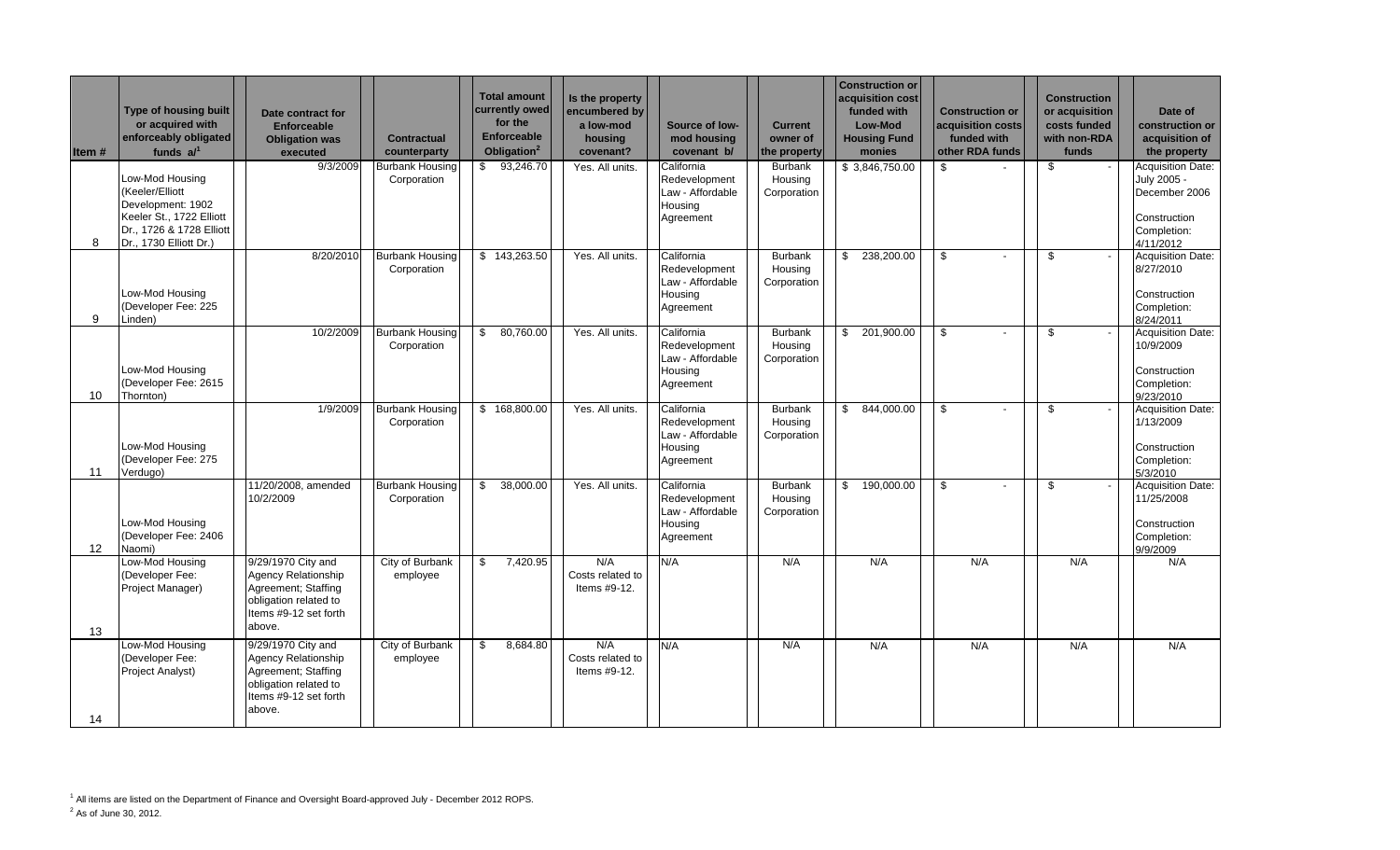| ltem # | Type of housing built<br>or acquired with<br>enforceably obligated<br>funds $a$                                                           | Date contract for<br><b>Enforceable</b><br><b>Obligation was</b><br>executed                                                        | <b>Contractual</b><br>counterparty    | <b>Total amount</b><br>currently owed<br>for the<br><b>Enforceable</b><br>Obligation <sup>2</sup> | Is the property<br>encumbered by<br>a low-mod<br>housing<br>covenant? | Source of low-<br>mod housing<br>covenant b/                            | <b>Current</b><br>owner of<br>the property | <b>Construction or</b><br>acquisition cost<br>funded with<br><b>Low-Mod</b><br><b>Housing Fund</b><br>monies | <b>Construction or</b><br>acquisition costs<br>funded with<br>other RDA funds | <b>Construction</b><br>or acquisition<br>costs funded<br>with non-RDA<br>funds | Date of<br>construction or<br>acquisition of<br>the property                                         |
|--------|-------------------------------------------------------------------------------------------------------------------------------------------|-------------------------------------------------------------------------------------------------------------------------------------|---------------------------------------|---------------------------------------------------------------------------------------------------|-----------------------------------------------------------------------|-------------------------------------------------------------------------|--------------------------------------------|--------------------------------------------------------------------------------------------------------------|-------------------------------------------------------------------------------|--------------------------------------------------------------------------------|------------------------------------------------------------------------------------------------------|
| 8      | Low-Mod Housing<br>(Keeler/Elliott<br>Development: 1902<br>Keeler St., 1722 Elliott<br>Dr., 1726 & 1728 Elliott<br>Dr., 1730 Elliott Dr.) | 9/3/2009                                                                                                                            | <b>Burbank Housing</b><br>Corporation | \$93,246.70                                                                                       | Yes. All units.                                                       | California<br>Redevelopment<br>Law - Affordable<br>Housing<br>Agreement | <b>Burbank</b><br>Housing<br>Corporation   | \$3,846,750.00                                                                                               | \$                                                                            | \$                                                                             | <b>Acquisition Date:</b><br>July 2005 -<br>December 2006<br>Construction<br>Completion:<br>4/11/2012 |
| 9      | Low-Mod Housing<br>(Developer Fee: 225<br>Linden)                                                                                         | 8/20/2010                                                                                                                           | <b>Burbank Housing</b><br>Corporation | \$143,263.50                                                                                      | Yes. All units.                                                       | California<br>Redevelopment<br>Law - Affordable<br>Housing<br>Agreement | <b>Burbank</b><br>Housing<br>Corporation   | 238,200.00<br>\$                                                                                             | \$                                                                            | \$                                                                             | Acquisition Date:<br>8/27/2010<br>Construction<br>Completion:<br>8/24/2011                           |
| 10     | Low-Mod Housing<br>(Developer Fee: 2615<br>Thornton)                                                                                      | 10/2/2009                                                                                                                           | <b>Burbank Housing</b><br>Corporation | 80,760.00<br>\$                                                                                   | Yes. All units.                                                       | California<br>Redevelopment<br>Law - Affordable<br>Housing<br>Agreement | <b>Burbank</b><br>Housing<br>Corporation   | 201,900.00<br>\$                                                                                             | \$                                                                            | \$                                                                             | <b>Acquisition Date:</b><br>10/9/2009<br>Construction<br>Completion:<br>9/23/2010                    |
| 11     | Low-Mod Housing<br>(Developer Fee: 275<br>Verdugo)                                                                                        | 1/9/2009                                                                                                                            | <b>Burbank Housing</b><br>Corporation | \$168,800.00                                                                                      | Yes. All units.                                                       | California<br>Redevelopment<br>Law - Affordable<br>Housing<br>Agreement | Burbank<br>Housing<br>Corporation          | 844,000.00<br>\$                                                                                             | \$                                                                            | \$                                                                             | Acquisition Date:<br>1/13/2009<br>Construction<br>Completion:<br>5/3/2010                            |
| 12     | Low-Mod Housing<br>(Developer Fee: 2406<br>Naomi)                                                                                         | 11/20/2008, amended<br>10/2/2009                                                                                                    | <b>Burbank Housing</b><br>Corporation | 38,000.00<br>\$                                                                                   | Yes. All units.                                                       | California<br>Redevelopment<br>Law - Affordable<br>Housing<br>Agreement | <b>Burbank</b><br>Housing<br>Corporation   | 190,000.00<br>\$                                                                                             | \$                                                                            | \$                                                                             | <b>Acquisition Date:</b><br>11/25/2008<br>Construction<br>Completion:<br>9/9/2009                    |
| 13     | Low-Mod Housing<br>(Developer Fee:<br>Project Manager)                                                                                    | 9/29/1970 City and<br>Agency Relationship<br>Agreement; Staffing<br>obligation related to<br>Items #9-12 set forth<br>above.        | City of Burbank<br>employee           | 7,420.95<br>\$                                                                                    | N/A<br>Costs related to<br>Items #9-12.                               | N/A                                                                     | N/A                                        | N/A                                                                                                          | N/A                                                                           | N/A                                                                            | N/A                                                                                                  |
| 14     | Low-Mod Housing<br>(Developer Fee:<br>Project Analyst)                                                                                    | 9/29/1970 City and<br><b>Agency Relationship</b><br>Agreement; Staffing<br>obligation related to<br>Items #9-12 set forth<br>above. | City of Burbank<br>employee           | \$<br>8,684.80                                                                                    | N/A<br>Costs related to<br>Items #9-12.                               | N/A                                                                     | N/A                                        | N/A                                                                                                          | N/A                                                                           | N/A                                                                            | N/A                                                                                                  |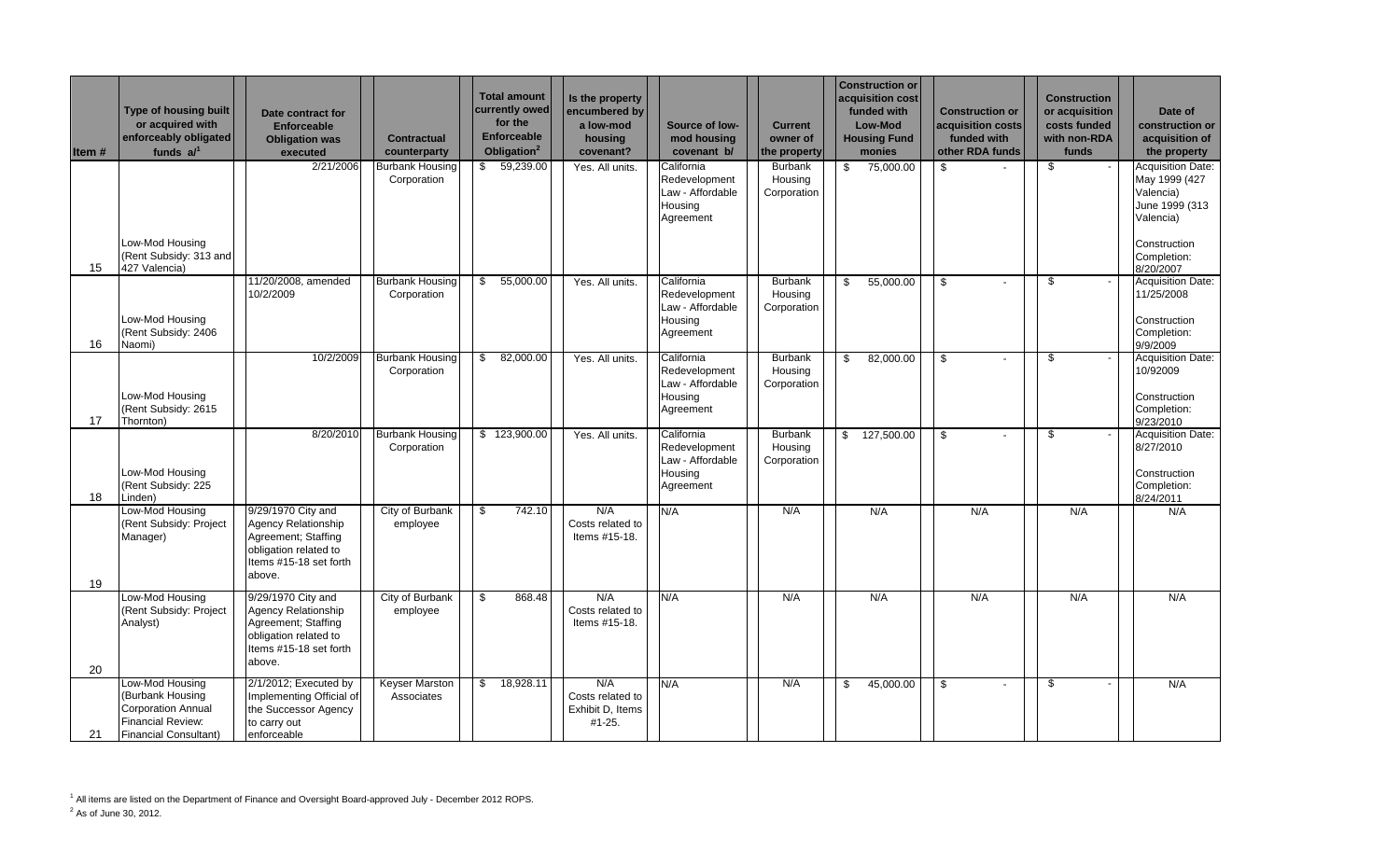| Item # | Type of housing built<br>or acquired with<br>enforceably obligated<br>funds $a$ <sup>1</sup>                                 | Date contract for<br><b>Enforceable</b><br><b>Obligation was</b><br>executed                                                         | <b>Contractual</b><br>counterparty    | <b>Total amount</b><br>currently owed<br>for the<br><b>Enforceable</b><br>Obligation <sup>2</sup> | Is the property<br>encumbered by<br>a low-mod<br>housing<br>covenant? | Source of low-<br>mod housing<br>covenant b/                            | <b>Current</b><br>owner of<br>the property | <b>Construction or</b><br>acquisition cost<br>funded with<br>Low-Mod<br><b>Housing Fund</b><br>monies | <b>Construction or</b><br>acquisition costs<br>funded with<br>other RDA funds | <b>Construction</b><br>or acquisition<br>costs funded<br>with non-RDA<br>funds | Date of<br>construction or<br>acquisition of<br>the property                                                  |
|--------|------------------------------------------------------------------------------------------------------------------------------|--------------------------------------------------------------------------------------------------------------------------------------|---------------------------------------|---------------------------------------------------------------------------------------------------|-----------------------------------------------------------------------|-------------------------------------------------------------------------|--------------------------------------------|-------------------------------------------------------------------------------------------------------|-------------------------------------------------------------------------------|--------------------------------------------------------------------------------|---------------------------------------------------------------------------------------------------------------|
|        | Low-Mod Housing<br>(Rent Subsidy: 313 and                                                                                    | 2/21/2006                                                                                                                            | <b>Burbank Housing</b><br>Corporation | \$59,239.00                                                                                       | Yes. All units.                                                       | California<br>Redevelopment<br>Law - Affordable<br>Housing<br>Agreement | Burbank<br>Housing<br>Corporation          | 75,000.00<br>\$                                                                                       | \$                                                                            | \$                                                                             | Acquisition Date:<br>May 1999 (427<br>Valencia)<br>June 1999 (313<br>Valencia)<br>Construction<br>Completion: |
| 15     | 427 Valencia)                                                                                                                |                                                                                                                                      |                                       |                                                                                                   |                                                                       |                                                                         |                                            |                                                                                                       |                                                                               |                                                                                | 8/20/2007                                                                                                     |
| 16     | Low-Mod Housing<br>(Rent Subsidy: 2406<br>Naomi)                                                                             | 11/20/2008, amended<br>10/2/2009                                                                                                     | <b>Burbank Housing</b><br>Corporation | 55,000.00<br>\$                                                                                   | Yes. All units.                                                       | California<br>Redevelopment<br>Law - Affordable<br>Housing<br>Agreement | <b>Burbank</b><br>Housing<br>Corporation   | 55,000.00<br>\$                                                                                       | \$<br>$\blacksquare$                                                          | \$                                                                             | Acquisition Date:<br>11/25/2008<br>Construction<br>Completion:<br>9/9/2009                                    |
| 17     | Low-Mod Housing<br>(Rent Subsidy: 2615<br>Thornton)                                                                          | 10/2/2009                                                                                                                            | <b>Burbank Housing</b><br>Corporation | \$<br>82,000.00                                                                                   | Yes. All units.                                                       | California<br>Redevelopment<br>Law - Affordable<br>Housing<br>Agreement | <b>Burbank</b><br>Housing<br>Corporation   | $\mathbb{S}$<br>82,000.00                                                                             | $\mathfrak s$                                                                 | \$                                                                             | Acquisition Date:<br>10/92009<br>Construction<br>Completion:<br>9/23/2010                                     |
| 18     | Low-Mod Housing<br>(Rent Subsidy: 225<br>Linden)                                                                             | 8/20/2010                                                                                                                            | <b>Burbank Housing</b><br>Corporation | \$123,900.00                                                                                      | Yes. All units.                                                       | California<br>Redevelopment<br>Law - Affordable<br>Housing<br>Agreement | <b>Burbank</b><br>Housing<br>Corporation   | 127,500.00<br>\$                                                                                      | \$                                                                            | \$                                                                             | Acquisition Date:<br>8/27/2010<br>Construction<br>Completion:<br>8/24/2011                                    |
| 19     | Low-Mod Housing<br>(Rent Subsidy: Project<br>Manager)                                                                        | 9/29/1970 City and<br><b>Agency Relationship</b><br>Agreement; Staffing<br>obligation related to<br>Items #15-18 set forth<br>above. | City of Burbank<br>employee           | 742.10<br>\$                                                                                      | N/A<br>Costs related to<br>Items #15-18.                              | N/A                                                                     | N/A                                        | N/A                                                                                                   | N/A                                                                           | N/A                                                                            | N/A                                                                                                           |
| 20     | Low-Mod Housing<br>(Rent Subsidy: Project<br>Analyst)                                                                        | 9/29/1970 City and<br>Agency Relationship<br>Agreement; Staffing<br>obligation related to<br>Items #15-18 set forth<br>above.        | City of Burbank<br>employee           | 868.48<br>\$                                                                                      | N/A<br>Costs related to<br>Items #15-18.                              | N/A                                                                     | N/A                                        | N/A                                                                                                   | N/A                                                                           | N/A                                                                            | N/A                                                                                                           |
| 21     | Low-Mod Housing<br>(Burbank Housing<br><b>Corporation Annual</b><br><b>Financial Review:</b><br><b>Financial Consultant)</b> | 2/1/2012; Executed by<br>Implementing Official of<br>the Successor Agency<br>to carry out<br>enforceable                             | <b>Keyser Marston</b><br>Associates   | $\mathbb{S}$<br>18,928.11                                                                         | N/A<br>Costs related to<br>Exhibit D, Items<br>#1-25.                 | N/A                                                                     | N/A                                        | 45,000.00<br>\$                                                                                       | \$<br>$\blacksquare$                                                          | \$<br>$\overline{\phantom{a}}$                                                 | N/A                                                                                                           |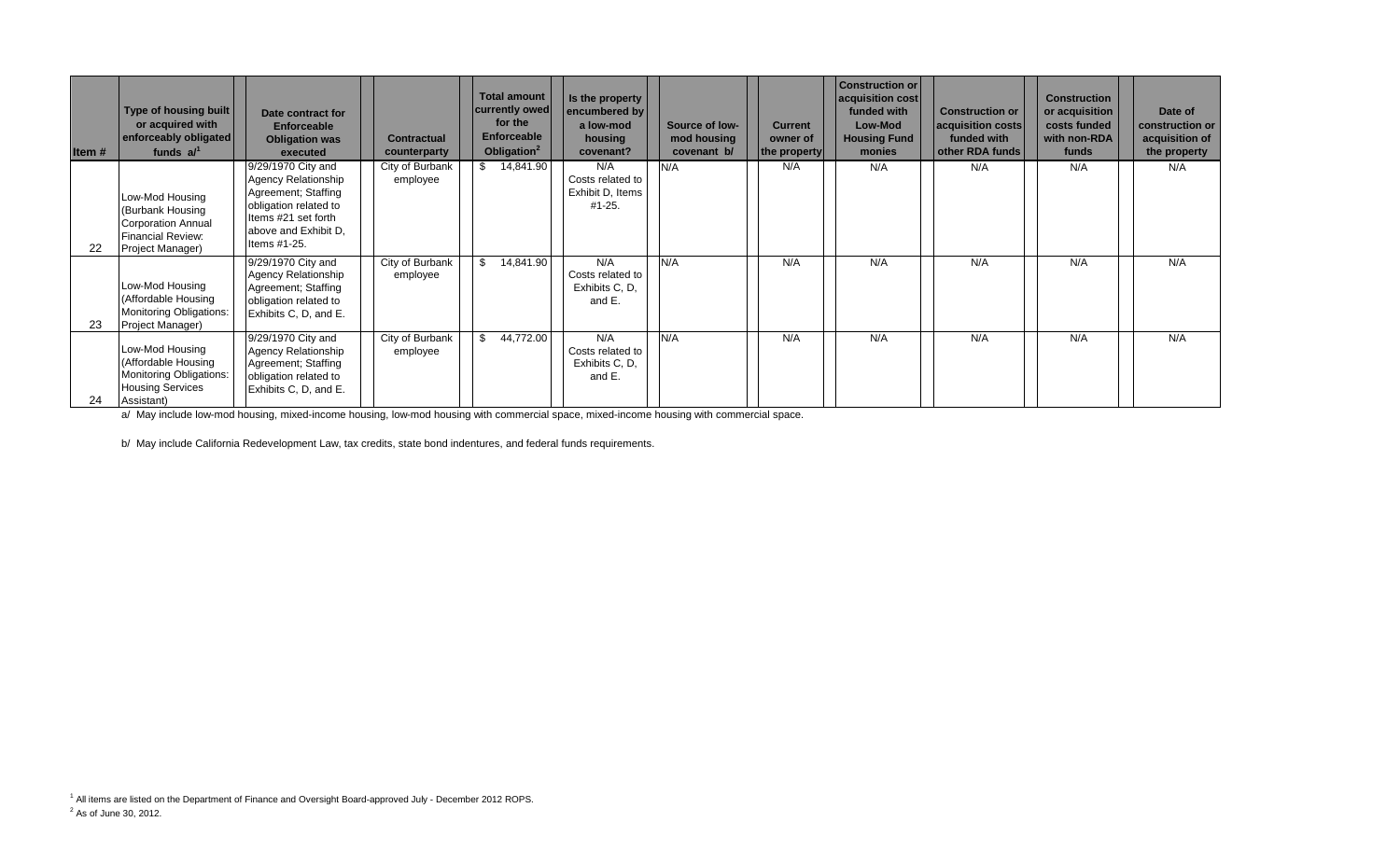| Item# | Type of housing built<br>or acquired with<br>enforceably obligated<br>funds $a^{1}$                               | Date contract for<br><b>Enforceable</b><br><b>Obligation was</b><br>executed                                                                                    | <b>Contractual</b><br>counterparty | <b>Total amount</b><br>currently owed<br>for the<br><b>Enforceable</b><br>Obligation <sup>2</sup> | Is the property<br>encumbered by<br>a low-mod<br>housing<br>covenant? | Source of low-<br>mod housing<br>covenant b/ | <b>Current</b><br>owner of<br>the property | <b>Construction or</b><br>acquisition cost<br>funded with<br>Low-Mod<br><b>Housing Fund</b><br>monies | <b>Construction or</b><br>acquisition costs<br>funded with<br>other RDA funds | <b>Construction</b><br>or acquisition<br>costs funded<br>with non-RDA<br>funds | Date of<br>construction or<br>acquisition of<br>the property |
|-------|-------------------------------------------------------------------------------------------------------------------|-----------------------------------------------------------------------------------------------------------------------------------------------------------------|------------------------------------|---------------------------------------------------------------------------------------------------|-----------------------------------------------------------------------|----------------------------------------------|--------------------------------------------|-------------------------------------------------------------------------------------------------------|-------------------------------------------------------------------------------|--------------------------------------------------------------------------------|--------------------------------------------------------------|
| 22    | Low-Mod Housing<br>(Burbank Housing<br><b>Corporation Annual</b><br><b>Financial Review:</b><br>Project Manager)  | 9/29/1970 City and<br><b>Agency Relationship</b><br>Agreement; Staffing<br>obligation related to<br>Items #21 set forth<br>above and Exhibit D.<br>Items #1-25. | City of Burbank<br>employee        | \$14,841.90                                                                                       | N/A<br>Costs related to<br>Exhibit D, Items<br>$#1 - 25.$             | N/A                                          | N/A                                        | N/A                                                                                                   | N/A                                                                           | N/A                                                                            | N/A                                                          |
| 23    | Low-Mod Housing<br>(Affordable Housing<br><b>Monitoring Obligations:</b><br>Project Manager)                      | 9/29/1970 City and<br><b>Agency Relationship</b><br>Agreement; Staffing<br>obligation related to<br>Exhibits C, D, and E.                                       | City of Burbank<br>employee        | 14,841.90<br>\$                                                                                   | N/A<br>Costs related to<br>Exhibits C, D,<br>and E.                   | N/A                                          | N/A                                        | N/A                                                                                                   | N/A                                                                           | N/A                                                                            | N/A                                                          |
| 24    | Low-Mod Housing<br>(Affordable Housing<br><b>Monitoring Obligations:</b><br><b>Housing Services</b><br>Assistant) | 9/29/1970 City and<br><b>Agency Relationship</b><br>Agreement; Staffing<br>obligation related to<br>Exhibits C, D, and E.                                       | City of Burbank<br>employee        | 44,772.00                                                                                         | N/A<br>Costs related to<br>Exhibits C, D,<br>and E.                   | N/A                                          | N/A                                        | N/A                                                                                                   | N/A                                                                           | N/A                                                                            | N/A                                                          |

a/ May include low-mod housing, mixed-income housing, low-mod housing with commercial space, mixed-income housing with commercial space.

b/ May include California Redevelopment Law, tax credits, state bond indentures, and federal funds requirements.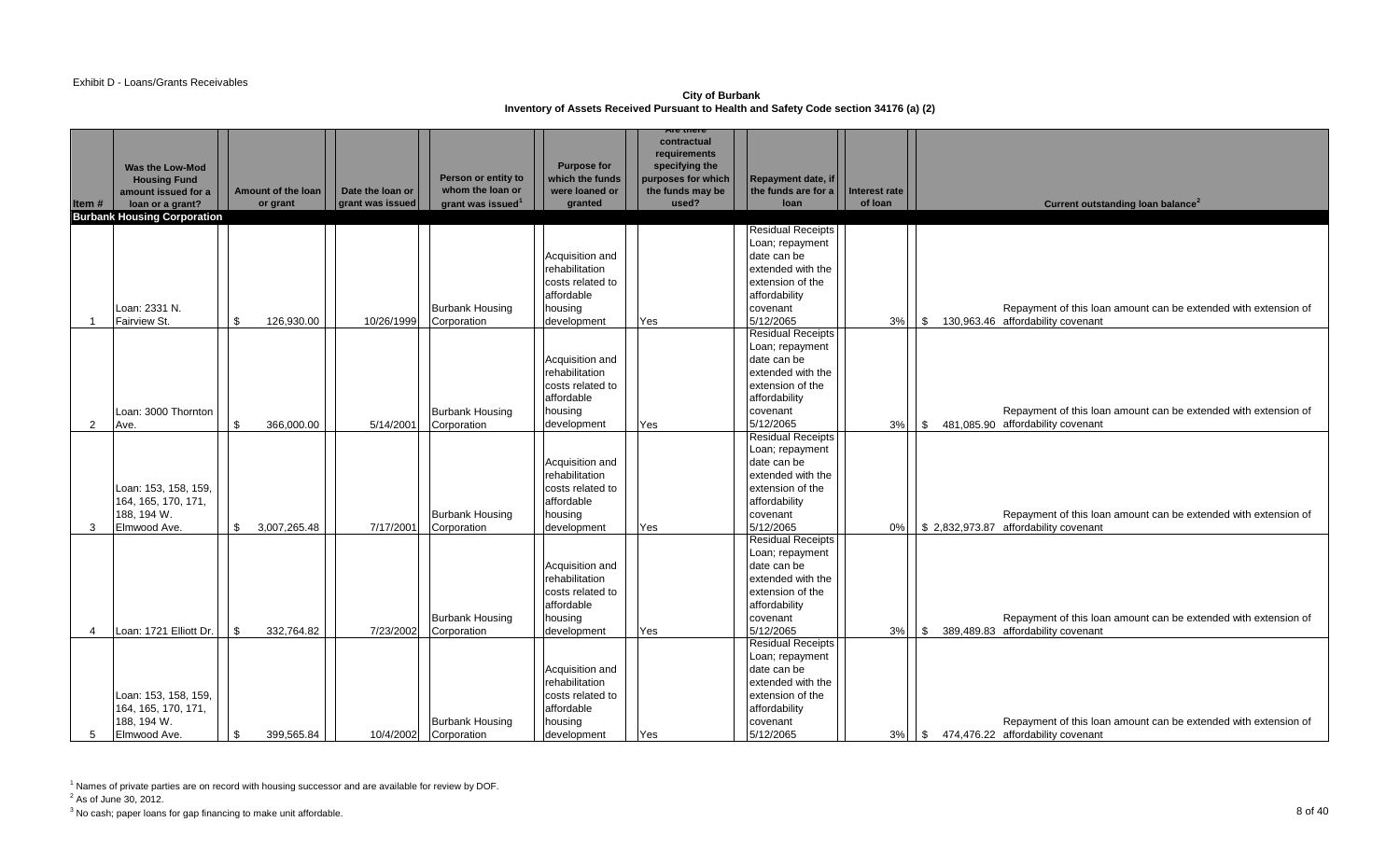### Exhibit D - Loans/Grants Receivables

**City of Burbank Inventory of Assets Received Pursuant to Health and Safety Code section 34176 (a) (2)** 

|                |                                            |                                  |                  |                                         |                                   | <b>Are there</b>                       |                                           |               |            |                                                                 |
|----------------|--------------------------------------------|----------------------------------|------------------|-----------------------------------------|-----------------------------------|----------------------------------------|-------------------------------------------|---------------|------------|-----------------------------------------------------------------|
|                |                                            |                                  |                  |                                         |                                   | contractual<br>requirements            |                                           |               |            |                                                                 |
|                | Was the Low-Mod                            |                                  |                  |                                         | <b>Purpose for</b>                | specifying the                         |                                           |               |            |                                                                 |
|                | <b>Housing Fund</b><br>amount issued for a | Amount of the loan               | Date the loan or | Person or entity to<br>whom the loan or | which the funds<br>were loaned or | purposes for which<br>the funds may be | Repayment date, if<br>the funds are for a | Interest rate |            |                                                                 |
| Item#          | loan or a grant?                           | or grant                         | grant was issued | grant was issued <sup>1</sup>           | granted                           | used?                                  | loan                                      | of loan       |            | Current outstanding loan balance <sup>2</sup>                   |
|                | <b>Burbank Housing Corporation</b>         |                                  |                  |                                         |                                   |                                        |                                           |               |            |                                                                 |
|                |                                            |                                  |                  |                                         |                                   |                                        | <b>Residual Receipts</b>                  |               |            |                                                                 |
|                |                                            |                                  |                  |                                         |                                   |                                        | Loan; repayment                           |               |            |                                                                 |
|                |                                            |                                  |                  |                                         | Acquisition and                   |                                        | date can be                               |               |            |                                                                 |
|                |                                            |                                  |                  |                                         | rehabilitation                    |                                        | extended with the                         |               |            |                                                                 |
|                |                                            |                                  |                  |                                         | costs related to                  |                                        | extension of the                          |               |            |                                                                 |
|                |                                            |                                  |                  |                                         | affordable                        |                                        | affordability                             |               |            |                                                                 |
|                | Loan: 2331 N.                              |                                  |                  | <b>Burbank Housing</b>                  | housing                           |                                        | covenant                                  |               |            | Repayment of this loan amount can be extended with extension of |
| $\overline{1}$ | Fairview St.                               | 126,930.00<br>.ኖ                 | 10/26/1999       | Corporation                             | development                       | Yes                                    | 5/12/2065                                 | 3%            |            | $\frac{1}{3}$ 130,963.46 affordability covenant                 |
|                |                                            |                                  |                  |                                         |                                   |                                        | <b>Residual Receipts</b>                  |               |            |                                                                 |
|                |                                            |                                  |                  |                                         | Acquisition and                   |                                        | Loan; repayment<br>date can be            |               |            |                                                                 |
|                |                                            |                                  |                  |                                         | rehabilitation                    |                                        | extended with the                         |               |            |                                                                 |
|                |                                            |                                  |                  |                                         | costs related to                  |                                        | extension of the                          |               |            |                                                                 |
|                |                                            |                                  |                  |                                         | affordable                        |                                        | affordability                             |               |            |                                                                 |
|                | Loan: 3000 Thornton                        |                                  |                  | <b>Burbank Housing</b>                  | housing                           |                                        | covenant                                  |               |            | Repayment of this loan amount can be extended with extension of |
| 2              | Ave.                                       | $\mathbf{\hat{R}}$<br>366.000.00 | 5/14/2001        | Corporation                             | development                       | Yes                                    | 5/12/2065                                 | 3%            |            | \$481,085.90 affordability covenant                             |
|                |                                            |                                  |                  |                                         |                                   |                                        | <b>Residual Receipts</b>                  |               |            |                                                                 |
|                |                                            |                                  |                  |                                         |                                   |                                        | Loan; repayment                           |               |            |                                                                 |
|                |                                            |                                  |                  |                                         | Acquisition and                   |                                        | date can be                               |               |            |                                                                 |
|                |                                            |                                  |                  |                                         | rehabilitation                    |                                        | extended with the                         |               |            |                                                                 |
|                | Loan: 153, 158, 159,                       |                                  |                  |                                         | costs related to                  |                                        | extension of the                          |               |            |                                                                 |
|                | 164, 165, 170, 171,                        |                                  |                  |                                         | affordable                        |                                        | affordability                             |               |            |                                                                 |
|                | 188, 194 W.<br>Elmwood Ave.                | 3,007,265.48                     | 7/17/2001        | <b>Burbank Housing</b>                  | housing                           |                                        | covenant<br>5/12/2065                     | 0%            |            | Repayment of this loan amount can be extended with extension of |
| 3              |                                            |                                  |                  | Corporation                             | development                       | Yes                                    | <b>Residual Receipts</b>                  |               |            | \$2,832,973.87 affordability covenant                           |
|                |                                            |                                  |                  |                                         |                                   |                                        | Loan; repayment                           |               |            |                                                                 |
|                |                                            |                                  |                  |                                         | Acquisition and                   |                                        | date can be                               |               |            |                                                                 |
|                |                                            |                                  |                  |                                         | rehabilitation                    |                                        | extended with the                         |               |            |                                                                 |
|                |                                            |                                  |                  |                                         | costs related to                  |                                        | extension of the                          |               |            |                                                                 |
|                |                                            |                                  |                  |                                         | affordable                        |                                        | affordability                             |               |            |                                                                 |
|                |                                            |                                  |                  | <b>Burbank Housing</b>                  | housing                           |                                        | covenant                                  |               |            | Repayment of this loan amount can be extended with extension of |
| $\overline{4}$ | Loan: 1721 Elliott Dr.                     | 332,764.82<br>\$.                | 7/23/2002        | Corporation                             | development                       | Yes                                    | 5/12/2065                                 | 3%            | $\vert$ \$ | 389,489.83 affordability covenant                               |
|                |                                            |                                  |                  |                                         |                                   |                                        | <b>Residual Receipts</b>                  |               |            |                                                                 |
|                |                                            |                                  |                  |                                         |                                   |                                        | Loan; repayment                           |               |            |                                                                 |
|                |                                            |                                  |                  |                                         | Acquisition and<br>rehabilitation |                                        | date can be                               |               |            |                                                                 |
|                | Loan: 153, 158, 159,                       |                                  |                  |                                         | costs related to                  |                                        | extended with the<br>extension of the     |               |            |                                                                 |
|                | 164, 165, 170, 171,                        |                                  |                  |                                         | affordable                        |                                        | affordability                             |               |            |                                                                 |
|                | 188, 194 W.                                |                                  |                  | <b>Burbank Housing</b>                  | housing                           |                                        | covenant                                  |               |            | Repayment of this loan amount can be extended with extension of |
| 5              | Elmwood Ave.                               | 399,565.84<br>\$                 | 10/4/2002        | Corporation                             | development                       | Yes                                    | 5/12/2065                                 | 3%            | $\sqrt{3}$ | 474,476.22 affordability covenant                               |

<sup>1</sup> Names of private parties are on record with housing successor and are available for review by DOF.

 $2^2$  As of June 30, 2012.

 $^3$  No cash; paper loans for gap financing to make unit affordable.  $\quad \hspace{1.5cm} 8$  Of  $40$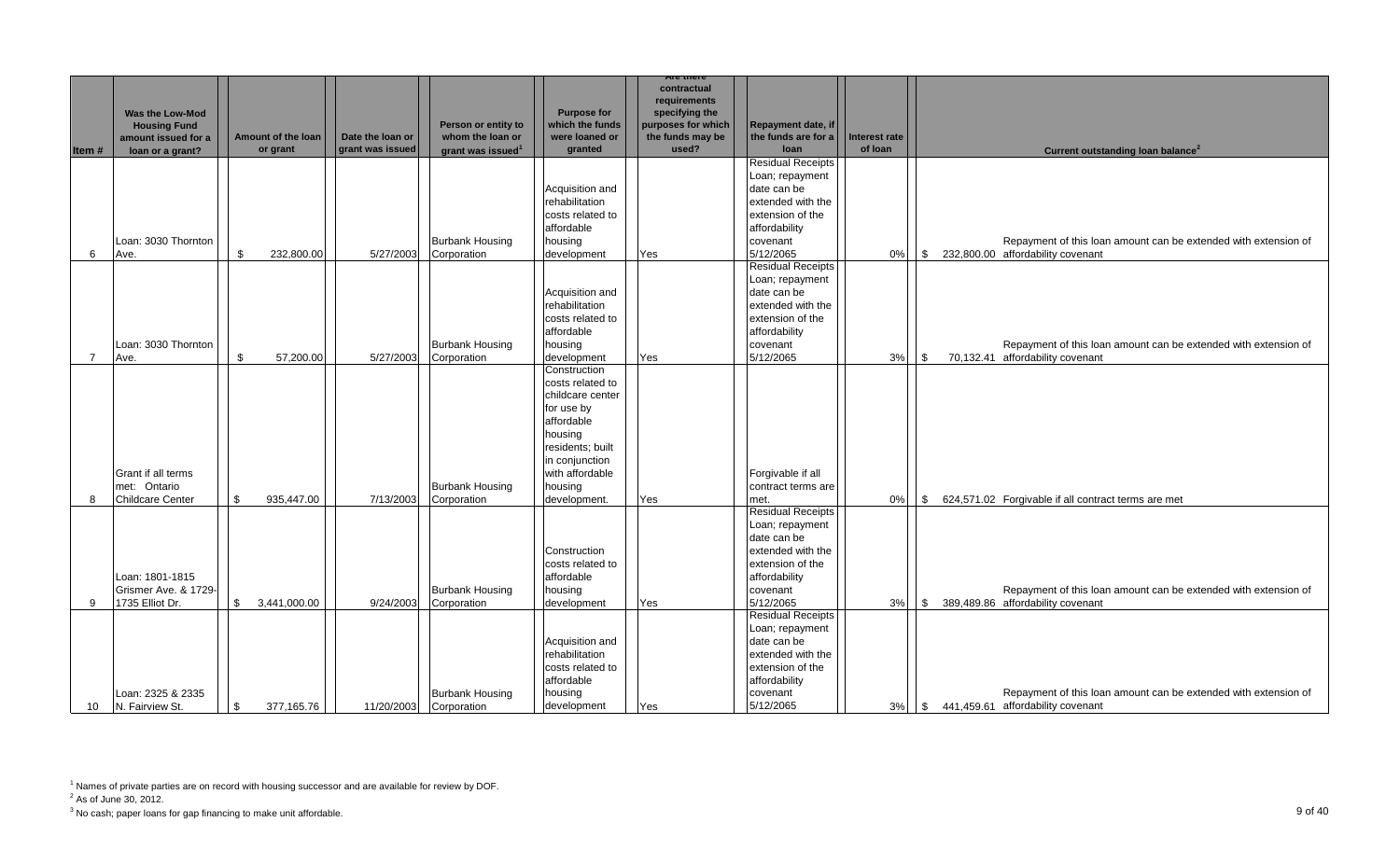|                 |                         |                            |                  |                               |                                    | are mert                                      |                                       |               |            |                                                                                                      |
|-----------------|-------------------------|----------------------------|------------------|-------------------------------|------------------------------------|-----------------------------------------------|---------------------------------------|---------------|------------|------------------------------------------------------------------------------------------------------|
|                 | Was the Low-Mod         |                            |                  |                               | <b>Purpose for</b>                 | contractual<br>requirements<br>specifying the |                                       |               |            |                                                                                                      |
|                 | <b>Housing Fund</b>     |                            |                  | Person or entity to           | which the funds                    | purposes for which                            | Repayment date, if                    |               |            |                                                                                                      |
|                 | amount issued for a     | Amount of the loan         | Date the loan or | whom the loan or              | were loaned or                     | the funds may be                              | the funds are for a                   | Interest rate |            |                                                                                                      |
| Item#           | loan or a grant?        | or grant                   | grant was issued | grant was issued <sup>1</sup> | granted                            | used?                                         | loan<br><b>Residual Receipts</b>      | of loan       |            | Current outstanding loan balance <sup>2</sup>                                                        |
|                 |                         |                            |                  |                               |                                    |                                               | Loan; repayment                       |               |            |                                                                                                      |
|                 |                         |                            |                  |                               | Acquisition and                    |                                               | date can be                           |               |            |                                                                                                      |
|                 |                         |                            |                  |                               | rehabilitation                     |                                               | extended with the                     |               |            |                                                                                                      |
|                 |                         |                            |                  |                               | costs related to                   |                                               | extension of the                      |               |            |                                                                                                      |
|                 |                         |                            |                  |                               | affordable                         |                                               | affordability                         |               |            |                                                                                                      |
|                 | Loan: 3030 Thornton     |                            |                  | <b>Burbank Housing</b>        | housing                            |                                               | covenant                              |               |            | Repayment of this loan amount can be extended with extension of                                      |
| 6               | Ave.                    | $\mathbf{s}$<br>232,800.00 | 5/27/2003        | Corporation                   | development                        | Yes                                           | 5/12/2065                             | 0%            | l \$       | 232,800.00 affordability covenant                                                                    |
|                 |                         |                            |                  |                               |                                    |                                               | <b>Residual Receipts</b>              |               |            |                                                                                                      |
|                 |                         |                            |                  |                               |                                    |                                               | Loan; repayment                       |               |            |                                                                                                      |
|                 |                         |                            |                  |                               | Acquisition and                    |                                               | date can be                           |               |            |                                                                                                      |
|                 |                         |                            |                  |                               | rehabilitation<br>costs related to |                                               | extended with the<br>extension of the |               |            |                                                                                                      |
|                 |                         |                            |                  |                               | affordable                         |                                               | affordability                         |               |            |                                                                                                      |
|                 | Loan: 3030 Thornton     |                            |                  | <b>Burbank Housing</b>        | housing                            |                                               | covenant                              |               |            | Repayment of this loan amount can be extended with extension of                                      |
| 7               | Ave.                    | \$<br>57,200.00            | 5/27/2003        | Corporation                   | development                        | Yes                                           | 5/12/2065                             | 3%            | l \$       | 70,132.41 affordability covenant                                                                     |
|                 |                         |                            |                  |                               | Construction                       |                                               |                                       |               |            |                                                                                                      |
|                 |                         |                            |                  |                               | costs related to                   |                                               |                                       |               |            |                                                                                                      |
|                 |                         |                            |                  |                               | childcare center                   |                                               |                                       |               |            |                                                                                                      |
|                 |                         |                            |                  |                               | for use by                         |                                               |                                       |               |            |                                                                                                      |
|                 |                         |                            |                  |                               | affordable                         |                                               |                                       |               |            |                                                                                                      |
|                 |                         |                            |                  |                               | housing<br>residents; built        |                                               |                                       |               |            |                                                                                                      |
|                 |                         |                            |                  |                               | in conjunction                     |                                               |                                       |               |            |                                                                                                      |
|                 | Grant if all terms      |                            |                  |                               | with affordable                    |                                               | Forgivable if all                     |               |            |                                                                                                      |
|                 | met: Ontario            |                            |                  | <b>Burbank Housing</b>        | housing                            |                                               | contract terms are                    |               |            |                                                                                                      |
| 8               | <b>Childcare Center</b> | 935,447.00<br>\$           | 7/13/2003        | Corporation                   | development.                       | Yes                                           | met.                                  | $0\%$         | $\sqrt{3}$ | 624,571.02 Forgivable if all contract terms are met                                                  |
|                 |                         |                            |                  |                               |                                    |                                               | <b>Residual Receipts</b>              |               |            |                                                                                                      |
|                 |                         |                            |                  |                               |                                    |                                               | Loan; repayment                       |               |            |                                                                                                      |
|                 |                         |                            |                  |                               |                                    |                                               | date can be                           |               |            |                                                                                                      |
|                 |                         |                            |                  |                               | Construction<br>costs related to   |                                               | extended with the<br>extension of the |               |            |                                                                                                      |
|                 | Loan: 1801-1815         |                            |                  |                               | affordable                         |                                               | affordability                         |               |            |                                                                                                      |
|                 | Grismer Ave. & 1729-    |                            |                  | <b>Burbank Housing</b>        | housing                            |                                               | covenant                              |               |            | Repayment of this loan amount can be extended with extension of                                      |
| 9               | 1735 Elliot Dr.         | \$<br>3,441,000.00         | 9/24/2003        | Corporation                   | development                        | Yes                                           | 5/12/2065                             | 3%            |            | \$<br>389,489.86 affordability covenant                                                              |
|                 |                         |                            |                  |                               |                                    |                                               | <b>Residual Receipts</b>              |               |            |                                                                                                      |
|                 |                         |                            |                  |                               |                                    |                                               | Loan; repayment                       |               |            |                                                                                                      |
|                 |                         |                            |                  |                               | Acquisition and                    |                                               | date can be                           |               |            |                                                                                                      |
|                 |                         |                            |                  |                               | rehabilitation                     |                                               | extended with the                     |               |            |                                                                                                      |
|                 |                         |                            |                  |                               | costs related to                   |                                               | extension of the                      |               |            |                                                                                                      |
|                 | Loan: 2325 & 2335       |                            |                  | <b>Burbank Housing</b>        | affordable<br>housing              |                                               | affordability                         |               |            |                                                                                                      |
| 10 <sup>°</sup> | N. Fairview St.         | \$<br>377,165.76           | 11/20/2003       | Corporation                   | development                        | Yes                                           | covenant<br>5/12/2065                 | 3%            | <b>S</b>   | Repayment of this loan amount can be extended with extension of<br>441,459.61 affordability covenant |

 $2^2$  As of June 30, 2012.

3 No cash; paper loans for gap financing to make unit affordable. 9 of 40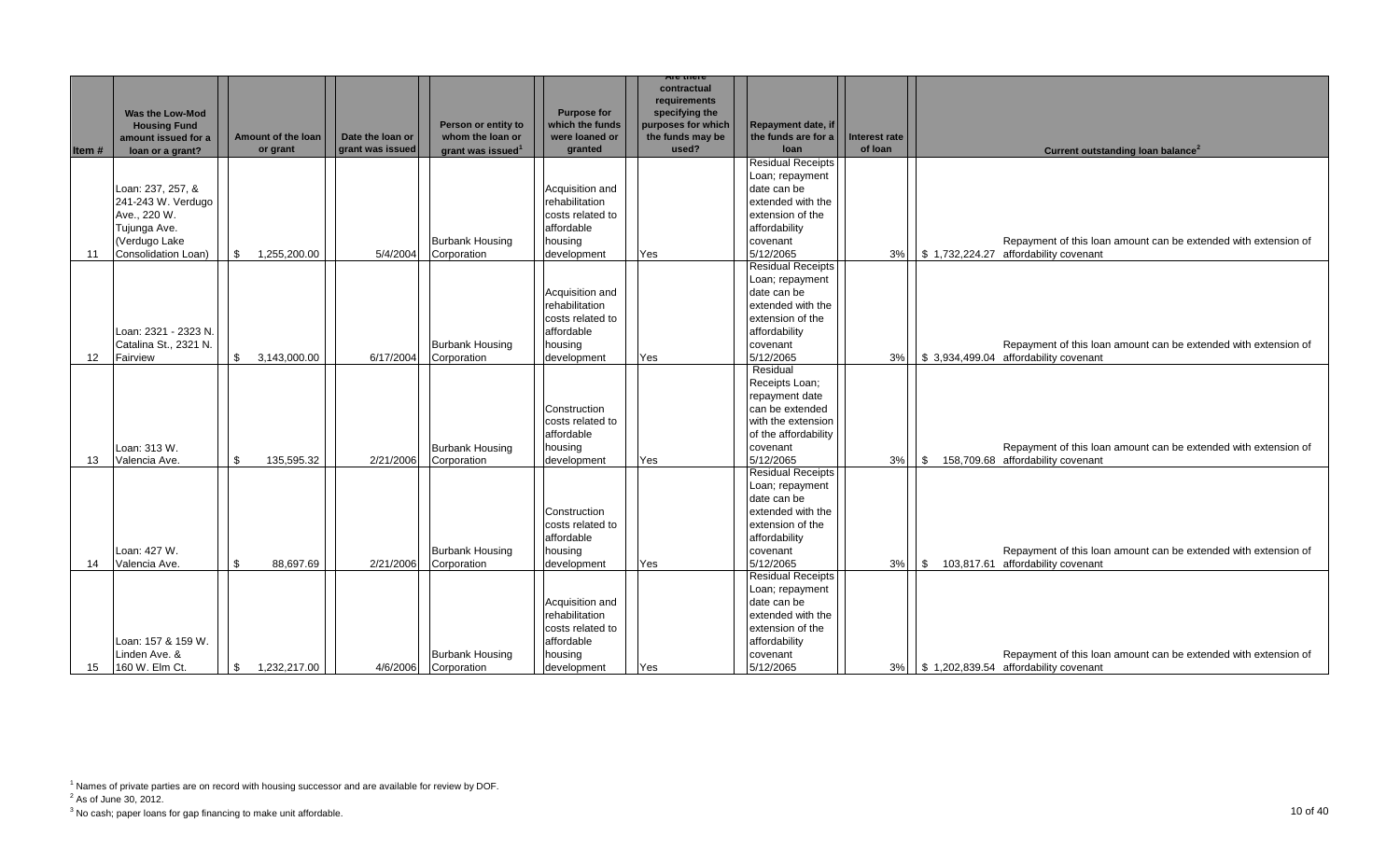| Item# |                   | <b>Was the Low-Mod</b><br><b>Housing Fund</b><br>amount issued for a<br>loan or a grant? |                | Amount of the loan<br>or grant | Date the loan or<br>grant was issued | Person or entity to<br>whom the loan or<br>grant was issued <sup>1</sup> | <b>Purpose for</b><br>which the funds<br>were loaned or<br>granted | are mere<br>contractual<br>requirements<br>specifying the<br>purposes for which<br>the funds may be<br>used? | Repayment date, if<br>the funds are for a<br>loan | <b>Interest rate</b><br>of loan | Current outstanding loan balance <sup>2</sup>                   |
|-------|-------------------|------------------------------------------------------------------------------------------|----------------|--------------------------------|--------------------------------------|--------------------------------------------------------------------------|--------------------------------------------------------------------|--------------------------------------------------------------------------------------------------------------|---------------------------------------------------|---------------------------------|-----------------------------------------------------------------|
|       |                   |                                                                                          |                |                                |                                      |                                                                          |                                                                    |                                                                                                              | <b>Residual Receipts</b>                          |                                 |                                                                 |
|       |                   |                                                                                          |                |                                |                                      |                                                                          |                                                                    |                                                                                                              | Loan; repayment                                   |                                 |                                                                 |
|       |                   | Loan: 237, 257, &                                                                        |                |                                |                                      |                                                                          | Acquisition and                                                    |                                                                                                              | date can be                                       |                                 |                                                                 |
|       |                   | 241-243 W. Verdugo                                                                       |                |                                |                                      |                                                                          | rehabilitation                                                     |                                                                                                              | extended with the                                 |                                 |                                                                 |
|       |                   | Ave., 220 W.                                                                             |                |                                |                                      |                                                                          | costs related to                                                   |                                                                                                              | extension of the                                  |                                 |                                                                 |
|       |                   | Tujunga Ave.                                                                             |                |                                |                                      |                                                                          | affordable                                                         |                                                                                                              | affordability                                     |                                 |                                                                 |
|       |                   | (Verdugo Lake                                                                            |                |                                |                                      | <b>Burbank Housing</b>                                                   | housing                                                            |                                                                                                              | covenant                                          |                                 | Repayment of this loan amount can be extended with extension of |
|       | -11               | Consolidation Loan)                                                                      | $\mathfrak{S}$ | 1,255,200.00                   | 5/4/2004                             | Corporation                                                              | development                                                        | Yes                                                                                                          | 5/12/2065                                         | 3%                              | \$1,732,224.27 affordability covenant                           |
|       |                   |                                                                                          |                |                                |                                      |                                                                          |                                                                    |                                                                                                              | <b>Residual Receipts</b>                          |                                 |                                                                 |
|       |                   |                                                                                          |                |                                |                                      |                                                                          |                                                                    |                                                                                                              | Loan; repayment                                   |                                 |                                                                 |
|       |                   |                                                                                          |                |                                |                                      |                                                                          | Acquisition and                                                    |                                                                                                              | date can be                                       |                                 |                                                                 |
|       |                   |                                                                                          |                |                                |                                      |                                                                          | rehabilitation                                                     |                                                                                                              | extended with the                                 |                                 |                                                                 |
|       |                   |                                                                                          |                |                                |                                      |                                                                          | costs related to                                                   |                                                                                                              | extension of the                                  |                                 |                                                                 |
|       |                   | Loan: 2321 - 2323 N.                                                                     |                |                                |                                      |                                                                          | affordable                                                         |                                                                                                              | affordability                                     |                                 |                                                                 |
|       |                   | Catalina St., 2321 N.                                                                    |                |                                |                                      | <b>Burbank Housing</b>                                                   | housing                                                            |                                                                                                              | covenant                                          |                                 | Repayment of this loan amount can be extended with extension of |
|       | $12 \overline{ }$ | Fairview                                                                                 | $\mathbb{S}$   | 3,143,000.00                   | 6/17/2004                            | Corporation                                                              | development                                                        | Yes                                                                                                          | 5/12/2065                                         | 3%                              | \$ 3,934,499.04 affordability covenant                          |
|       |                   |                                                                                          |                |                                |                                      |                                                                          |                                                                    |                                                                                                              | Residual                                          |                                 |                                                                 |
|       |                   |                                                                                          |                |                                |                                      |                                                                          |                                                                    |                                                                                                              | Receipts Loan;                                    |                                 |                                                                 |
|       |                   |                                                                                          |                |                                |                                      |                                                                          |                                                                    |                                                                                                              | repayment date<br>can be extended                 |                                 |                                                                 |
|       |                   |                                                                                          |                |                                |                                      |                                                                          | Construction<br>costs related to                                   |                                                                                                              | with the extension                                |                                 |                                                                 |
|       |                   |                                                                                          |                |                                |                                      |                                                                          | affordable                                                         |                                                                                                              | of the affordability                              |                                 |                                                                 |
|       |                   | Loan: 313 W.                                                                             |                |                                |                                      | <b>Burbank Housing</b>                                                   | housing                                                            |                                                                                                              | covenant                                          |                                 | Repayment of this loan amount can be extended with extension of |
|       | 13                | Valencia Ave.                                                                            | \$             | 135,595.32                     | 2/21/2006                            | Corporation                                                              | development                                                        | Yes                                                                                                          | 5/12/2065                                         | 3%                              | \$ 158,709.68 affordability covenant                            |
|       |                   |                                                                                          |                |                                |                                      |                                                                          |                                                                    |                                                                                                              | <b>Residual Receipts</b>                          |                                 |                                                                 |
|       |                   |                                                                                          |                |                                |                                      |                                                                          |                                                                    |                                                                                                              | Loan; repayment                                   |                                 |                                                                 |
|       |                   |                                                                                          |                |                                |                                      |                                                                          |                                                                    |                                                                                                              | date can be                                       |                                 |                                                                 |
|       |                   |                                                                                          |                |                                |                                      |                                                                          | Construction                                                       |                                                                                                              | extended with the                                 |                                 |                                                                 |
|       |                   |                                                                                          |                |                                |                                      |                                                                          | costs related to                                                   |                                                                                                              | extension of the                                  |                                 |                                                                 |
|       |                   |                                                                                          |                |                                |                                      |                                                                          | affordable                                                         |                                                                                                              | affordability                                     |                                 |                                                                 |
|       |                   | Loan: 427 W.                                                                             |                |                                |                                      | <b>Burbank Housing</b>                                                   | housing                                                            |                                                                                                              | covenant                                          |                                 | Repayment of this loan amount can be extended with extension of |
|       | 14                | Valencia Ave.                                                                            | \$             | 88,697.69                      | 2/21/2006                            | Corporation                                                              | development                                                        | Yes                                                                                                          | 5/12/2065                                         | 3%                              | \$ 103,817.61 affordability covenant                            |
|       |                   |                                                                                          |                |                                |                                      |                                                                          |                                                                    |                                                                                                              | <b>Residual Receipts</b>                          |                                 |                                                                 |
|       |                   |                                                                                          |                |                                |                                      |                                                                          |                                                                    |                                                                                                              | Loan; repayment                                   |                                 |                                                                 |
|       |                   |                                                                                          |                |                                |                                      |                                                                          | Acquisition and                                                    |                                                                                                              | date can be                                       |                                 |                                                                 |
|       |                   |                                                                                          |                |                                |                                      |                                                                          | rehabilitation                                                     |                                                                                                              | extended with the                                 |                                 |                                                                 |
|       |                   |                                                                                          |                |                                |                                      |                                                                          | costs related to                                                   |                                                                                                              | extension of the                                  |                                 |                                                                 |
|       |                   | Loan: 157 & 159 W.                                                                       |                |                                |                                      |                                                                          | affordable                                                         |                                                                                                              | affordability                                     |                                 |                                                                 |
|       |                   | Linden Ave. &                                                                            |                |                                |                                      | <b>Burbank Housing</b>                                                   | housing                                                            |                                                                                                              | covenant                                          |                                 | Repayment of this loan amount can be extended with extension of |
|       | 15                | 160 W. Elm Ct.                                                                           | \$             | 1,232,217.00                   | 4/6/2006                             | Corporation                                                              | development                                                        | Yes                                                                                                          | 5/12/2065                                         | 3%                              | $\frac{1}{2}$ \$ 1,202,839.54 affordability covenant            |

 $2^2$  As of June 30, 2012.

<sup>&</sup>lt;sup>1</sup> Names of private parties are on record with housing successor and are available for review by DOF.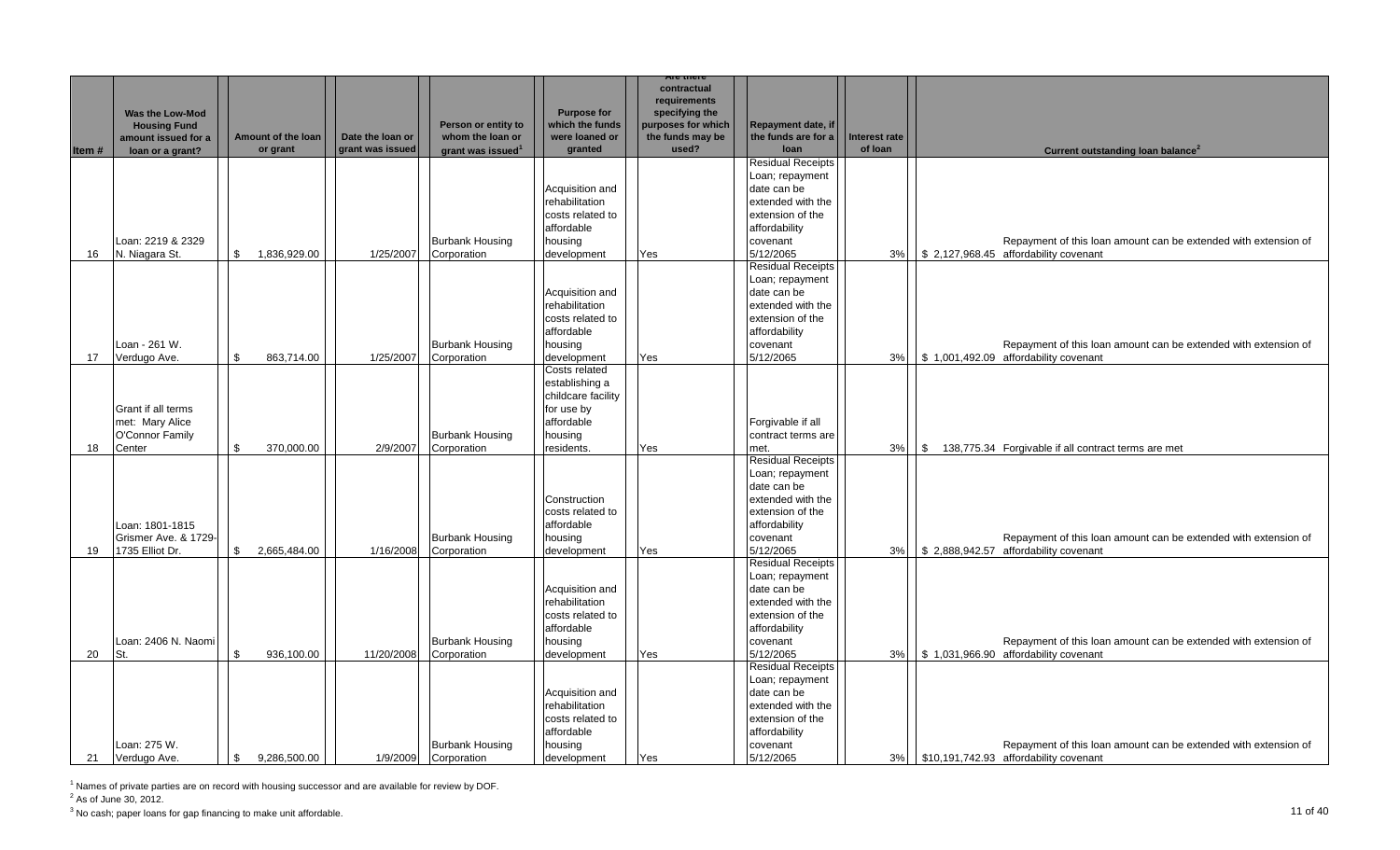|       |                                         |                            |                  |                                       |                                       | are mere                               |                                           |               |                                                                                                           |
|-------|-----------------------------------------|----------------------------|------------------|---------------------------------------|---------------------------------------|----------------------------------------|-------------------------------------------|---------------|-----------------------------------------------------------------------------------------------------------|
|       |                                         |                            |                  |                                       |                                       | contractual                            |                                           |               |                                                                                                           |
|       |                                         |                            |                  |                                       |                                       | requirements                           |                                           |               |                                                                                                           |
|       | <b>Was the Low-Mod</b>                  |                            |                  | Person or entity to                   | <b>Purpose for</b><br>which the funds | specifying the                         |                                           |               |                                                                                                           |
|       | <b>Housing Fund</b>                     | Amount of the loan         | Date the loan or | whom the loan or                      | were loaned or                        | purposes for which<br>the funds may be | Repayment date, if<br>the funds are for a | Interest rate |                                                                                                           |
| Item# | amount issued for a<br>loan or a grant? | or grant                   | grant was issued | grant was issued <sup>1</sup>         | granted                               | used?                                  | loan                                      | of loan       | Current outstanding loan balance <sup>2</sup>                                                             |
|       |                                         |                            |                  |                                       |                                       |                                        | <b>Residual Receipts</b>                  |               |                                                                                                           |
|       |                                         |                            |                  |                                       |                                       |                                        | Loan; repayment                           |               |                                                                                                           |
|       |                                         |                            |                  |                                       | Acquisition and                       |                                        | date can be                               |               |                                                                                                           |
|       |                                         |                            |                  |                                       | rehabilitation                        |                                        | extended with the                         |               |                                                                                                           |
|       |                                         |                            |                  |                                       | costs related to                      |                                        | extension of the                          |               |                                                                                                           |
|       |                                         |                            |                  |                                       | affordable                            |                                        | affordability                             |               |                                                                                                           |
|       | Loan: 2219 & 2329                       |                            |                  | <b>Burbank Housing</b>                | housing                               |                                        | covenant                                  |               | Repayment of this loan amount can be extended with extension of                                           |
| 16    | N. Niagara St.                          | 1,836,929.00<br>$^{\circ}$ | 1/25/2007        | Corporation                           | development                           | Yes                                    | 5/12/2065                                 | 3%            | \$2,127,968.45 affordability covenant                                                                     |
|       |                                         |                            |                  |                                       |                                       |                                        | <b>Residual Receipts</b>                  |               |                                                                                                           |
|       |                                         |                            |                  |                                       |                                       |                                        | Loan; repayment                           |               |                                                                                                           |
|       |                                         |                            |                  |                                       | Acquisition and                       |                                        | date can be                               |               |                                                                                                           |
|       |                                         |                            |                  |                                       | rehabilitation                        |                                        | extended with the                         |               |                                                                                                           |
|       |                                         |                            |                  |                                       | costs related to                      |                                        | extension of the                          |               |                                                                                                           |
|       |                                         |                            |                  |                                       | affordable                            |                                        | affordability                             |               |                                                                                                           |
|       | Loan - 261 W.                           |                            |                  | <b>Burbank Housing</b>                | housing                               |                                        | covenant                                  |               | Repayment of this loan amount can be extended with extension of                                           |
| 17    | Verdugo Ave.                            | \$<br>863,714.00           | 1/25/2007        | Corporation                           | development                           | Yes                                    | 5/12/2065                                 | 3%            | \$1,001,492.09 affordability covenant                                                                     |
|       |                                         |                            |                  |                                       | Costs related<br>establishing a       |                                        |                                           |               |                                                                                                           |
|       |                                         |                            |                  |                                       | childcare facility                    |                                        |                                           |               |                                                                                                           |
|       | Grant if all terms                      |                            |                  |                                       | for use by                            |                                        |                                           |               |                                                                                                           |
|       | met: Mary Alice                         |                            |                  |                                       | affordable                            |                                        | Forgivable if all                         |               |                                                                                                           |
|       | O'Connor Family                         |                            |                  | <b>Burbank Housing</b>                | housing                               |                                        | contract terms are                        |               |                                                                                                           |
| 18    | Center                                  | \$<br>370,000.00           | 2/9/2007         | Corporation                           | residents.                            | Yes                                    | met.                                      | 3%            | \$138,775.34 Forgivable if all contract terms are met                                                     |
|       |                                         |                            |                  |                                       |                                       |                                        | <b>Residual Receipts</b>                  |               |                                                                                                           |
|       |                                         |                            |                  |                                       |                                       |                                        | Loan; repayment                           |               |                                                                                                           |
|       |                                         |                            |                  |                                       |                                       |                                        | date can be                               |               |                                                                                                           |
|       |                                         |                            |                  |                                       | Construction                          |                                        | extended with the                         |               |                                                                                                           |
|       |                                         |                            |                  |                                       | costs related to                      |                                        | extension of the                          |               |                                                                                                           |
|       | Loan: 1801-1815                         |                            |                  |                                       | affordable                            |                                        | affordability                             |               |                                                                                                           |
|       | Grismer Ave. & 1729-                    |                            |                  | <b>Burbank Housing</b>                | housing                               |                                        | covenant                                  |               | Repayment of this loan amount can be extended with extension of                                           |
| 19    | 1735 Elliot Dr.                         | \$2,665,484.00             | 1/16/2008        | Corporation                           | development                           | Yes                                    | 5/12/2065                                 | 3%            | \$ 2,888,942.57 affordability covenant                                                                    |
|       |                                         |                            |                  |                                       |                                       |                                        | <b>Residual Receipts</b>                  |               |                                                                                                           |
|       |                                         |                            |                  |                                       |                                       |                                        | Loan; repayment                           |               |                                                                                                           |
|       |                                         |                            |                  |                                       | Acquisition and                       |                                        | date can be                               |               |                                                                                                           |
|       |                                         |                            |                  |                                       | rehabilitation                        |                                        | extended with the                         |               |                                                                                                           |
|       |                                         |                            |                  |                                       | costs related to<br>affordable        |                                        | extension of the<br>affordability         |               |                                                                                                           |
|       |                                         |                            |                  |                                       |                                       |                                        |                                           |               |                                                                                                           |
| 20    | Loan: 2406 N. Naomi<br>St.              | \$<br>936,100.00           | 11/20/2008       | <b>Burbank Housing</b><br>Corporation | housing<br>development                | Yes                                    | covenant<br>5/12/2065                     | 3%            | Repayment of this loan amount can be extended with extension of<br>\$ 1,031,966.90 affordability covenant |
|       |                                         |                            |                  |                                       |                                       |                                        | <b>Residual Receipts</b>                  |               |                                                                                                           |
|       |                                         |                            |                  |                                       |                                       |                                        | Loan; repayment                           |               |                                                                                                           |
|       |                                         |                            |                  |                                       | Acquisition and                       |                                        | date can be                               |               |                                                                                                           |
|       |                                         |                            |                  |                                       | rehabilitation                        |                                        | extended with the                         |               |                                                                                                           |
|       |                                         |                            |                  |                                       | costs related to                      |                                        | extension of the                          |               |                                                                                                           |
|       |                                         |                            |                  |                                       | affordable                            |                                        | affordability                             |               |                                                                                                           |
|       | Loan: 275 W.                            |                            |                  | <b>Burbank Housing</b>                | housing                               |                                        | covenant                                  |               | Repayment of this loan amount can be extended with extension of                                           |
| 21    | Verdugo Ave.                            | 9,286,500.00<br>\$         | 1/9/2009         | Corporation                           | development                           | Yes                                    | 5/12/2065                                 | 3%            | \$10,191,742.93 affordability covenant                                                                    |

 $2^2$  As of June 30, 2012.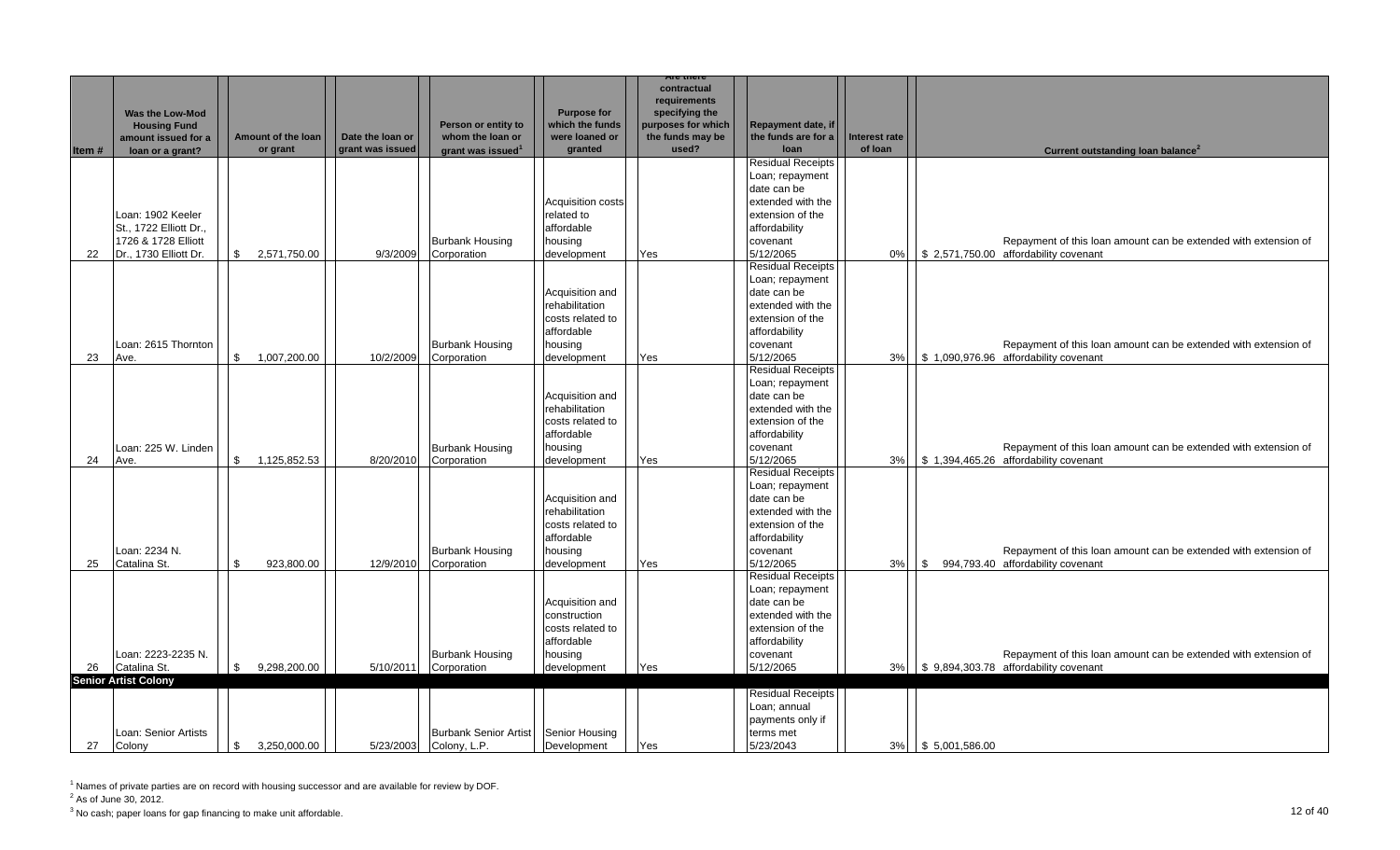|        |                             |                                |                  |                               |                                        | are mere                             |                           |              |                      |                                                                 |
|--------|-----------------------------|--------------------------------|------------------|-------------------------------|----------------------------------------|--------------------------------------|---------------------------|--------------|----------------------|-----------------------------------------------------------------|
|        |                             |                                |                  |                               |                                        | contractual<br>requirements          |                           |              |                      |                                                                 |
|        |                             |                                |                  |                               | <b>Purpose for</b>                     |                                      |                           |              |                      |                                                                 |
|        | Was the Low-Mod             |                                |                  | Person or entity to           | which the funds                        | specifying the<br>purposes for which | <b>Repayment date, if</b> |              |                      |                                                                 |
|        | <b>Housing Fund</b>         | Amount of the loan             | Date the loan or | whom the loan or              | were loaned or                         | the funds may be                     | the funds are for a       | nterest rate |                      |                                                                 |
|        | amount issued for a         | or grant                       | grant was issued | grant was issued <sup>1</sup> | granted                                | used?                                | loan                      | of loan      |                      | Current outstanding loan balance <sup>2</sup>                   |
| ltem # | loan or a grant?            |                                |                  |                               |                                        |                                      | Residual Receipts         |              |                      |                                                                 |
|        |                             |                                |                  |                               |                                        |                                      | Loan; repayment           |              |                      |                                                                 |
|        |                             |                                |                  |                               |                                        |                                      | date can be               |              |                      |                                                                 |
|        |                             |                                |                  |                               |                                        |                                      | extended with the         |              |                      |                                                                 |
|        |                             |                                |                  |                               | <b>Acquisition costs</b><br>related to |                                      | extension of the          |              |                      |                                                                 |
|        | Loan: 1902 Keeler           |                                |                  |                               |                                        |                                      |                           |              |                      |                                                                 |
|        | St., 1722 Elliott Dr.,      |                                |                  |                               | affordable                             |                                      | affordability             |              |                      |                                                                 |
|        | 1726 & 1728 Elliott         |                                |                  | <b>Burbank Housing</b>        | housing                                |                                      | covenant                  |              |                      | Repayment of this loan amount can be extended with extension of |
| 22     | Dr., 1730 Elliott Dr.       | $\mathfrak{S}$<br>2,571,750.00 | 9/3/2009         | Corporation                   | development                            | Yes                                  | 5/12/2065                 |              |                      | 0% \$ 2,571,750.00 affordability covenant                       |
|        |                             |                                |                  |                               |                                        |                                      | <b>Residual Receipts</b>  |              |                      |                                                                 |
|        |                             |                                |                  |                               |                                        |                                      | Loan; repayment           |              |                      |                                                                 |
|        |                             |                                |                  |                               | Acquisition and                        |                                      | date can be               |              |                      |                                                                 |
|        |                             |                                |                  |                               | rehabilitation                         |                                      | extended with the         |              |                      |                                                                 |
|        |                             |                                |                  |                               | costs related to                       |                                      | extension of the          |              |                      |                                                                 |
|        |                             |                                |                  |                               | affordable                             |                                      | affordability             |              |                      |                                                                 |
|        | Loan: 2615 Thornton         |                                |                  | <b>Burbank Housing</b>        | housing                                |                                      | covenant                  |              |                      | Repayment of this loan amount can be extended with extension of |
| 23     | Ave.                        | $^{\circ}$<br>1,007,200.00     | 10/2/2009        | Corporation                   | development                            | Yes                                  | 5/12/2065                 |              |                      | 3% \ \ \ \$ 1,090,976.96 affordability covenant                 |
|        |                             |                                |                  |                               |                                        |                                      | <b>Residual Receipts</b>  |              |                      |                                                                 |
|        |                             |                                |                  |                               |                                        |                                      | Loan; repayment           |              |                      |                                                                 |
|        |                             |                                |                  |                               | Acquisition and                        |                                      | date can be               |              |                      |                                                                 |
|        |                             |                                |                  |                               | rehabilitation                         |                                      | extended with the         |              |                      |                                                                 |
|        |                             |                                |                  |                               | costs related to                       |                                      | extension of the          |              |                      |                                                                 |
|        |                             |                                |                  |                               | affordable                             |                                      | affordability             |              |                      |                                                                 |
|        | Loan: 225 W. Linden         |                                |                  | <b>Burbank Housing</b>        | housing                                |                                      | covenant                  |              |                      | Repayment of this loan amount can be extended with extension of |
| 24     | Ave.                        | \$<br>1,125,852.53             | 8/20/2010        | Corporation                   | development                            | Yes                                  | 5/12/2065                 | 3%           |                      | \$1,394,465.26 affordability covenant                           |
|        |                             |                                |                  |                               |                                        |                                      | Residual Receipts         |              |                      |                                                                 |
|        |                             |                                |                  |                               |                                        |                                      | Loan; repayment           |              |                      |                                                                 |
|        |                             |                                |                  |                               | Acquisition and                        |                                      | date can be               |              |                      |                                                                 |
|        |                             |                                |                  |                               | rehabilitation                         |                                      | extended with the         |              |                      |                                                                 |
|        |                             |                                |                  |                               | costs related to                       |                                      | extension of the          |              |                      |                                                                 |
|        |                             |                                |                  |                               | affordable                             |                                      | affordability             |              |                      |                                                                 |
|        | Loan: 2234 N.               |                                |                  | <b>Burbank Housing</b>        | housing                                |                                      | covenant                  |              |                      | Repayment of this loan amount can be extended with extension of |
| 25     | Catalina St.                | \$.<br>923,800.00              | 12/9/2010        | Corporation                   | development                            | Yes                                  | 5/12/2065                 | 3%           | \$                   | 994,793.40 affordability covenant                               |
|        |                             |                                |                  |                               |                                        |                                      | <b>Residual Receipts</b>  |              |                      |                                                                 |
|        |                             |                                |                  |                               |                                        |                                      | Loan; repayment           |              |                      |                                                                 |
|        |                             |                                |                  |                               | Acquisition and                        |                                      | date can be               |              |                      |                                                                 |
|        |                             |                                |                  |                               | construction                           |                                      | extended with the         |              |                      |                                                                 |
|        |                             |                                |                  |                               | costs related to                       |                                      | extension of the          |              |                      |                                                                 |
|        |                             |                                |                  |                               | affordable                             |                                      | affordability             |              |                      |                                                                 |
|        | Loan: 2223-2235 N.          |                                |                  | <b>Burbank Housing</b>        | housing                                |                                      | covenant                  |              |                      | Repayment of this loan amount can be extended with extension of |
| 26     | Catalina St.                | \$<br>9,298,200.00             | 5/10/2011        | Corporation                   | development                            | Yes                                  | 5/12/2065                 | 3%           |                      | \$9,894,303.78 affordability covenant                           |
|        | <b>Senior Artist Colony</b> |                                |                  |                               |                                        |                                      |                           |              |                      |                                                                 |
|        |                             |                                |                  |                               |                                        |                                      | <b>Residual Receipts</b>  |              |                      |                                                                 |
|        |                             |                                |                  |                               |                                        |                                      | Loan; annual              |              |                      |                                                                 |
|        |                             |                                |                  |                               |                                        |                                      | payments only if          |              |                      |                                                                 |
|        | Loan: Senior Artists        |                                |                  | <b>Burbank Senior Artist</b>  | Senior Housing                         |                                      | terms met                 |              |                      |                                                                 |
|        | 27 Colony                   | $\mathbb{S}$<br>3,250,000.00   |                  | 5/23/2003 Colony, L.P.        | Development                            | Yes                                  | 5/23/2043                 |              | 3%   \$ 5,001,586.00 |                                                                 |

 $2^2$  As of June 30, 2012.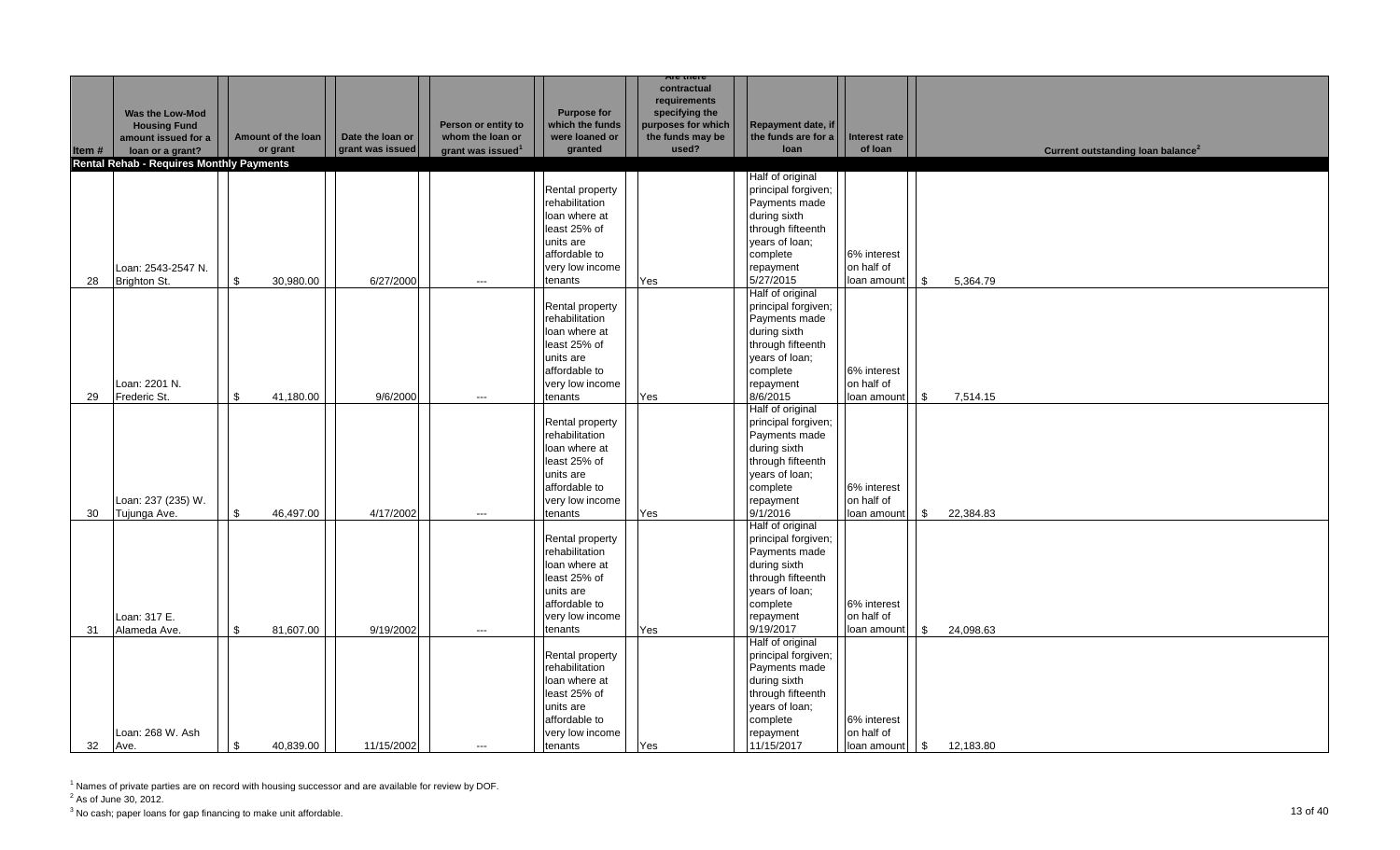|       |                                          |                    |                  |                               |                               | Are mere                    |                                         |                           |                                               |
|-------|------------------------------------------|--------------------|------------------|-------------------------------|-------------------------------|-----------------------------|-----------------------------------------|---------------------------|-----------------------------------------------|
|       |                                          |                    |                  |                               |                               | contractual<br>requirements |                                         |                           |                                               |
|       | Was the Low-Mod                          |                    |                  |                               | <b>Purpose for</b>            | specifying the              |                                         |                           |                                               |
|       | <b>Housing Fund</b>                      |                    |                  | Person or entity to           | which the funds               | purposes for which          | Repayment date, if                      |                           |                                               |
|       | amount issued for a                      | Amount of the loan | Date the loan or | whom the loan or              | were loaned or                | the funds may be            | the funds are for a                     | Interest rate             |                                               |
| Item# | loan or a grant?                         | or grant           | grant was issued | grant was issued <sup>1</sup> | granted                       | used?                       | loan                                    | of loan                   | Current outstanding loan balance <sup>2</sup> |
|       | Rental Rehab - Requires Monthly Payments |                    |                  |                               |                               |                             | Half of original                        |                           |                                               |
|       |                                          |                    |                  |                               | Rental property               |                             | principal forgiven;                     |                           |                                               |
|       |                                          |                    |                  |                               | rehabilitation                |                             | Payments made                           |                           |                                               |
|       |                                          |                    |                  |                               | loan where at                 |                             | during sixth                            |                           |                                               |
|       |                                          |                    |                  |                               | least 25% of                  |                             | through fifteenth                       |                           |                                               |
|       |                                          |                    |                  |                               | units are                     |                             | years of loan;                          |                           |                                               |
|       |                                          |                    |                  |                               | affordable to                 |                             | complete                                | 6% interest               |                                               |
|       | Loan: 2543-2547 N.                       |                    |                  |                               | very low income               |                             | repayment                               | on half of                |                                               |
| 28    | Brighton St.                             | 30,980.00<br>\$    | 6/27/2000        | $\hspace{0.05cm} \ldots$      | tenants                       | Yes                         | 5/27/2015                               | loan amount               | 5,364.79<br><b>S</b>                          |
|       |                                          |                    |                  |                               |                               |                             | Half of original                        |                           |                                               |
|       |                                          |                    |                  |                               | Rental property               |                             | principal forgiven;                     |                           |                                               |
|       |                                          |                    |                  |                               | rehabilitation                |                             | Payments made                           |                           |                                               |
|       |                                          |                    |                  |                               | loan where at<br>least 25% of |                             | during sixth<br>through fifteenth       |                           |                                               |
|       |                                          |                    |                  |                               | units are                     |                             | years of loan;                          |                           |                                               |
|       |                                          |                    |                  |                               | affordable to                 |                             | complete                                | 6% interest               |                                               |
|       | Loan: 2201 N.                            |                    |                  |                               | very low income               |                             | repayment                               | on half of                |                                               |
| 29    | Frederic St.                             | \$<br>41,180.00    | 9/6/2000         | $---$                         | tenants                       | Yes                         | 8/6/2015                                | loan amount               | $\sqrt{3}$<br>7,514.15                        |
|       |                                          |                    |                  |                               |                               |                             | Half of original                        |                           |                                               |
|       |                                          |                    |                  |                               | Rental property               |                             | principal forgiven;                     |                           |                                               |
|       |                                          |                    |                  |                               | rehabilitation                |                             | Payments made                           |                           |                                               |
|       |                                          |                    |                  |                               | loan where at                 |                             | during sixth                            |                           |                                               |
|       |                                          |                    |                  |                               | least 25% of                  |                             | through fifteenth                       |                           |                                               |
|       |                                          |                    |                  |                               | units are                     |                             | years of loan;                          |                           |                                               |
|       |                                          |                    |                  |                               | affordable to                 |                             | complete                                | 6% interest               |                                               |
| 30    | Loan: 237 (235) W.                       | \$<br>46,497.00    | 4/17/2002        | $\hspace{0.05cm} \ldots$      | very low income<br>tenants    | Yes                         | repayment<br>9/1/2016                   | on half of<br>loan amount | 22,384.83<br>\$                               |
|       | Tujunga Ave.                             |                    |                  |                               |                               |                             | Half of original                        |                           |                                               |
|       |                                          |                    |                  |                               | Rental property               |                             | principal forgiven;                     |                           |                                               |
|       |                                          |                    |                  |                               | rehabilitation                |                             | Payments made                           |                           |                                               |
|       |                                          |                    |                  |                               | loan where at                 |                             | during sixth                            |                           |                                               |
|       |                                          |                    |                  |                               | least 25% of                  |                             | through fifteenth                       |                           |                                               |
|       |                                          |                    |                  |                               | units are                     |                             | years of loan;                          |                           |                                               |
|       |                                          |                    |                  |                               | affordable to                 |                             | complete                                | 6% interest               |                                               |
|       | Loan: 317 E.                             |                    |                  |                               | very low income               |                             | repayment                               | on half of                |                                               |
| 31    | Alameda Ave.                             | \$<br>81,607.00    | 9/19/2002        | $\hspace{0.05cm} \ldots$      | tenants                       | Yes                         | 9/19/2017                               | loan amount               | l \$<br>24,098.63                             |
|       |                                          |                    |                  |                               | Rental property               |                             | Half of original<br>principal forgiven; |                           |                                               |
|       |                                          |                    |                  |                               | rehabilitation                |                             | Payments made                           |                           |                                               |
|       |                                          |                    |                  |                               | loan where at                 |                             | during sixth                            |                           |                                               |
|       |                                          |                    |                  |                               | least 25% of                  |                             | through fifteenth                       |                           |                                               |
|       |                                          |                    |                  |                               | units are                     |                             | years of loan;                          |                           |                                               |
|       |                                          |                    |                  |                               | affordable to                 |                             | complete                                | 6% interest               |                                               |
|       | Loan: 268 W. Ash                         |                    |                  |                               | very low income               |                             | repayment                               | on half of                |                                               |
| 32    | Ave.                                     | \$<br>40,839.00    | 11/15/2002       | $---$                         | tenants                       | Yes                         | 11/15/2017                              | loan amount               | $\sqrt{3}$<br>12,183.80                       |

 $2^2$  As of June 30, 2012.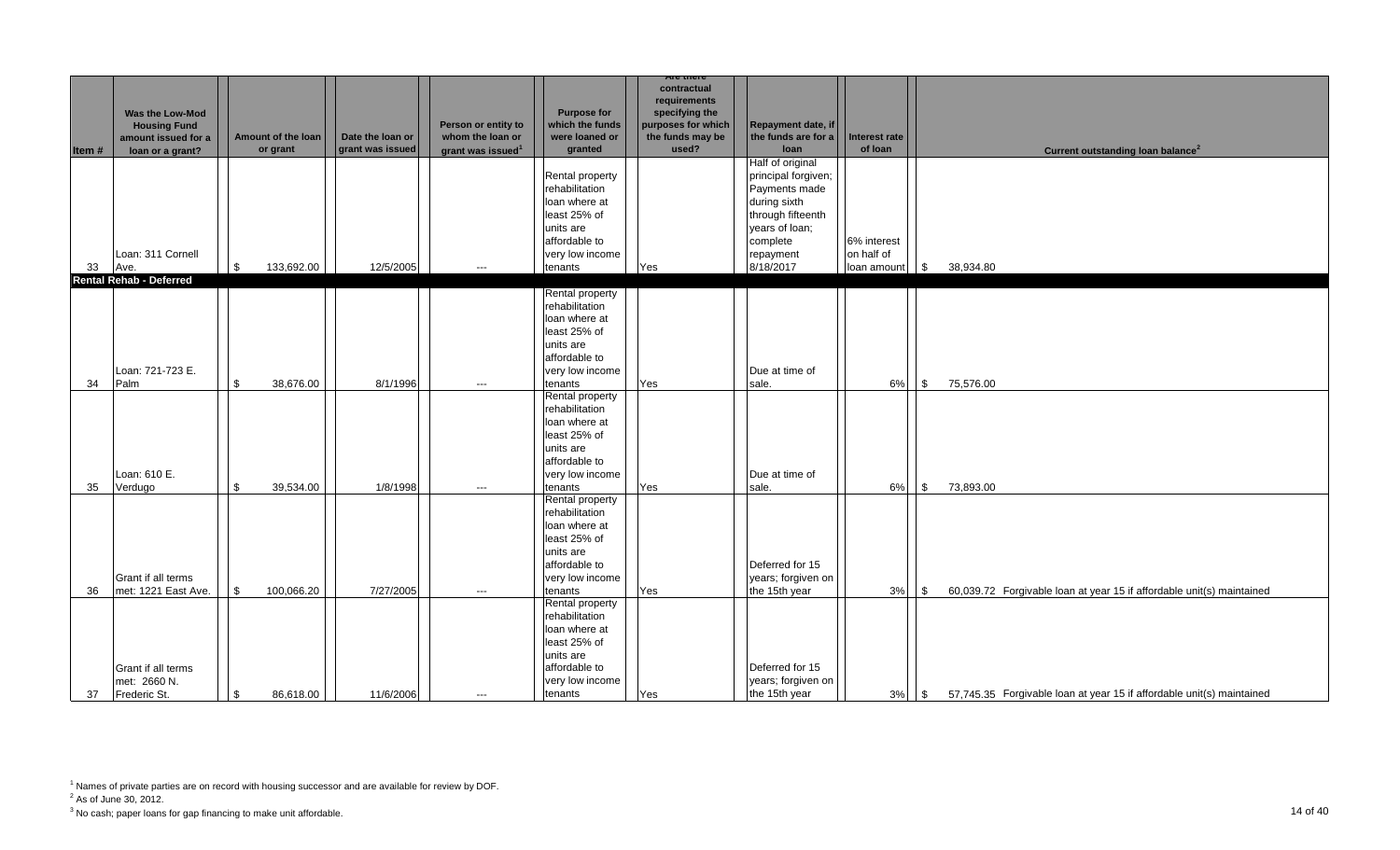| Item# | <b>Was the Low-Mod</b><br><b>Housing Fund</b><br>amount issued for a<br>loan or a grant? | Amount of the loan<br>or grant | Date the loan or<br>grant was issued | Person or entity to<br>whom the loan or<br>grant was issued <sup>1</sup> | <b>Purpose for</b><br>which the funds<br>were loaned or<br>granted                                                             | Are there<br>contractual<br>requirements<br>specifying the<br>purposes for which<br>the funds may be<br>used? | Repayment date, if<br>the funds are for a<br>loan                                                                                                     | Interest rate<br>of loan                 | Current outstanding loan balance <sup>2</sup>                                     |
|-------|------------------------------------------------------------------------------------------|--------------------------------|--------------------------------------|--------------------------------------------------------------------------|--------------------------------------------------------------------------------------------------------------------------------|---------------------------------------------------------------------------------------------------------------|-------------------------------------------------------------------------------------------------------------------------------------------------------|------------------------------------------|-----------------------------------------------------------------------------------|
| 33    | Loan: 311 Cornell<br>Ave.                                                                | \$<br>133,692.00               | 12/5/2005                            | $\qquad \qquad -$                                                        | Rental property<br>rehabilitation<br>loan where at<br>least 25% of<br>units are<br>affordable to<br>very low income<br>tenants | Yes                                                                                                           | Half of original<br>principal forgiven;<br>Payments made<br>during sixth<br>through fifteenth<br>vears of loan;<br>complete<br>repayment<br>8/18/2017 | 6% interest<br>on half of<br>loan amount | <b>\$</b><br>38,934.80                                                            |
|       | <b>Rental Rehab - Deferred</b>                                                           |                                |                                      |                                                                          | Rental property                                                                                                                |                                                                                                               |                                                                                                                                                       |                                          |                                                                                   |
| 34    | Loan: 721-723 E.<br>Palm                                                                 | \$<br>38,676.00                | 8/1/1996                             | $\hspace{0.05cm} \ldots$                                                 | rehabilitation<br>loan where at<br>least 25% of<br>units are<br>affordable to<br>very low income<br>tenants                    | Yes                                                                                                           | Due at time of<br>sale.                                                                                                                               | 6%                                       | $\sqrt{3}$<br>75,576.00                                                           |
| 35    | Loan: 610 E.<br>Verdugo                                                                  | \$<br>39,534.00                | 1/8/1998                             | $\hspace{0.05cm} \ldots$                                                 | Rental property<br>rehabilitation<br>loan where at<br>least 25% of<br>units are<br>affordable to<br>very low income<br>tenants | Yes                                                                                                           | Due at time of<br>sale.                                                                                                                               | 6%                                       | $\sqrt{3}$<br>73,893.00                                                           |
| 36    | Grant if all terms<br>met: 1221 East Ave.                                                | \$<br>100,066.20               | 7/27/2005                            | $\qquad \qquad -$                                                        | Rental property<br>rehabilitation<br>loan where at<br>least 25% of<br>units are<br>affordable to<br>very low income<br>tenants | Yes                                                                                                           | Deferred for 15<br>years; forgiven on<br>the 15th year                                                                                                | $3%$ \$                                  | 60,039.72 Forgivable loan at year 15 if affordable unit(s) maintained             |
| 37    | Grant if all terms<br>met: 2660 N.<br>Frederic St.                                       | \$<br>86,618.00                | 11/6/2006                            | $---$                                                                    | Rental property<br>rehabilitation<br>loan where at<br>least 25% of<br>units are<br>affordable to<br>very low income<br>tenants | Yes                                                                                                           | Deferred for 15<br>years; forgiven on<br>the 15th year                                                                                                | 3%                                       | <b>S</b><br>57,745.35 Forgivable loan at year 15 if affordable unit(s) maintained |

<sup>&</sup>lt;sup>1</sup> Names of private parties are on record with housing successor and are available for review by DOF.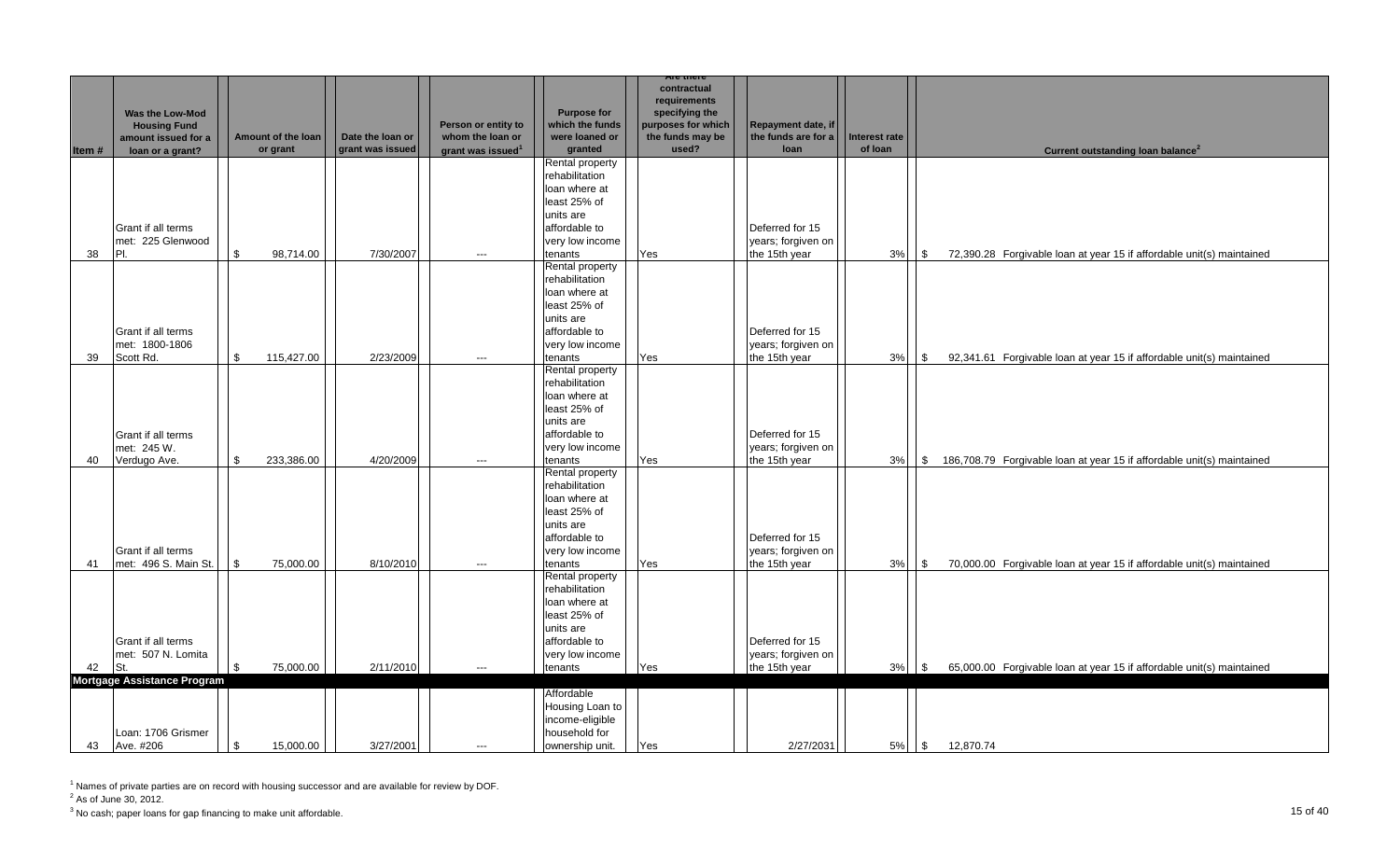|       |                                    |                    |                  |                               |                    | are mere           |                     |               |                |                                                                        |
|-------|------------------------------------|--------------------|------------------|-------------------------------|--------------------|--------------------|---------------------|---------------|----------------|------------------------------------------------------------------------|
|       |                                    |                    |                  |                               |                    | contractual        |                     |               |                |                                                                        |
|       |                                    |                    |                  |                               |                    | requirements       |                     |               |                |                                                                        |
|       | <b>Was the Low-Mod</b>             |                    |                  |                               | <b>Purpose for</b> | specifying the     |                     |               |                |                                                                        |
|       | <b>Housing Fund</b>                |                    |                  | Person or entity to           | which the funds    | purposes for which | Repayment date, if  |               |                |                                                                        |
|       | amount issued for a                | Amount of the loan | Date the loan or | whom the loan or              | were loaned or     | the funds may be   | the funds are for a | Interest rate |                |                                                                        |
| Item# | loan or a grant?                   | or grant           | grant was issued | grant was issued <sup>1</sup> | granted            | used?              | loan                | of loan       |                | Current outstanding loan balance <sup>2</sup>                          |
|       |                                    |                    |                  |                               | Rental property    |                    |                     |               |                |                                                                        |
|       |                                    |                    |                  |                               | rehabilitation     |                    |                     |               |                |                                                                        |
|       |                                    |                    |                  |                               | loan where at      |                    |                     |               |                |                                                                        |
|       |                                    |                    |                  |                               | least 25% of       |                    |                     |               |                |                                                                        |
|       |                                    |                    |                  |                               | units are          |                    |                     |               |                |                                                                        |
|       |                                    |                    |                  |                               |                    |                    |                     |               |                |                                                                        |
|       | Grant if all terms                 |                    |                  |                               | affordable to      |                    | Deferred for 15     |               |                |                                                                        |
|       | met: 225 Glenwood                  |                    |                  |                               | very low income    |                    | years; forgiven on  |               |                |                                                                        |
| 38    | PI.                                | \$<br>98,714.00    | 7/30/2007        | ---                           | tenants            | Yes                | the 15th year       | 3%            | \$             | 72,390.28 Forgivable loan at year 15 if affordable unit(s) maintained  |
|       |                                    |                    |                  |                               | Rental property    |                    |                     |               |                |                                                                        |
|       |                                    |                    |                  |                               | rehabilitation     |                    |                     |               |                |                                                                        |
|       |                                    |                    |                  |                               | loan where at      |                    |                     |               |                |                                                                        |
|       |                                    |                    |                  |                               | least 25% of       |                    |                     |               |                |                                                                        |
|       |                                    |                    |                  |                               | units are          |                    |                     |               |                |                                                                        |
|       | Grant if all terms                 |                    |                  |                               | affordable to      |                    | Deferred for 15     |               |                |                                                                        |
|       | met: 1800-1806                     |                    |                  |                               | very low income    |                    | years; forgiven on  |               |                |                                                                        |
| 39    | Scott Rd.                          | \$<br>115,427.00   | 2/23/2009        | ---                           | tenants            | Yes                | the 15th year       | 3%            | $\mathfrak{F}$ | 92,341.61 Forgivable loan at year 15 if affordable unit(s) maintained  |
|       |                                    |                    |                  |                               | Rental property    |                    |                     |               |                |                                                                        |
|       |                                    |                    |                  |                               | rehabilitation     |                    |                     |               |                |                                                                        |
|       |                                    |                    |                  |                               |                    |                    |                     |               |                |                                                                        |
|       |                                    |                    |                  |                               | loan where at      |                    |                     |               |                |                                                                        |
|       |                                    |                    |                  |                               | least 25% of       |                    |                     |               |                |                                                                        |
|       |                                    |                    |                  |                               | units are          |                    |                     |               |                |                                                                        |
|       | <b>Grant if all terms</b>          |                    |                  |                               | affordable to      |                    | Deferred for 15     |               |                |                                                                        |
|       | met: 245 W.                        |                    |                  |                               | very low income    |                    | years; forgiven on  |               |                |                                                                        |
| 40    | Verdugo Ave.                       | \$<br>233,386.00   | 4/20/2009        | ---                           | tenants            | Yes                | the 15th year       | 3%            | $\sqrt{3}$     | 186,708.79 Forgivable loan at year 15 if affordable unit(s) maintained |
|       |                                    |                    |                  |                               | Rental property    |                    |                     |               |                |                                                                        |
|       |                                    |                    |                  |                               | rehabilitation     |                    |                     |               |                |                                                                        |
|       |                                    |                    |                  |                               | loan where at      |                    |                     |               |                |                                                                        |
|       |                                    |                    |                  |                               | least 25% of       |                    |                     |               |                |                                                                        |
|       |                                    |                    |                  |                               | units are          |                    |                     |               |                |                                                                        |
|       |                                    |                    |                  |                               |                    |                    | Deferred for 15     |               |                |                                                                        |
|       |                                    |                    |                  |                               | affordable to      |                    |                     |               |                |                                                                        |
|       | Grant if all terms                 |                    |                  |                               | very low income    |                    | years; forgiven on  |               |                |                                                                        |
| 41    | met: 496 S. Main St.               | \$<br>75,000.00    | 8/10/2010        | $\qquad \qquad \cdots$        | tenants            | Yes                | the 15th year       | 3%            | \$             | 70,000.00 Forgivable loan at year 15 if affordable unit(s) maintained  |
|       |                                    |                    |                  |                               | Rental property    |                    |                     |               |                |                                                                        |
|       |                                    |                    |                  |                               | rehabilitation     |                    |                     |               |                |                                                                        |
|       |                                    |                    |                  |                               | loan where at      |                    |                     |               |                |                                                                        |
|       |                                    |                    |                  |                               | least 25% of       |                    |                     |               |                |                                                                        |
|       |                                    |                    |                  |                               | units are          |                    |                     |               |                |                                                                        |
|       | Grant if all terms                 |                    |                  |                               | affordable to      |                    | Deferred for 15     |               |                |                                                                        |
|       | met: 507 N. Lomita                 |                    |                  |                               | very low income    |                    | years; forgiven on  |               |                |                                                                        |
| 42    | St.                                | \$<br>75,000.00    | 2/11/2010        | $\qquad \qquad -$             | tenants            | Yes                | the 15th year       | 3%            | \$             | 65,000.00 Forgivable loan at year 15 if affordable unit(s) maintained  |
|       | <b>Mortgage Assistance Program</b> |                    |                  |                               |                    |                    |                     |               |                |                                                                        |
|       |                                    |                    |                  |                               | Affordable         |                    |                     |               |                |                                                                        |
|       |                                    |                    |                  |                               | Housing Loan to    |                    |                     |               |                |                                                                        |
|       |                                    |                    |                  |                               | income-eligible    |                    |                     |               |                |                                                                        |
|       |                                    |                    |                  |                               |                    |                    |                     |               |                |                                                                        |
|       | Loan: 1706 Grismer                 |                    |                  |                               | household for      |                    |                     |               |                |                                                                        |
| 43    | Ave. #206                          | \$<br>15,000.00    | 3/27/2001        | $\overline{a}$                | ownership unit.    | Yes                | 2/27/2031           |               |                | 5%   \$ 12,870.74                                                      |

 $2^2$  As of June 30, 2012.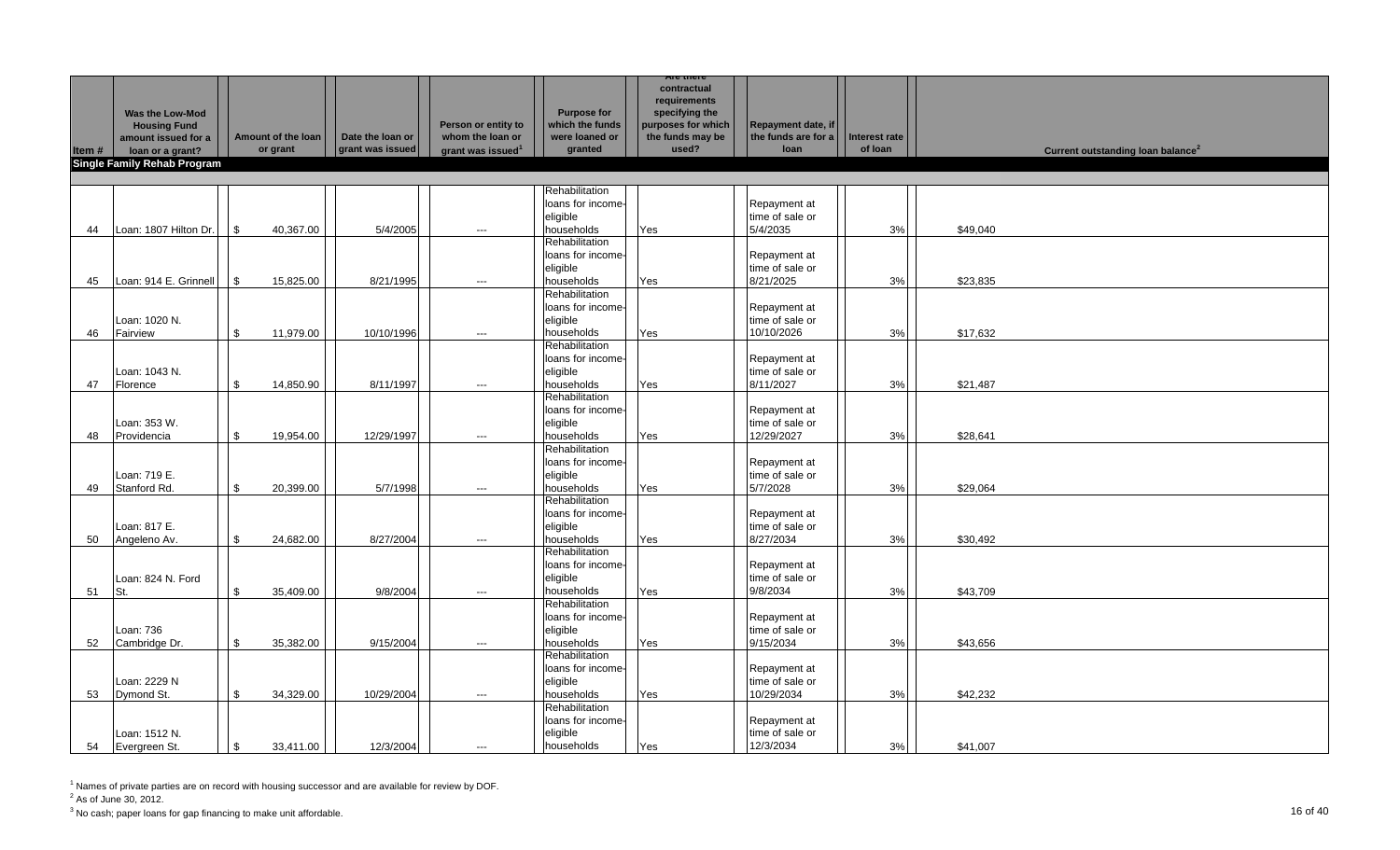|       |                                    |                |                    |                  |                               |                    | Are there          |                           |               |                                               |
|-------|------------------------------------|----------------|--------------------|------------------|-------------------------------|--------------------|--------------------|---------------------------|---------------|-----------------------------------------------|
|       |                                    |                |                    |                  |                               |                    | contractual        |                           |               |                                               |
|       |                                    |                |                    |                  |                               |                    | requirements       |                           |               |                                               |
|       | <b>Was the Low-Mod</b>             |                |                    |                  |                               | <b>Purpose for</b> | specifying the     |                           |               |                                               |
|       | <b>Housing Fund</b>                |                |                    |                  | Person or entity to           | which the funds    | purposes for which | <b>Repayment date, if</b> |               |                                               |
|       | amount issued for a                |                | Amount of the loan | Date the loan or | whom the loan or              | were loaned or     | the funds may be   | the funds are for a       | Interest rate |                                               |
| Item# | loan or a grant?                   |                | or grant           | grant was issued | grant was issued <sup>1</sup> | granted            | used?              | loan                      | of loan       | Current outstanding loan balance <sup>2</sup> |
|       | <b>Single Family Rehab Program</b> |                |                    |                  |                               |                    |                    |                           |               |                                               |
|       |                                    |                |                    |                  |                               |                    |                    |                           |               |                                               |
|       |                                    |                |                    |                  |                               |                    |                    |                           |               |                                               |
|       |                                    |                |                    |                  |                               | Rehabilitation     |                    |                           |               |                                               |
|       |                                    |                |                    |                  |                               | loans for income-  |                    | Repayment at              |               |                                               |
|       |                                    |                |                    |                  |                               | eligible           |                    | time of sale or           |               |                                               |
| 44    | Loan: 1807 Hilton Dr.              | $\mathbb{S}$   | 40,367.00          | 5/4/2005         | $---$                         | households         | Yes                | 5/4/2035                  | 3%            | \$49,040                                      |
|       |                                    |                |                    |                  |                               | Rehabilitation     |                    |                           |               |                                               |
|       |                                    |                |                    |                  |                               | loans for income-  |                    | Repayment at              |               |                                               |
|       |                                    |                |                    |                  |                               | eligible           |                    | time of sale or           |               |                                               |
| 45    | Loan: 914 E. Grinnell              | $\sqrt{3}$     | 15,825.00          | 8/21/1995        | $\hspace{0.05cm} \ldots$      | households         | Yes                | 8/21/2025                 | 3%            | \$23,835                                      |
|       |                                    |                |                    |                  |                               | Rehabilitation     |                    |                           |               |                                               |
|       |                                    |                |                    |                  |                               | loans for income-  |                    |                           |               |                                               |
|       |                                    |                |                    |                  |                               |                    |                    | Repayment at              |               |                                               |
|       | Loan: 1020 N.                      |                |                    |                  |                               | eligible           |                    | time of sale or           |               |                                               |
| 46    | Fairview                           | \$             | 11,979.00          | 10/10/1996       | ---                           | households         | Yes                | 10/10/2026                | 3%            | \$17,632                                      |
|       |                                    |                |                    |                  |                               | Rehabilitation     |                    |                           |               |                                               |
|       |                                    |                |                    |                  |                               | loans for income-  |                    | Repayment at              |               |                                               |
|       | Loan: 1043 N.                      |                |                    |                  |                               | eligible           |                    | time of sale or           |               |                                               |
| 47    | Florence                           | \$             | 14,850.90          | 8/11/1997        | $\hspace{0.05cm} \ldots$      | households         | Yes                | 8/11/2027                 | 3%            | \$21,487                                      |
|       |                                    |                |                    |                  |                               | Rehabilitation     |                    |                           |               |                                               |
|       |                                    |                |                    |                  |                               | loans for income-  |                    | Repayment at              |               |                                               |
|       | Loan: 353 W.                       |                |                    |                  |                               | eligible           |                    | time of sale or           |               |                                               |
|       | Providencia                        | $\mathbb{S}$   | 19,954.00          | 12/29/1997       |                               | households         | Yes                | 12/29/2027                | 3%            | \$28,641                                      |
| 48    |                                    |                |                    |                  | $\hspace{0.05cm} \ldots$      | Rehabilitation     |                    |                           |               |                                               |
|       |                                    |                |                    |                  |                               |                    |                    |                           |               |                                               |
|       |                                    |                |                    |                  |                               | loans for income-  |                    | Repayment at              |               |                                               |
|       | Loan: 719 E.                       |                |                    |                  |                               | eligible           |                    | time of sale or           |               |                                               |
| 49    | Stanford Rd.                       | \$             | 20,399.00          | 5/7/1998         | $\hspace{0.05cm} \ldots$      | households         | Yes                | 5/7/2028                  | 3%            | \$29,064                                      |
|       |                                    |                |                    |                  |                               | Rehabilitation     |                    |                           |               |                                               |
|       |                                    |                |                    |                  |                               | loans for income-  |                    | Repayment at              |               |                                               |
|       | Loan: 817 E.                       |                |                    |                  |                               | eligible           |                    | time of sale or           |               |                                               |
| 50    | Angeleno Av.                       | \$             | 24,682.00          | 8/27/2004        | $\hspace{0.05cm} \ldots$      | households         | Yes                | 8/27/2034                 | 3%            | \$30,492                                      |
|       |                                    |                |                    |                  |                               | Rehabilitation     |                    |                           |               |                                               |
|       |                                    |                |                    |                  |                               | loans for income-  |                    | Repayment at              |               |                                               |
|       | Loan: 824 N. Ford                  |                |                    |                  |                               | eligible           |                    | time of sale or           |               |                                               |
| 51    |                                    | \$             | 35.409.00          | 9/8/2004         |                               |                    |                    |                           | 3%            |                                               |
|       | St.                                |                |                    |                  | $\hspace{0.05cm} \ldots$      | households         | Yes                | 9/8/2034                  |               | \$43,709                                      |
|       |                                    |                |                    |                  |                               | Rehabilitation     |                    |                           |               |                                               |
|       |                                    |                |                    |                  |                               | loans for income-  |                    | Repayment at              |               |                                               |
|       | Loan: 736                          |                |                    |                  |                               | eligible           |                    | time of sale or           |               |                                               |
| 52    | Cambridge Dr.                      | $\mathfrak{S}$ | 35,382.00          | 9/15/2004        | ---                           | households         | Yes                | 9/15/2034                 | 3%            | \$43,656                                      |
|       |                                    |                |                    |                  |                               | Rehabilitation     |                    |                           |               |                                               |
|       |                                    |                |                    |                  |                               | loans for income-  |                    | Repayment at              |               |                                               |
|       | Loan: 2229 N                       |                |                    |                  |                               | eligible           |                    | time of sale or           |               |                                               |
| 53    | Dymond St.                         | \$             | 34,329.00          | 10/29/2004       | $---$                         | households         | Yes                | 10/29/2034                | 3%            | \$42,232                                      |
|       |                                    |                |                    |                  |                               | Rehabilitation     |                    |                           |               |                                               |
|       |                                    |                |                    |                  |                               | loans for income-  |                    | Repayment at              |               |                                               |
|       | Loan: 1512 N.                      |                |                    |                  |                               | eligible           |                    | time of sale or           |               |                                               |
|       |                                    |                |                    |                  |                               |                    |                    |                           |               |                                               |
|       | 54 Evergreen St.                   | \$             | 33,411.00          | 12/3/2004        | $\overline{a}$                | households         | Yes                | 12/3/2034                 | 3%            | \$41,007                                      |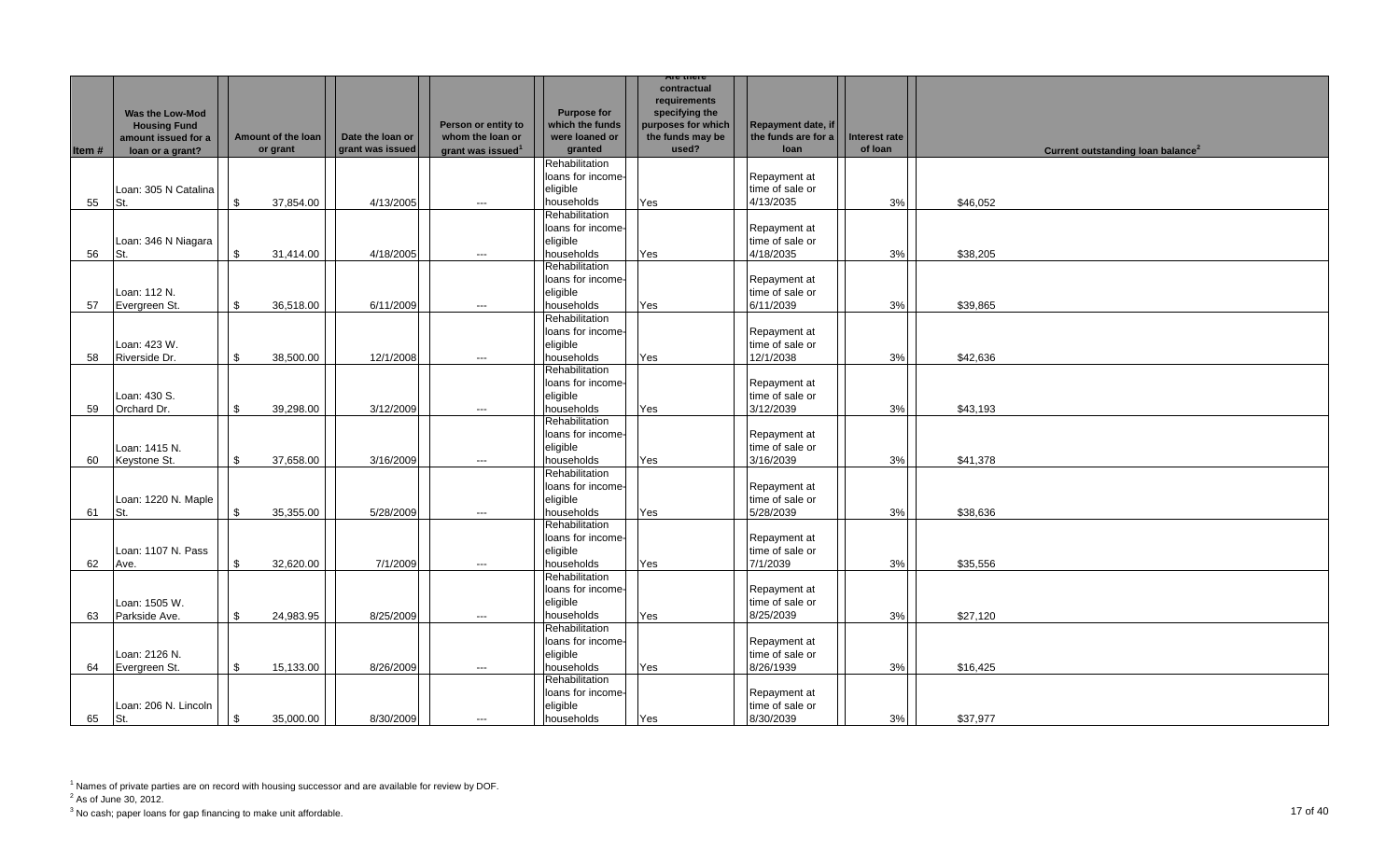|       |                                                               |     |                    |                  |                                         |                                                         | <b>Are there</b>                                                                        |                                           |               |                                               |  |
|-------|---------------------------------------------------------------|-----|--------------------|------------------|-----------------------------------------|---------------------------------------------------------|-----------------------------------------------------------------------------------------|-------------------------------------------|---------------|-----------------------------------------------|--|
|       | Was the Low-Mod<br><b>Housing Fund</b><br>amount issued for a |     | Amount of the loan | Date the loan or | Person or entity to<br>whom the loan or | <b>Purpose for</b><br>which the funds<br>were loaned or | contractual<br>requirements<br>specifying the<br>purposes for which<br>the funds may be | Repayment date, if<br>the funds are for a | Interest rate |                                               |  |
| Item# | loan or a grant?                                              |     | or grant           | grant was issued | grant was issued <sup>1</sup>           | granted                                                 | used?                                                                                   | loan                                      | of loan       | Current outstanding loan balance <sup>2</sup> |  |
|       |                                                               |     |                    |                  |                                         | Rehabilitation                                          |                                                                                         |                                           |               |                                               |  |
|       |                                                               |     |                    |                  |                                         | loans for income-                                       |                                                                                         | Repayment at                              |               |                                               |  |
|       | Loan: 305 N Catalina                                          |     |                    |                  |                                         | eligible                                                |                                                                                         | time of sale or                           |               |                                               |  |
| 55    | St.                                                           | \$  | 37,854.00          | 4/13/2005        | $---$                                   | households                                              | Yes                                                                                     | 4/13/2035                                 | 3%            | \$46,052                                      |  |
|       |                                                               |     |                    |                  |                                         | Rehabilitation                                          |                                                                                         |                                           |               |                                               |  |
|       |                                                               |     |                    |                  |                                         | loans for income-                                       |                                                                                         | Repayment at                              |               |                                               |  |
|       | Loan: 346 N Niagara                                           |     |                    |                  |                                         | eligible                                                |                                                                                         | time of sale or                           |               |                                               |  |
| 56    | St.                                                           | \$  | 31,414.00          | 4/18/2005        | $---$                                   | households                                              | Yes                                                                                     | 4/18/2035                                 | 3%            | \$38,205                                      |  |
|       |                                                               |     |                    |                  |                                         | Rehabilitation                                          |                                                                                         |                                           |               |                                               |  |
|       |                                                               |     |                    |                  |                                         | loans for income-                                       |                                                                                         | Repayment at                              |               |                                               |  |
|       | Loan: 112 N.                                                  |     |                    |                  |                                         | eligible                                                |                                                                                         | time of sale or                           |               |                                               |  |
| 57    | Evergreen St.                                                 | \$  | 36,518.00          | 6/11/2009        | $---$                                   | households                                              | Yes                                                                                     | 6/11/2039                                 | 3%            | \$39,865                                      |  |
|       |                                                               |     |                    |                  |                                         | Rehabilitation                                          |                                                                                         |                                           |               |                                               |  |
|       |                                                               |     |                    |                  |                                         | loans for income-                                       |                                                                                         | Repayment at                              |               |                                               |  |
|       | Loan: 423 W.                                                  |     |                    |                  |                                         | eligible                                                |                                                                                         | time of sale or                           |               |                                               |  |
| 58    | Riverside Dr.                                                 | \$  | 38,500.00          | 12/1/2008        | $\hspace{0.05cm}\ldots$                 | households                                              | Yes                                                                                     | 12/1/2038                                 | 3%            | \$42,636                                      |  |
|       |                                                               |     |                    |                  |                                         | Rehabilitation                                          |                                                                                         |                                           |               |                                               |  |
|       |                                                               |     |                    |                  |                                         | loans for income-                                       |                                                                                         | Repayment at                              |               |                                               |  |
|       | Loan: 430 S.                                                  |     |                    |                  |                                         | eligible                                                |                                                                                         | time of sale or                           |               |                                               |  |
| 59    | Orchard Dr.                                                   | \$  | 39,298.00          | 3/12/2009        | $---$                                   | households                                              | Yes                                                                                     | 3/12/2039                                 | 3%            | \$43,193                                      |  |
|       |                                                               |     |                    |                  |                                         | Rehabilitation                                          |                                                                                         |                                           |               |                                               |  |
|       |                                                               |     |                    |                  |                                         | loans for income-                                       |                                                                                         | Repayment at                              |               |                                               |  |
|       | Loan: 1415 N.                                                 |     |                    |                  |                                         | eligible                                                |                                                                                         | time of sale or                           |               |                                               |  |
| 60    | Keystone St.                                                  | \$  | 37,658.00          | 3/16/2009        | $\hspace{0.05cm}\ldots$                 | households                                              | Yes                                                                                     | 3/16/2039                                 | 3%            | \$41,378                                      |  |
|       |                                                               |     |                    |                  |                                         | Rehabilitation                                          |                                                                                         |                                           |               |                                               |  |
|       |                                                               |     |                    |                  |                                         | loans for income-                                       |                                                                                         | Repayment at                              |               |                                               |  |
|       | Loan: 1220 N. Maple                                           |     |                    |                  |                                         | eligible                                                |                                                                                         | time of sale or                           |               |                                               |  |
| 61    | St.                                                           | \$. | 35,355.00          | 5/28/2009        | $---$                                   | households                                              | Yes                                                                                     | 5/28/2039                                 | 3%            | \$38,636                                      |  |
|       |                                                               |     |                    |                  |                                         | Rehabilitation                                          |                                                                                         |                                           |               |                                               |  |
|       |                                                               |     |                    |                  |                                         | loans for income-                                       |                                                                                         | Repayment at                              |               |                                               |  |
|       | Loan: 1107 N. Pass                                            |     |                    |                  |                                         | eligible                                                |                                                                                         | time of sale or                           |               |                                               |  |
| 62    | Ave.                                                          | \$  | 32,620.00          | 7/1/2009         | $\hspace{0.05cm}\ldots$                 | households                                              | Yes                                                                                     | 7/1/2039                                  | 3%            | \$35,556                                      |  |
|       |                                                               |     |                    |                  |                                         | Rehabilitation                                          |                                                                                         |                                           |               |                                               |  |
|       |                                                               |     |                    |                  |                                         | loans for income-                                       |                                                                                         | Repayment at                              |               |                                               |  |
|       | Loan: 1505 W.                                                 |     |                    |                  |                                         | eligible                                                |                                                                                         | time of sale or                           |               |                                               |  |
| 63    | Parkside Ave.                                                 | \$  | 24,983.95          | 8/25/2009        | $---$                                   | households                                              | Yes                                                                                     | 8/25/2039                                 | 3%            | \$27,120                                      |  |
|       |                                                               |     |                    |                  |                                         | Rehabilitation                                          |                                                                                         |                                           |               |                                               |  |
|       |                                                               |     |                    |                  |                                         | loans for income-                                       |                                                                                         | Repayment at                              |               |                                               |  |
|       | Loan: 2126 N.                                                 |     |                    |                  |                                         | eligible                                                |                                                                                         | time of sale or                           |               |                                               |  |
| 64    | Evergreen St.                                                 | \$  | 15,133.00          | 8/26/2009        | $\hspace{0.05cm}\ldots$                 | households                                              | Yes                                                                                     | 8/26/1939                                 | 3%            | \$16,425                                      |  |
|       |                                                               |     |                    |                  |                                         | Rehabilitation                                          |                                                                                         |                                           |               |                                               |  |
|       |                                                               |     |                    |                  |                                         | loans for income-                                       |                                                                                         | Repayment at                              |               |                                               |  |
|       | Loan: 206 N. Lincoln                                          |     |                    |                  |                                         | eligible                                                |                                                                                         | time of sale or                           |               |                                               |  |
| 65    | St.                                                           | \$  | 35.000.00          | 8/30/2009        | $---$                                   | households                                              | Yes                                                                                     | 8/30/2039                                 | 3%            | \$37.977                                      |  |

 $2^2$  As of June 30, 2012.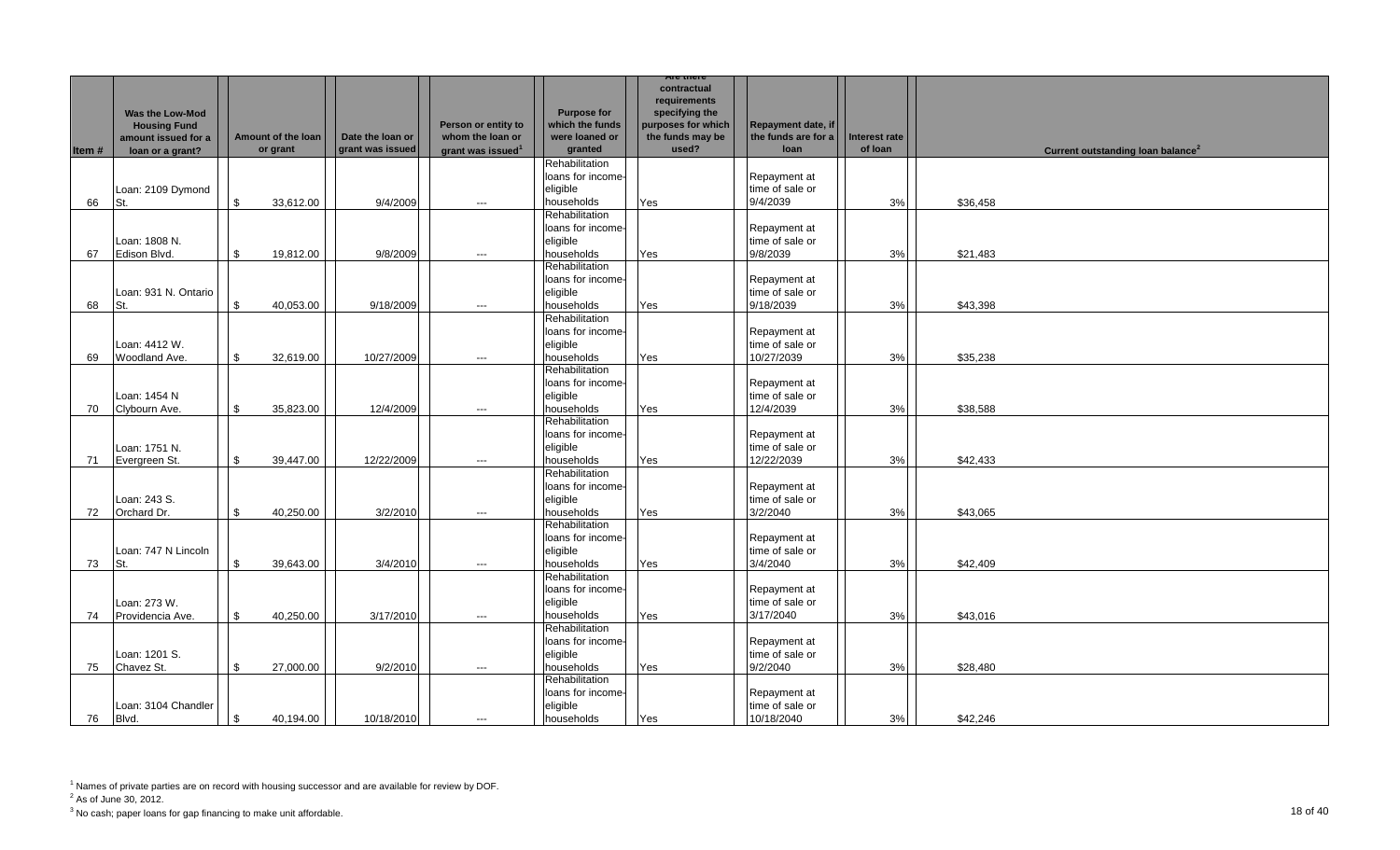|       |                                                                      |                |                    |                                      |                                         |                                                               | Are there                                                                                        |                                                   |                          |                                               |
|-------|----------------------------------------------------------------------|----------------|--------------------|--------------------------------------|-----------------------------------------|---------------------------------------------------------------|--------------------------------------------------------------------------------------------------|---------------------------------------------------|--------------------------|-----------------------------------------------|
|       | <b>Was the Low-Mod</b><br><b>Housing Fund</b><br>amount issued for a |                | Amount of the loan | Date the loan or<br>grant was issued | Person or entity to<br>whom the loan or | <b>Purpose for</b><br>which the funds<br>were loaned or       | contractual<br>requirements<br>specifying the<br>purposes for which<br>the funds may be<br>used? | Repayment date, if<br>the funds are for a<br>loan | Interest rate<br>of loan |                                               |
| Item# | loan or a grant?                                                     |                | or grant           |                                      | grant was issued <sup>1</sup>           | granted                                                       |                                                                                                  |                                                   |                          | Current outstanding loan balance <sup>2</sup> |
| 66    | Loan: 2109 Dymond<br>St.                                             | \$             | 33,612.00          | 9/4/2009                             | $\hspace{0.05cm}\ldots$                 | Rehabilitation<br>loans for income-<br>eligible<br>households | Yes                                                                                              | Repayment at<br>time of sale or<br>9/4/2039       | 3%                       | \$36,458                                      |
| 67    | Loan: 1808 N.<br>Edison Blvd.                                        | \$             | 19,812.00          | 9/8/2009                             | $---$                                   | Rehabilitation<br>loans for income-<br>eligible<br>households | Yes                                                                                              | Repayment at<br>time of sale or<br>9/8/2039       | 3%                       | \$21,483                                      |
| 68    | Loan: 931 N. Ontario<br>St.                                          | \$             | 40,053.00          | 9/18/2009                            | $---$                                   | Rehabilitation<br>loans for income-<br>eligible<br>households | Yes                                                                                              | Repayment at<br>time of sale or<br>9/18/2039      | 3%                       | \$43,398                                      |
| 69    | Loan: 4412 W.<br>Woodland Ave.                                       | \$             | 32,619.00          | 10/27/2009                           | $---$                                   | Rehabilitation<br>loans for income-<br>eligible<br>households | Yes                                                                                              | Repayment at<br>time of sale or<br>10/27/2039     | 3%                       | \$35,238                                      |
| 70    | Loan: 1454 N<br>Clybourn Ave.                                        | \$             | 35,823.00          | 12/4/2009                            | $---$                                   | Rehabilitation<br>loans for income-<br>eligible<br>households | Yes                                                                                              | Repayment at<br>time of sale or<br>12/4/2039      | 3%                       | \$38,588                                      |
| 71    | Loan: 1751 N.<br>Evergreen St.                                       | \$             | 39,447.00          | 12/22/2009                           | $---$                                   | Rehabilitation<br>loans for income-<br>eligible<br>households | Yes                                                                                              | Repayment at<br>time of sale or<br>12/22/2039     | 3%                       | \$42,433                                      |
| 72    | Loan: 243 S.<br>Orchard Dr.                                          | \$             | 40,250.00          | 3/2/2010                             | $\hspace{0.05cm} \ldots$                | Rehabilitation<br>loans for income-<br>eligible<br>households | Yes                                                                                              | Repayment at<br>time of sale or<br>3/2/2040       | 3%                       | \$43,065                                      |
| 73    | Loan: 747 N Lincoln<br>St.                                           | \$             | 39,643.00          | 3/4/2010                             | ---                                     | Rehabilitation<br>loans for income-<br>eligible<br>households | Yes                                                                                              | Repayment at<br>time of sale or<br>3/4/2040       | 3%                       | \$42,409                                      |
| 74    | Loan: 273 W.<br>Providencia Ave.                                     | \$             | 40,250.00          | 3/17/2010                            | $---$                                   | Rehabilitation<br>loans for income-<br>eligible<br>households | Yes                                                                                              | Repayment at<br>time of sale or<br>3/17/2040      | 3%                       | \$43,016                                      |
| 75    | Loan: 1201 S.<br>Chavez St.                                          | \$             | 27,000.00          | 9/2/2010                             | $\hspace{0.05cm}\ldots$                 | Rehabilitation<br>loans for income-<br>eligible<br>households | Yes                                                                                              | Repayment at<br>time of sale or<br>9/2/2040       | 3%                       | \$28,480                                      |
| 76    | Loan: 3104 Chandler<br>Blvd.                                         | $\mathfrak{S}$ | 40,194.00          | 10/18/2010                           | $---$                                   | Rehabilitation<br>loans for income-<br>eligible<br>households | Yes                                                                                              | Repayment at<br>time of sale or<br>10/18/2040     | 3%                       | \$42,246                                      |

 $2^2$  As of June 30, 2012.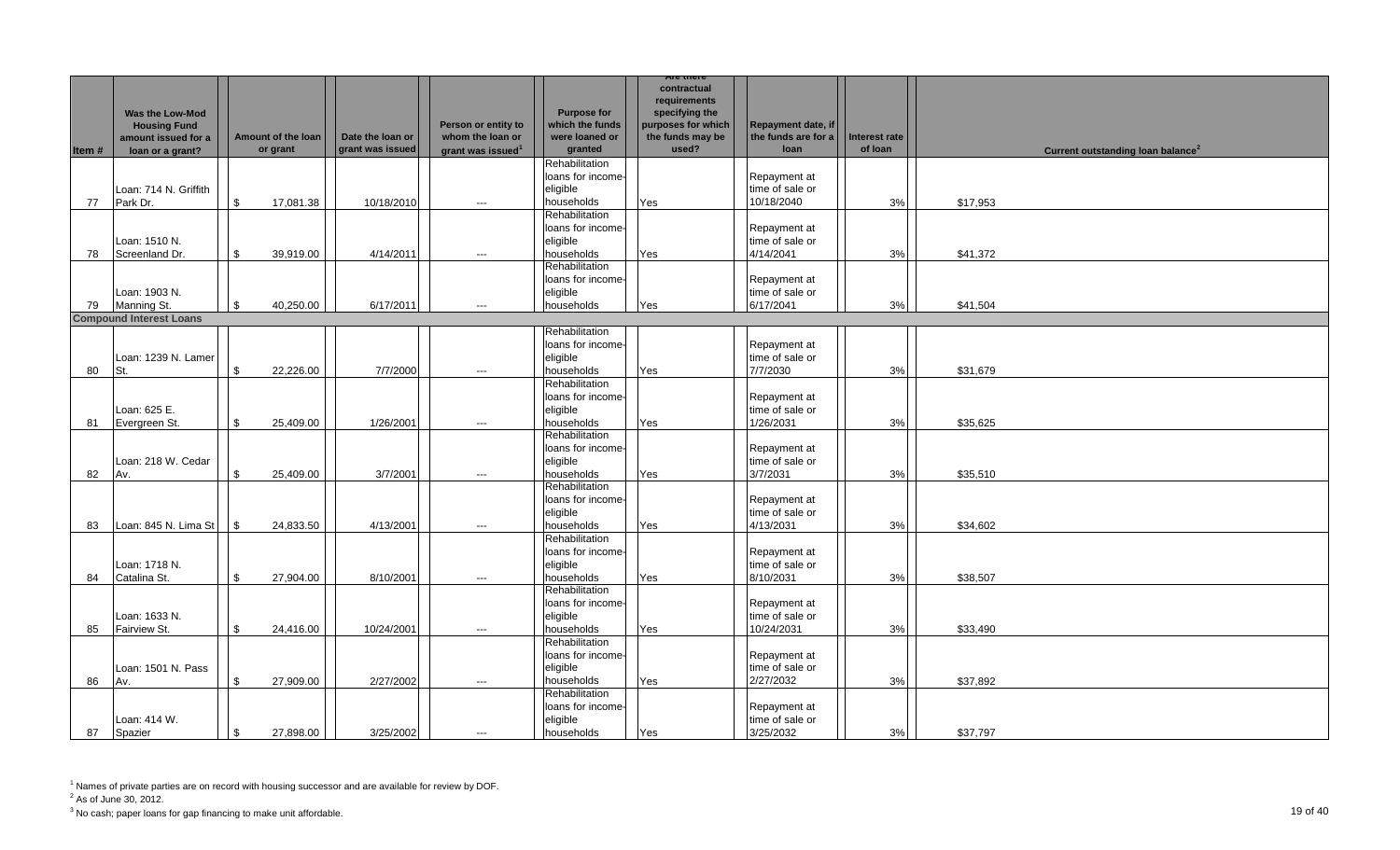|       |                                |      |                    |                  |                               |                    | Are there          |                                 |               |                                               |  |
|-------|--------------------------------|------|--------------------|------------------|-------------------------------|--------------------|--------------------|---------------------------------|---------------|-----------------------------------------------|--|
|       |                                |      |                    |                  |                               |                    | contractual        |                                 |               |                                               |  |
|       |                                |      |                    |                  |                               |                    | requirements       |                                 |               |                                               |  |
|       | <b>Was the Low-Mod</b>         |      |                    |                  |                               | <b>Purpose for</b> | specifying the     |                                 |               |                                               |  |
|       | <b>Housing Fund</b>            |      |                    |                  | Person or entity to           | which the funds    | purposes for which | Repayment date, if              |               |                                               |  |
|       | amount issued for a            |      | Amount of the loan | Date the loan or | whom the loan or              | were loaned or     | the funds may be   | the funds are for a             | Interest rate |                                               |  |
| Item# | loan or a grant?               |      | or grant           | grant was issued | grant was issued <sup>1</sup> | granted            | used?              | <b>loan</b>                     | of loan       | Current outstanding loan balance <sup>2</sup> |  |
|       |                                |      |                    |                  |                               | Rehabilitation     |                    |                                 |               |                                               |  |
|       |                                |      |                    |                  |                               | loans for income-  |                    | Repayment at                    |               |                                               |  |
|       | Loan: 714 N. Griffith          |      |                    |                  |                               | eligible           |                    | time of sale or                 |               |                                               |  |
| 77    | Park Dr.                       | \$   | 17,081.38          | 10/18/2010       | $\hspace{0.05cm}\ldots$       | households         | Yes                | 10/18/2040                      | 3%            | \$17,953                                      |  |
|       |                                |      |                    |                  |                               | Rehabilitation     |                    |                                 |               |                                               |  |
|       |                                |      |                    |                  |                               | loans for income-  |                    | Repayment at                    |               |                                               |  |
|       | Loan: 1510 N.                  |      |                    |                  |                               | eligible           |                    | time of sale or                 |               |                                               |  |
|       | Screenland Dr.                 | \$   | 39,919.00          | 4/14/2011        |                               | households         |                    | 4/14/2041                       | 3%            | \$41,372                                      |  |
| 78    |                                |      |                    |                  | $\hspace{0.05cm} \cdots$      | Rehabilitation     | Yes                |                                 |               |                                               |  |
|       |                                |      |                    |                  |                               |                    |                    |                                 |               |                                               |  |
|       |                                |      |                    |                  |                               | loans for income-  |                    | Repayment at                    |               |                                               |  |
|       | Loan: 1903 N.                  |      |                    |                  |                               | eligible           |                    | time of sale or                 |               |                                               |  |
| 79    | Manning St.                    | \$   | 40,250.00          | 6/17/201'        | $---$                         | households         | Yes                | 6/17/2041                       | 3%            | \$41,504                                      |  |
|       | <b>Compound Interest Loans</b> |      |                    |                  |                               |                    |                    |                                 |               |                                               |  |
|       |                                |      |                    |                  |                               | Rehabilitation     |                    |                                 |               |                                               |  |
|       |                                |      |                    |                  |                               | loans for income-  |                    | Repayment at                    |               |                                               |  |
|       | Loan: 1239 N. Lamer            |      |                    |                  |                               | eligible           |                    | time of sale or                 |               |                                               |  |
| 80    | St.                            | \$   | 22,226.00          | 7/7/2000         | $\hspace{0.05cm}\ldots$       | households         | Yes                | 7/7/2030                        | 3%            | \$31,679                                      |  |
|       |                                |      |                    |                  |                               | Rehabilitation     |                    |                                 |               |                                               |  |
|       |                                |      |                    |                  |                               | loans for income-  |                    | Repayment at                    |               |                                               |  |
|       | Loan: 625 E.                   |      |                    |                  |                               | eligible           |                    | time of sale or                 |               |                                               |  |
| 81    | Evergreen St.                  | \$   | 25,409.00          | 1/26/2001        | $---$                         | households         | Yes                | 1/26/2031                       | 3%            | \$35,625                                      |  |
|       |                                |      |                    |                  |                               | Rehabilitation     |                    |                                 |               |                                               |  |
|       |                                |      |                    |                  |                               | loans for income-  |                    | Repayment at                    |               |                                               |  |
|       | Loan: 218 W. Cedar             |      |                    |                  |                               | eligible           |                    | time of sale or                 |               |                                               |  |
| 82    | Av.                            | \$   | 25,409.00          | 3/7/2001         | $---$                         | households         | Yes                | 3/7/2031                        | 3%            | \$35,510                                      |  |
|       |                                |      |                    |                  |                               | Rehabilitation     |                    |                                 |               |                                               |  |
|       |                                |      |                    |                  |                               | loans for income-  |                    | Repayment at                    |               |                                               |  |
|       |                                |      |                    |                  |                               | eligible           |                    | time of sale or                 |               |                                               |  |
| 83    | Loan: 845 N. Lima St           | l \$ | 24,833.50          | 4/13/2001        | $---$                         | households         | Yes                | 4/13/2031                       | 3%            | \$34,602                                      |  |
|       |                                |      |                    |                  |                               | Rehabilitation     |                    |                                 |               |                                               |  |
|       |                                |      |                    |                  |                               | loans for income-  |                    | Repayment at                    |               |                                               |  |
|       | Loan: 1718 N.                  |      |                    |                  |                               | eligible           |                    | time of sale or                 |               |                                               |  |
| 84    | Catalina St.                   | \$   | 27,904.00          | 8/10/2001        | $\hspace{0.05cm}\ldots$       | households         | Yes                | 8/10/2031                       | 3%            | \$38,507                                      |  |
|       |                                |      |                    |                  |                               | Rehabilitation     |                    |                                 |               |                                               |  |
|       |                                |      |                    |                  |                               | loans for income-  |                    |                                 |               |                                               |  |
|       | Loan: 1633 N.                  |      |                    |                  |                               | eligible           |                    | Repayment at<br>time of sale or |               |                                               |  |
|       |                                |      |                    |                  |                               |                    |                    |                                 |               |                                               |  |
| 85    | Fairview St.                   | \$   | 24,416.00          | 10/24/2001       | $\hspace{0.05cm}\ldots$       | households         | Yes                | 10/24/2031                      | 3%            | \$33,490                                      |  |
|       |                                |      |                    |                  |                               | Rehabilitation     |                    |                                 |               |                                               |  |
|       |                                |      |                    |                  |                               | loans for income-  |                    | Repayment at                    |               |                                               |  |
|       | Loan: 1501 N. Pass             |      |                    |                  |                               | eligible           |                    | time of sale or                 |               |                                               |  |
| 86    | Av.                            | \$   | 27,909.00          | 2/27/2002        | $---$                         | households         | Yes                | 2/27/2032                       | 3%            | \$37,892                                      |  |
|       |                                |      |                    |                  |                               | Rehabilitation     |                    |                                 |               |                                               |  |
|       |                                |      |                    |                  |                               | loans for income-  |                    | Repayment at                    |               |                                               |  |
|       | Loan: 414 W.                   |      |                    |                  |                               | eligible           |                    | time of sale or                 |               |                                               |  |
| 87    | Spazier                        | \$   | 27,898.00          | 3/25/2002        | $---$                         | households         | Yes                | 3/25/2032                       | 3%            | \$37,797                                      |  |

<sup>&</sup>lt;sup>1</sup> Names of private parties are on record with housing successor and are available for review by DOF.

 $2^2$  As of June 30, 2012.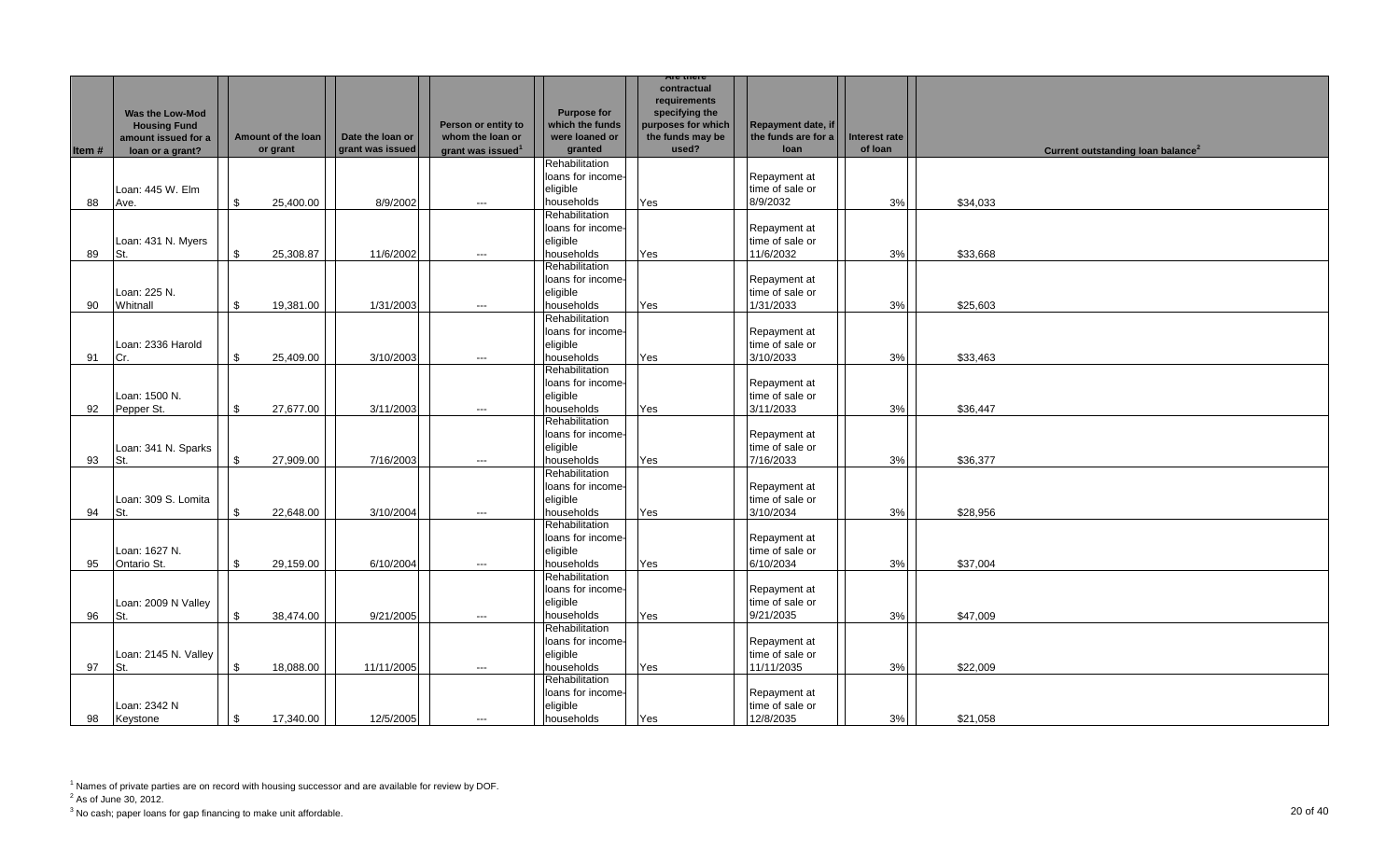|       |                                                                                          |                    |                                |                                      |                                                                          |                                                                    | Are there                                                                                        |                                                   |                          |          |                                               |
|-------|------------------------------------------------------------------------------------------|--------------------|--------------------------------|--------------------------------------|--------------------------------------------------------------------------|--------------------------------------------------------------------|--------------------------------------------------------------------------------------------------|---------------------------------------------------|--------------------------|----------|-----------------------------------------------|
| Item# | <b>Was the Low-Mod</b><br><b>Housing Fund</b><br>amount issued for a<br>loan or a grant? |                    | Amount of the loan<br>or grant | Date the loan or<br>grant was issued | Person or entity to<br>whom the loan or<br>grant was issued <sup>1</sup> | <b>Purpose for</b><br>which the funds<br>were loaned or<br>granted | contractual<br>requirements<br>specifying the<br>purposes for which<br>the funds may be<br>used? | Repayment date, if<br>the funds are for a<br>loan | Interest rate<br>of loan |          | Current outstanding loan balance <sup>2</sup> |
|       |                                                                                          |                    |                                |                                      |                                                                          | Rehabilitation                                                     |                                                                                                  |                                                   |                          |          |                                               |
| 88    | Loan: 445 W. Elm<br>Ave.                                                                 | \$                 | 25,400.00                      | 8/9/2002                             | $\hspace{0.05cm} \ldots$                                                 | loans for income-<br>eliaible<br>households                        | Yes                                                                                              | Repayment at<br>time of sale or<br>8/9/2032       | 3%                       | \$34,033 |                                               |
|       | Loan: 431 N. Myers                                                                       |                    |                                |                                      |                                                                          | Rehabilitation<br>loans for income-<br>eligible                    |                                                                                                  | Repayment at<br>time of sale or                   |                          |          |                                               |
| 89    | St.                                                                                      | \$                 | 25,308.87                      | 11/6/2002                            | $---$                                                                    | households                                                         | Yes                                                                                              | 11/6/2032                                         | 3%                       | \$33,668 |                                               |
| 90    | Loan: 225 N.<br>Whitnall                                                                 | \$                 | 19,381.00                      | 1/31/2003                            | $---$                                                                    | Rehabilitation<br>loans for income-<br>eligible<br>households      | Yes                                                                                              | Repayment at<br>time of sale or<br>1/31/2033      | 3%                       | \$25,603 |                                               |
|       |                                                                                          |                    |                                |                                      |                                                                          | Rehabilitation                                                     |                                                                                                  |                                                   |                          |          |                                               |
| 91    | Loan: 2336 Harold<br>Cr.                                                                 | \$                 | 25,409.00                      | 3/10/2003                            |                                                                          | loans for income-<br>eligible<br>households                        | Yes                                                                                              | Repayment at<br>time of sale or<br>3/10/2033      | 3%                       | \$33,463 |                                               |
|       |                                                                                          |                    |                                |                                      | $\hspace{0.05cm} \ldots$                                                 | Rehabilitation                                                     |                                                                                                  |                                                   |                          |          |                                               |
| 92    | Loan: 1500 N.<br>Pepper St.                                                              | \$                 | 27,677.00                      | 3/11/2003                            | $---$                                                                    | loans for income-<br>eligible<br>households                        | Yes                                                                                              | Repayment at<br>time of sale or<br>3/11/2033      | 3%                       | \$36,447 |                                               |
| 93    | Loan: 341 N. Sparks<br>St.                                                               | $\mathbb S$        | 27,909.00                      | 7/16/2003                            | $\hspace{0.05cm} \ldots$                                                 | Rehabilitation<br>loans for income-<br>eligible<br>households      | Yes                                                                                              | Repayment at<br>time of sale or<br>7/16/2033      | 3%                       | \$36,377 |                                               |
| 94    | Loan: 309 S. Lomita<br>St.                                                               | $\mathbf{\hat{S}}$ | 22,648.00                      | 3/10/2004                            | $---$                                                                    | Rehabilitation<br>loans for income-<br>eligible<br>households      | Yes                                                                                              | Repayment at<br>time of sale or<br>3/10/2034      | 3%                       | \$28.956 |                                               |
| 95    | Loan: 1627 N.<br>Ontario St.                                                             | \$                 | 29,159.00                      | 6/10/2004                            | $\cdots$                                                                 | Rehabilitation<br>loans for income-<br>eligible<br>households      | Yes                                                                                              | Repayment at<br>time of sale or<br>6/10/2034      | 3%                       | \$37,004 |                                               |
| 96    | Loan: 2009 N Valley<br>St.                                                               | \$                 | 38,474.00                      | 9/21/2005                            | $---$                                                                    | Rehabilitation<br>loans for income-<br>eligible<br>households      | Yes                                                                                              | Repayment at<br>time of sale or<br>9/21/2035      | 3%                       | \$47.009 |                                               |
| 97    | Loan: 2145 N. Valley<br>St.                                                              | \$                 | 18,088.00                      | 11/11/2005                           | $\hspace{0.05cm} \ldots$                                                 | Rehabilitation<br>loans for income-<br>eligible<br>households      | Yes                                                                                              | Repayment at<br>time of sale or<br>11/11/2035     | 3%                       | \$22,009 |                                               |
| 98    | Loan: 2342 N<br>Keystone                                                                 | \$                 | 17,340.00                      | 12/5/2005                            | $---$                                                                    | Rehabilitation<br>loans for income-<br>eligible<br>households      | Yes                                                                                              | Repayment at<br>time of sale or<br>12/8/2035      | 3%                       | \$21,058 |                                               |

 $2^2$  As of June 30, 2012.

 $^3$  No cash; paper loans for gap financing to make unit affordable.  $\hspace{20mm}$  20 of 40  $\hspace{1mm}$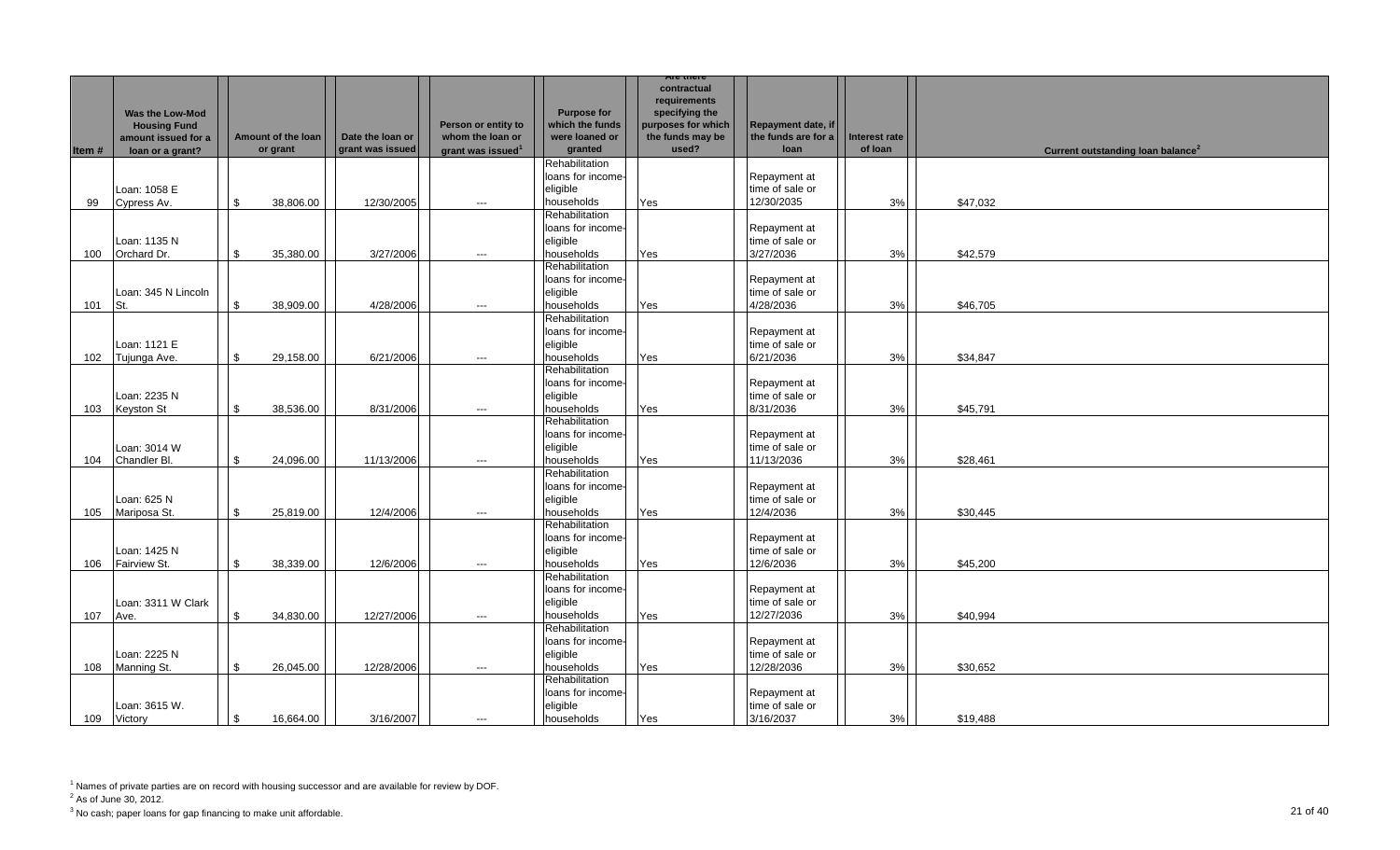|       |                                         |     |                    |                  |                                         |                                     | Are there                              |                                           |               |                                               |  |
|-------|-----------------------------------------|-----|--------------------|------------------|-----------------------------------------|-------------------------------------|----------------------------------------|-------------------------------------------|---------------|-----------------------------------------------|--|
|       |                                         |     |                    |                  |                                         |                                     | contractual<br>requirements            |                                           |               |                                               |  |
|       | <b>Was the Low-Mod</b>                  |     |                    |                  |                                         | <b>Purpose for</b>                  | specifying the                         |                                           |               |                                               |  |
|       | <b>Housing Fund</b>                     |     | Amount of the loan | Date the loan or | Person or entity to<br>whom the loan or | which the funds<br>were loaned or   | purposes for which<br>the funds may be | Repayment date, if<br>the funds are for a | Interest rate |                                               |  |
| Item# | amount issued for a<br>loan or a grant? |     | or grant           | grant was issued | grant was issued <sup>1</sup>           | granted                             | used?                                  | loan                                      | of loan       | Current outstanding loan balance <sup>2</sup> |  |
|       |                                         |     |                    |                  |                                         | Rehabilitation                      |                                        |                                           |               |                                               |  |
|       |                                         |     |                    |                  |                                         | loans for income-                   |                                        | Repayment at                              |               |                                               |  |
|       | Loan: 1058 E                            |     |                    |                  |                                         | eligible                            |                                        | time of sale or                           |               |                                               |  |
| 99    | Cypress Av.                             | -\$ | 38,806.00          | 12/30/2005       | $\hspace{0.05cm}\ldots$                 | households                          | Yes                                    | 12/30/2035                                | 3%            | \$47,032                                      |  |
|       |                                         |     |                    |                  |                                         | Rehabilitation                      |                                        |                                           |               |                                               |  |
|       |                                         |     |                    |                  |                                         | loans for income-                   |                                        | Repayment at                              |               |                                               |  |
| 100   | Loan: 1135 N<br>Orchard Dr.             | \$  | 35,380.00          | 3/27/2006        | $---$                                   | eligible<br>households              | Yes                                    | time of sale or<br>3/27/2036              | 3%            | \$42,579                                      |  |
|       |                                         |     |                    |                  |                                         | Rehabilitation                      |                                        |                                           |               |                                               |  |
|       |                                         |     |                    |                  |                                         | loans for income-                   |                                        | Repayment at                              |               |                                               |  |
|       | Loan: 345 N Lincoln                     |     |                    |                  |                                         | eligible                            |                                        | time of sale or                           |               |                                               |  |
| 101   | St.                                     | \$  | 38,909.00          | 4/28/2006        | $---$                                   | households                          | Yes                                    | 4/28/2036                                 | 3%            | \$46,705                                      |  |
|       |                                         |     |                    |                  |                                         | Rehabilitation                      |                                        |                                           |               |                                               |  |
|       |                                         |     |                    |                  |                                         | loans for income-                   |                                        | Repayment at                              |               |                                               |  |
|       | Loan: 1121 E                            |     |                    |                  |                                         | eligible                            |                                        | time of sale or                           |               |                                               |  |
| 102   | Tujunga Ave.                            | \$  | 29,158.00          | 6/21/2006        | $---$                                   | households<br>Rehabilitation        | Yes                                    | 6/21/2036                                 | 3%            | \$34,847                                      |  |
|       |                                         |     |                    |                  |                                         | loans for income-                   |                                        | Repayment at                              |               |                                               |  |
|       | Loan: 2235 N                            |     |                    |                  |                                         | eligible                            |                                        | time of sale or                           |               |                                               |  |
| 103   | Keyston St                              | \$  | 38,536.00          | 8/31/2006        | $---$                                   | households                          | Yes                                    | 8/31/2036                                 | 3%            | \$45,791                                      |  |
|       |                                         |     |                    |                  |                                         | Rehabilitation                      |                                        |                                           |               |                                               |  |
|       |                                         |     |                    |                  |                                         | loans for income-                   |                                        | Repayment at                              |               |                                               |  |
|       | Loan: 3014 W                            |     |                    |                  |                                         | eligible                            |                                        | time of sale or                           |               |                                               |  |
| 104   | Chandler Bl.                            | \$  | 24,096.00          | 11/13/2006       | $---$                                   | households                          | Yes                                    | 11/13/2036                                | 3%            | \$28,461                                      |  |
|       |                                         |     |                    |                  |                                         | Rehabilitation<br>loans for income- |                                        | Repayment at                              |               |                                               |  |
|       | Loan: 625 N                             |     |                    |                  |                                         | eligible                            |                                        | time of sale or                           |               |                                               |  |
| 105   | Mariposa St.                            | \$  | 25,819.00          | 12/4/2006        | $\hspace{0.05cm} \ldots$                | households                          | Yes                                    | 12/4/2036                                 | 3%            | \$30,445                                      |  |
|       |                                         |     |                    |                  |                                         | Rehabilitation                      |                                        |                                           |               |                                               |  |
|       |                                         |     |                    |                  |                                         | loans for income-                   |                                        | Repayment at                              |               |                                               |  |
|       | Loan: 1425 N                            |     |                    |                  |                                         | eligible                            |                                        | time of sale or                           |               |                                               |  |
| 106   | Fairview St.                            | \$  | 38,339.00          | 12/6/2006        | ---                                     | households                          | Yes                                    | 12/6/2036                                 | 3%            | \$45,200                                      |  |
|       |                                         |     |                    |                  |                                         | Rehabilitation<br>loans for income- |                                        |                                           |               |                                               |  |
|       | Loan: 3311 W Clark                      |     |                    |                  |                                         | eligible                            |                                        | Repayment at<br>time of sale or           |               |                                               |  |
| 107   | Ave.                                    | \$  | 34,830.00          | 12/27/2006       | $---$                                   | households                          | Yes                                    | 12/27/2036                                | 3%            | \$40,994                                      |  |
|       |                                         |     |                    |                  |                                         | Rehabilitation                      |                                        |                                           |               |                                               |  |
|       |                                         |     |                    |                  |                                         | loans for income-                   |                                        | Repayment at                              |               |                                               |  |
|       | Loan: 2225 N                            |     |                    |                  |                                         | eligible                            |                                        | time of sale or                           |               |                                               |  |
| 108   | Manning St.                             | \$  | 26,045.00          | 12/28/2006       | $\hspace{0.05cm}\ldots$                 | households                          | Yes                                    | 12/28/2036                                | 3%            | \$30,652                                      |  |
|       |                                         |     |                    |                  |                                         | Rehabilitation                      |                                        |                                           |               |                                               |  |
|       | Loan: 3615 W.                           |     |                    |                  |                                         | loans for income-<br>eligible       |                                        | Repayment at<br>time of sale or           |               |                                               |  |
| 109   | Victory                                 | \$  | 16,664.00          | 3/16/2007        | $---$                                   | households                          | Yes                                    | 3/16/2037                                 | 3%            | \$19,488                                      |  |

 $2^2$  As of June 30, 2012.

 $^3$  No cash; paper loans for gap financing to make unit affordable.  $\hspace{20mm}$   $\hspace{20mm} 21$  Of  $40$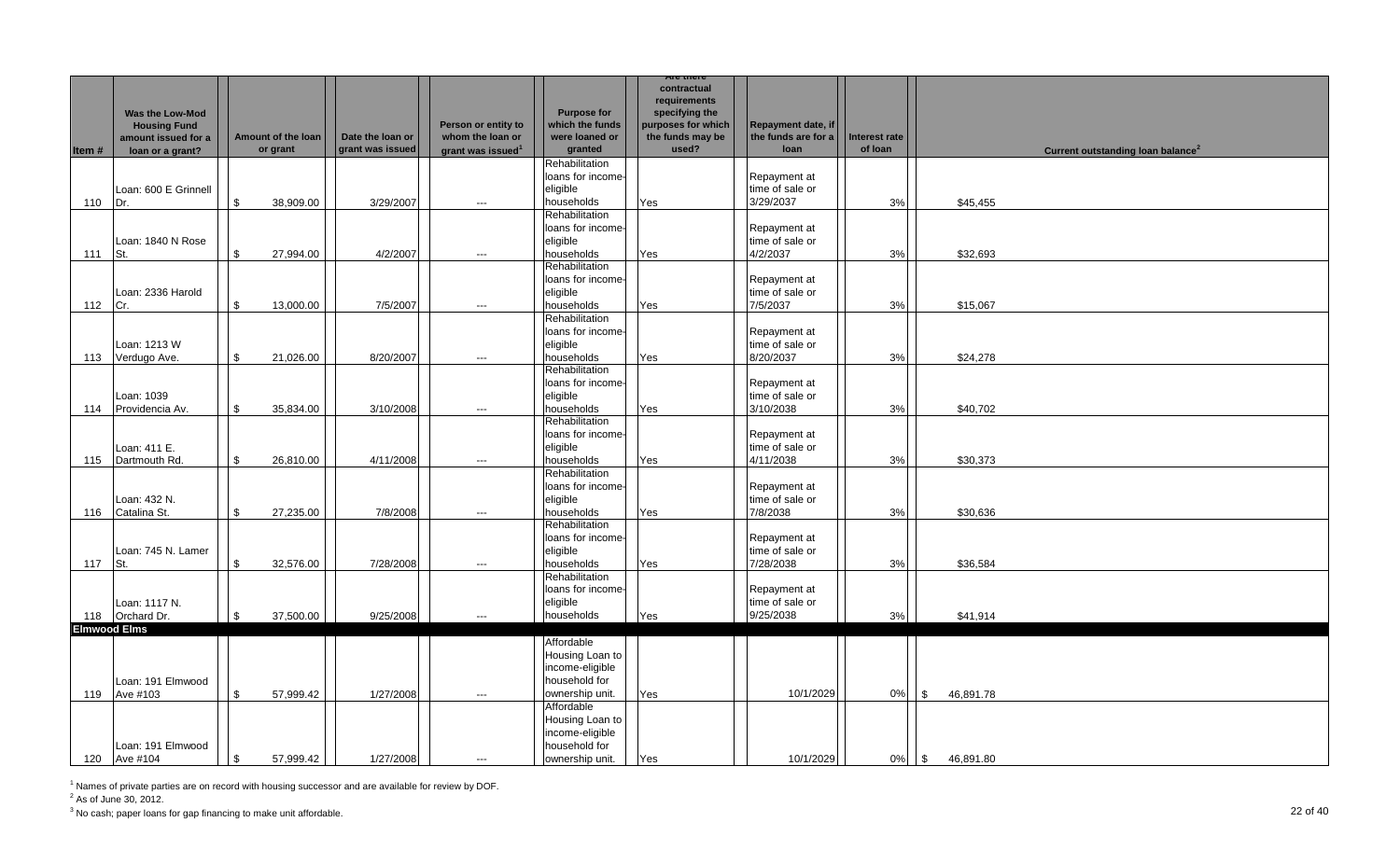|                     |                        |                    |                  |                               |                    | Are there          |                     |               |                                               |  |
|---------------------|------------------------|--------------------|------------------|-------------------------------|--------------------|--------------------|---------------------|---------------|-----------------------------------------------|--|
|                     |                        |                    |                  |                               |                    | contractual        |                     |               |                                               |  |
|                     |                        |                    |                  |                               |                    | requirements       |                     |               |                                               |  |
|                     | <b>Was the Low-Mod</b> |                    |                  |                               | <b>Purpose for</b> | specifying the     |                     |               |                                               |  |
|                     | <b>Housing Fund</b>    |                    |                  | Person or entity to           | which the funds    | purposes for which | Repayment date, if  |               |                                               |  |
|                     | amount issued for a    | Amount of the loan | Date the loan or | whom the loan or              | were loaned or     | the funds may be   | the funds are for a | Interest rate |                                               |  |
| Item#               | loan or a grant?       | or grant           | grant was issued | grant was issued <sup>1</sup> | granted            | used?              | loan                | of loan       | Current outstanding loan balance <sup>2</sup> |  |
|                     |                        |                    |                  |                               | Rehabilitation     |                    |                     |               |                                               |  |
|                     |                        |                    |                  |                               |                    |                    |                     |               |                                               |  |
|                     |                        |                    |                  |                               | loans for income-  |                    | Repayment at        |               |                                               |  |
|                     | Loan: 600 E Grinnell   |                    |                  |                               | eligible           |                    | time of sale or     |               |                                               |  |
| 110                 | Dr.                    | \$<br>38,909.00    | 3/29/2007        | $\overline{\phantom{a}}$      | households         | Yes                | 3/29/2037           | 3%            | \$45,455                                      |  |
|                     |                        |                    |                  |                               | Rehabilitation     |                    |                     |               |                                               |  |
|                     |                        |                    |                  |                               | loans for income-  |                    | Repayment at        |               |                                               |  |
|                     | Loan: 1840 N Rose      |                    |                  |                               | eligible           |                    | time of sale or     |               |                                               |  |
| 111                 | St.                    | \$<br>27,994.00    | 4/2/2007         | $\hspace{0.05cm}\ldots$       | households         | Yes                | 4/2/2037            | 3%            | \$32,693                                      |  |
|                     |                        |                    |                  |                               | Rehabilitation     |                    |                     |               |                                               |  |
|                     |                        |                    |                  |                               | loans for income-  |                    | Repayment at        |               |                                               |  |
|                     | Loan: 2336 Harold      |                    |                  |                               | eligible           |                    | time of sale or     |               |                                               |  |
|                     |                        |                    |                  |                               |                    |                    |                     |               |                                               |  |
| 112                 | Cr.                    | \$<br>13,000.00    | 7/5/2007         | $\hspace{0.05cm} \ldots$      | households         | Yes                | 7/5/2037            | 3%            | \$15,067                                      |  |
|                     |                        |                    |                  |                               | Rehabilitation     |                    |                     |               |                                               |  |
|                     |                        |                    |                  |                               | loans for income-  |                    | Repayment at        |               |                                               |  |
|                     | Loan: 1213 W           |                    |                  |                               | eligible           |                    | time of sale or     |               |                                               |  |
| 113                 | Verdugo Ave.           | \$<br>21,026.00    | 8/20/2007        | $\hspace{0.05cm}\ldots$       | households         | Yes                | 8/20/2037           | 3%            | \$24,278                                      |  |
|                     |                        |                    |                  |                               | Rehabilitation     |                    |                     |               |                                               |  |
|                     |                        |                    |                  |                               | loans for income-  |                    | Repayment at        |               |                                               |  |
|                     | Loan: 1039             |                    |                  |                               | eligible           |                    | time of sale or     |               |                                               |  |
| 114                 | Providencia Av.        | \$<br>35,834.00    | 3/10/2008        | ---                           | households         | Yes                | 3/10/2038           | 3%            | \$40,702                                      |  |
|                     |                        |                    |                  |                               | Rehabilitation     |                    |                     |               |                                               |  |
|                     |                        |                    |                  |                               |                    |                    |                     |               |                                               |  |
|                     |                        |                    |                  |                               | loans for income-  |                    | Repayment at        |               |                                               |  |
|                     | Loan: 411 E.           |                    |                  |                               | eligible           |                    | time of sale or     |               |                                               |  |
| 115                 | Dartmouth Rd.          | \$<br>26,810.00    | 4/11/2008        | $\hspace{0.05cm}\ldots$       | households         | Yes                | 4/11/2038           | 3%            | \$30,373                                      |  |
|                     |                        |                    |                  |                               | Rehabilitation     |                    |                     |               |                                               |  |
|                     |                        |                    |                  |                               | loans for income-  |                    | Repayment at        |               |                                               |  |
|                     | Loan: 432 N.           |                    |                  |                               | eligible           |                    | time of sale or     |               |                                               |  |
| 116                 | Catalina St.           | \$<br>27,235.00    | 7/8/2008         | $---$                         | households         | Yes                | 7/8/2038            | 3%            | \$30,636                                      |  |
|                     |                        |                    |                  |                               | Rehabilitation     |                    |                     |               |                                               |  |
|                     |                        |                    |                  |                               | loans for income-  |                    | Repayment at        |               |                                               |  |
|                     | Loan: 745 N. Lamer     |                    |                  |                               | eligible           |                    | time of sale or     |               |                                               |  |
|                     |                        |                    |                  |                               |                    |                    | 7/28/2038           |               |                                               |  |
| 117                 | St.                    | \$<br>32,576.00    | 7/28/2008        | $\cdots$                      | households         | Yes                |                     | 3%            | \$36,584                                      |  |
|                     |                        |                    |                  |                               | Rehabilitation     |                    |                     |               |                                               |  |
|                     |                        |                    |                  |                               | loans for income-  |                    | Repayment at        |               |                                               |  |
|                     | Loan: 1117 N.          |                    |                  |                               | eligible           |                    | time of sale or     |               |                                               |  |
|                     | 118 Orchard Dr.        | \$<br>37,500.00    | 9/25/2008        | $\cdots$                      | households         | Yes                | 9/25/2038           | 3%            | \$41,914                                      |  |
| <b>Elmwood Elms</b> |                        |                    |                  |                               |                    |                    |                     |               |                                               |  |
|                     |                        |                    |                  |                               | Affordable         |                    |                     |               |                                               |  |
|                     |                        |                    |                  |                               | Housing Loan to    |                    |                     |               |                                               |  |
|                     |                        |                    |                  |                               | income-eligible    |                    |                     |               |                                               |  |
|                     | Loan: 191 Elmwood      |                    |                  |                               | household for      |                    |                     |               |                                               |  |
| 119                 | Ave #103               | \$<br>57,999.42    | 1/27/2008        | $\hspace{0.05cm} \cdots$      | ownership unit.    | Yes                | 10/1/2029           | 0%            | $\mathfrak{S}$<br>46,891.78                   |  |
|                     |                        |                    |                  |                               | Affordable         |                    |                     |               |                                               |  |
|                     |                        |                    |                  |                               |                    |                    |                     |               |                                               |  |
|                     |                        |                    |                  |                               | Housing Loan to    |                    |                     |               |                                               |  |
|                     |                        |                    |                  |                               | income-eligible    |                    |                     |               |                                               |  |
|                     | Loan: 191 Elmwood      |                    |                  |                               | household for      |                    |                     |               |                                               |  |
|                     | 120 Ave #104           | \$<br>57,999.42    | 1/27/2008        | ---                           | ownership unit.    | Yes                | 10/1/2029           | 0%            | $\mathcal{S}$<br>46,891.80                    |  |

 $2^2$  As of June 30, 2012.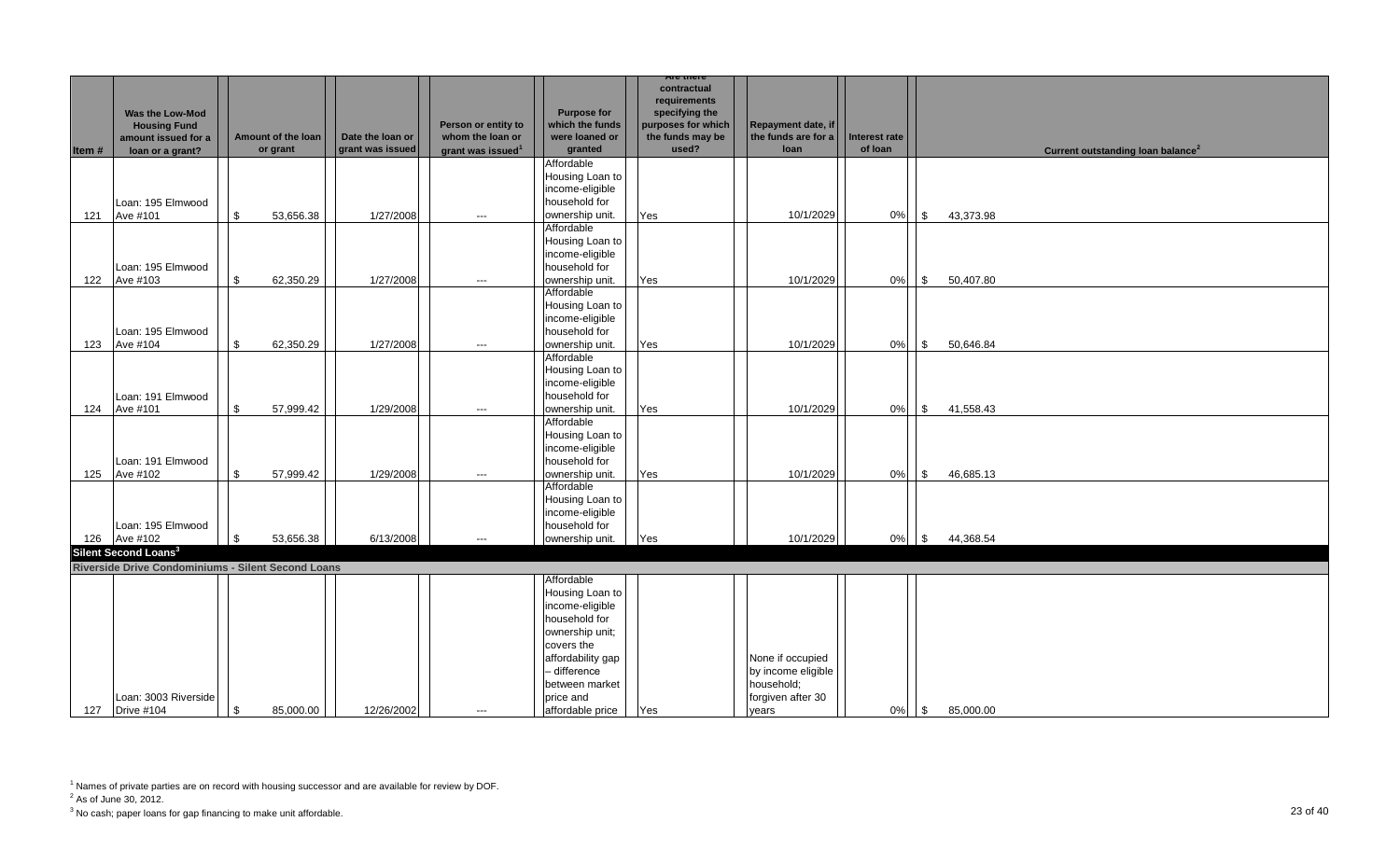|        |                                                                                              |             |                                |                                      |                                                                          |                                                                                                                                                                                            | Are there                                                                                        |                                                                                    |                          |            |           |                                               |
|--------|----------------------------------------------------------------------------------------------|-------------|--------------------------------|--------------------------------------|--------------------------------------------------------------------------|--------------------------------------------------------------------------------------------------------------------------------------------------------------------------------------------|--------------------------------------------------------------------------------------------------|------------------------------------------------------------------------------------|--------------------------|------------|-----------|-----------------------------------------------|
| Item # | <b>Was the Low-Mod</b><br><b>Housing Fund</b><br>amount issued for a<br>loan or a grant?     |             | Amount of the loan<br>or grant | Date the loan or<br>grant was issued | Person or entity to<br>whom the loan or<br>grant was issued <sup>1</sup> | <b>Purpose for</b><br>which the funds<br>were loaned or<br>granted                                                                                                                         | contractual<br>requirements<br>specifying the<br>purposes for which<br>the funds may be<br>used? | Repayment date, if<br>the funds are for a<br>loan                                  | Interest rate<br>of loan |            |           | Current outstanding loan balance <sup>2</sup> |
|        |                                                                                              |             |                                |                                      |                                                                          | Affordable<br>Housing Loan to<br>income-eligible                                                                                                                                           |                                                                                                  |                                                                                    |                          |            |           |                                               |
| 121    | Loan: 195 Elmwood<br>Ave #101                                                                | \$          | 53,656.38                      | 1/27/2008                            | $\hspace{0.05cm} \ldots$                                                 | household for<br>ownership unit.                                                                                                                                                           | Yes                                                                                              | 10/1/2029                                                                          | 0%                       | <b>S</b>   | 43,373.98 |                                               |
| 122    | Loan: 195 Elmwood<br>Ave #103                                                                | \$          | 62,350.29                      | 1/27/2008                            | $\hspace{0.05cm} \ldots$                                                 | Affordable<br>Housing Loan to<br>income-eligible<br>household for<br>ownership unit.                                                                                                       | Yes                                                                                              | 10/1/2029                                                                          | 0%                       | <b>S</b>   | 50,407.80 |                                               |
|        | Loan: 195 Elmwood                                                                            |             |                                |                                      |                                                                          | Affordable<br>Housing Loan to<br>income-eligible<br>household for                                                                                                                          |                                                                                                  |                                                                                    |                          |            |           |                                               |
| 123    | Ave #104                                                                                     | \$          | 62,350.29                      | 1/27/2008                            | $\hspace{0.05cm} \ldots$                                                 | ownership unit.<br>Affordable<br>Housing Loan to                                                                                                                                           | Yes                                                                                              | 10/1/2029                                                                          | 0%                       | $\sqrt{3}$ | 50,646.84 |                                               |
| 124    | Loan: 191 Elmwood<br>Ave #101                                                                | \$          | 57,999.42                      | 1/29/2008                            | $\hspace{0.05cm} \ldots$                                                 | income-eligible<br>household for<br>ownership unit.                                                                                                                                        | Yes                                                                                              | 10/1/2029                                                                          | 0%                       | $\sqrt{3}$ | 41,558.43 |                                               |
| 125    | Loan: 191 Elmwood<br>Ave #102                                                                | $\mathbb S$ | 57,999.42                      | 1/29/2008                            | $\hspace{0.05cm} \ldots$                                                 | Affordable<br>Housing Loan to<br>income-eligible<br>household for<br>ownership unit.                                                                                                       | Yes                                                                                              | 10/1/2029                                                                          | $0\%$                    | $\sqrt{3}$ | 46,685.13 |                                               |
|        | Loan: 195 Elmwood<br>126 Ave #102                                                            | \$          | 53,656.38                      | 6/13/2008                            | $\hspace{0.05cm} \ldots$                                                 | Affordable<br>Housing Loan to<br>income-eligible<br>household for<br>ownership unit.                                                                                                       | Yes                                                                                              | 10/1/2029                                                                          | 0%                       | $\sqrt{3}$ | 44,368.54 |                                               |
|        | Silent Second Loans <sup>3</sup>                                                             |             |                                |                                      |                                                                          |                                                                                                                                                                                            |                                                                                                  |                                                                                    |                          |            |           |                                               |
|        | Riverside Drive Condominiums - Silent Second Loans<br>Loan: 3003 Riverside<br>127 Drive #104 | \$          | 85,000.00                      | 12/26/2002                           | $---$                                                                    | Affordable<br>Housing Loan to<br>income-eligible<br>household for<br>ownership unit;<br>covers the<br>affordability gap<br>- difference<br>between market<br>price and<br>affordable price | Yes                                                                                              | None if occupied<br>by income eligible<br>household;<br>forgiven after 30<br>vears | $0\%$                    | $\sqrt{3}$ | 85.000.00 |                                               |
|        |                                                                                              |             |                                |                                      |                                                                          |                                                                                                                                                                                            |                                                                                                  |                                                                                    |                          |            |           |                                               |

<sup>&</sup>lt;sup>1</sup> Names of private parties are on record with housing successor and are available for review by DOF.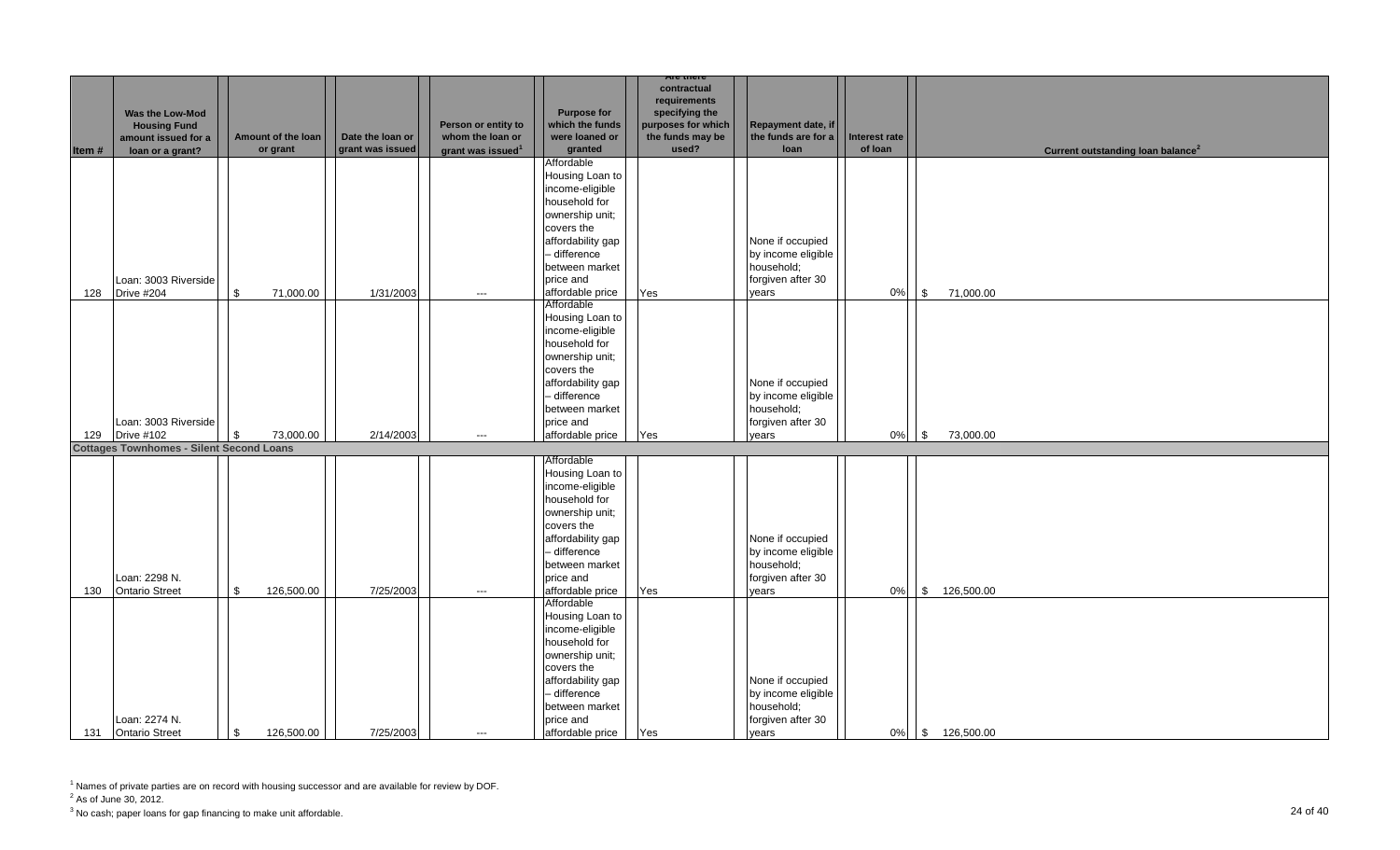|       |                                                 |                    |                  |                               |                    | Are there          |                     |               |                                               |
|-------|-------------------------------------------------|--------------------|------------------|-------------------------------|--------------------|--------------------|---------------------|---------------|-----------------------------------------------|
|       |                                                 |                    |                  |                               |                    | contractual        |                     |               |                                               |
|       |                                                 |                    |                  |                               |                    | requirements       |                     |               |                                               |
|       | <b>Was the Low-Mod</b>                          |                    |                  |                               | <b>Purpose for</b> | specifying the     |                     |               |                                               |
|       | <b>Housing Fund</b>                             |                    |                  | Person or entity to           | which the funds    | purposes for which | Repayment date, if  |               |                                               |
|       | amount issued for a                             | Amount of the loan | Date the loan or | whom the loan or              | were loaned or     | the funds may be   | the funds are for a | Interest rate |                                               |
| Item# | loan or a grant?                                | or grant           | grant was issued | grant was issued <sup>1</sup> | granted            | used?              | loan                | of loan       | Current outstanding loan balance <sup>2</sup> |
|       |                                                 |                    |                  |                               | Affordable         |                    |                     |               |                                               |
|       |                                                 |                    |                  |                               | Housing Loan to    |                    |                     |               |                                               |
|       |                                                 |                    |                  |                               | income-eligible    |                    |                     |               |                                               |
|       |                                                 |                    |                  |                               | household for      |                    |                     |               |                                               |
|       |                                                 |                    |                  |                               |                    |                    |                     |               |                                               |
|       |                                                 |                    |                  |                               | ownership unit;    |                    |                     |               |                                               |
|       |                                                 |                    |                  |                               | covers the         |                    |                     |               |                                               |
|       |                                                 |                    |                  |                               | affordability gap  |                    | None if occupied    |               |                                               |
|       |                                                 |                    |                  |                               | - difference       |                    | by income eligible  |               |                                               |
|       |                                                 |                    |                  |                               | between market     |                    | household;          |               |                                               |
|       | Loan: 3003 Riverside                            |                    |                  |                               | price and          |                    | forgiven after 30   |               |                                               |
| 128   | Drive #204                                      | \$<br>71,000.00    | 1/31/2003        | $\hspace{0.05cm} \ldots$      | affordable price   | Yes                | years               | 0%            | 71,000.00<br>$\sqrt{3}$                       |
|       |                                                 |                    |                  |                               | Affordable         |                    |                     |               |                                               |
|       |                                                 |                    |                  |                               | Housing Loan to    |                    |                     |               |                                               |
|       |                                                 |                    |                  |                               | income-eligible    |                    |                     |               |                                               |
|       |                                                 |                    |                  |                               |                    |                    |                     |               |                                               |
|       |                                                 |                    |                  |                               | household for      |                    |                     |               |                                               |
|       |                                                 |                    |                  |                               | ownership unit;    |                    |                     |               |                                               |
|       |                                                 |                    |                  |                               | covers the         |                    |                     |               |                                               |
|       |                                                 |                    |                  |                               | affordability gap  |                    | None if occupied    |               |                                               |
|       |                                                 |                    |                  |                               | - difference       |                    | by income eligible  |               |                                               |
|       |                                                 |                    |                  |                               | between market     |                    | household;          |               |                                               |
|       | Loan: 3003 Riverside                            |                    |                  |                               | price and          |                    | forgiven after 30   |               |                                               |
| 129   | <b>Drive #102</b>                               | 73,000.00<br>\$    | 2/14/2003        | $---$                         | affordable price   | Yes                | vears               | 0%            | 73,000.00<br>$\sqrt{3}$                       |
|       | <b>Cottages Townhomes - Silent Second Loans</b> |                    |                  |                               |                    |                    |                     |               |                                               |
|       |                                                 |                    |                  |                               | Affordable         |                    |                     |               |                                               |
|       |                                                 |                    |                  |                               | Housing Loan to    |                    |                     |               |                                               |
|       |                                                 |                    |                  |                               | income-eligible    |                    |                     |               |                                               |
|       |                                                 |                    |                  |                               |                    |                    |                     |               |                                               |
|       |                                                 |                    |                  |                               | household for      |                    |                     |               |                                               |
|       |                                                 |                    |                  |                               | ownership unit;    |                    |                     |               |                                               |
|       |                                                 |                    |                  |                               | covers the         |                    |                     |               |                                               |
|       |                                                 |                    |                  |                               | affordability gap  |                    | None if occupied    |               |                                               |
|       |                                                 |                    |                  |                               | - difference       |                    | by income eligible  |               |                                               |
|       |                                                 |                    |                  |                               | between market     |                    | household;          |               |                                               |
|       | Loan: 2298 N.                                   |                    |                  |                               | price and          |                    | forgiven after 30   |               |                                               |
| 130   | <b>Ontario Street</b>                           | \$<br>126,500.00   | 7/25/2003        | $\hspace{0.05cm} \ldots$      | affordable price   | Yes                | years               | 0%            | $\sqrt{3}$<br>126,500.00                      |
|       |                                                 |                    |                  |                               | Affordable         |                    |                     |               |                                               |
|       |                                                 |                    |                  |                               | Housing Loan to    |                    |                     |               |                                               |
|       |                                                 |                    |                  |                               | income-eligible    |                    |                     |               |                                               |
|       |                                                 |                    |                  |                               |                    |                    |                     |               |                                               |
|       |                                                 |                    |                  |                               | household for      |                    |                     |               |                                               |
|       |                                                 |                    |                  |                               | ownership unit;    |                    |                     |               |                                               |
|       |                                                 |                    |                  |                               | covers the         |                    |                     |               |                                               |
|       |                                                 |                    |                  |                               | affordability gap  |                    | None if occupied    |               |                                               |
|       |                                                 |                    |                  |                               | - difference       |                    | by income eligible  |               |                                               |
|       |                                                 |                    |                  |                               | between market     |                    | household;          |               |                                               |
|       | Loan: 2274 N.                                   |                    |                  |                               | price and          |                    | forgiven after 30   |               |                                               |
|       | 131 Ontario Street                              | \$<br>126,500.00   | 7/25/2003        | $\hspace{0.05cm} \ldots$      | affordable price   | Yes                | years               |               | 0% \$126,500.00                               |
|       |                                                 |                    |                  |                               |                    |                    |                     |               |                                               |

 $2^2$  As of June 30, 2012.

 $^3$  No cash; paper loans for gap financing to make unit affordable.  $\hspace{2cm} 24$  Of  $40$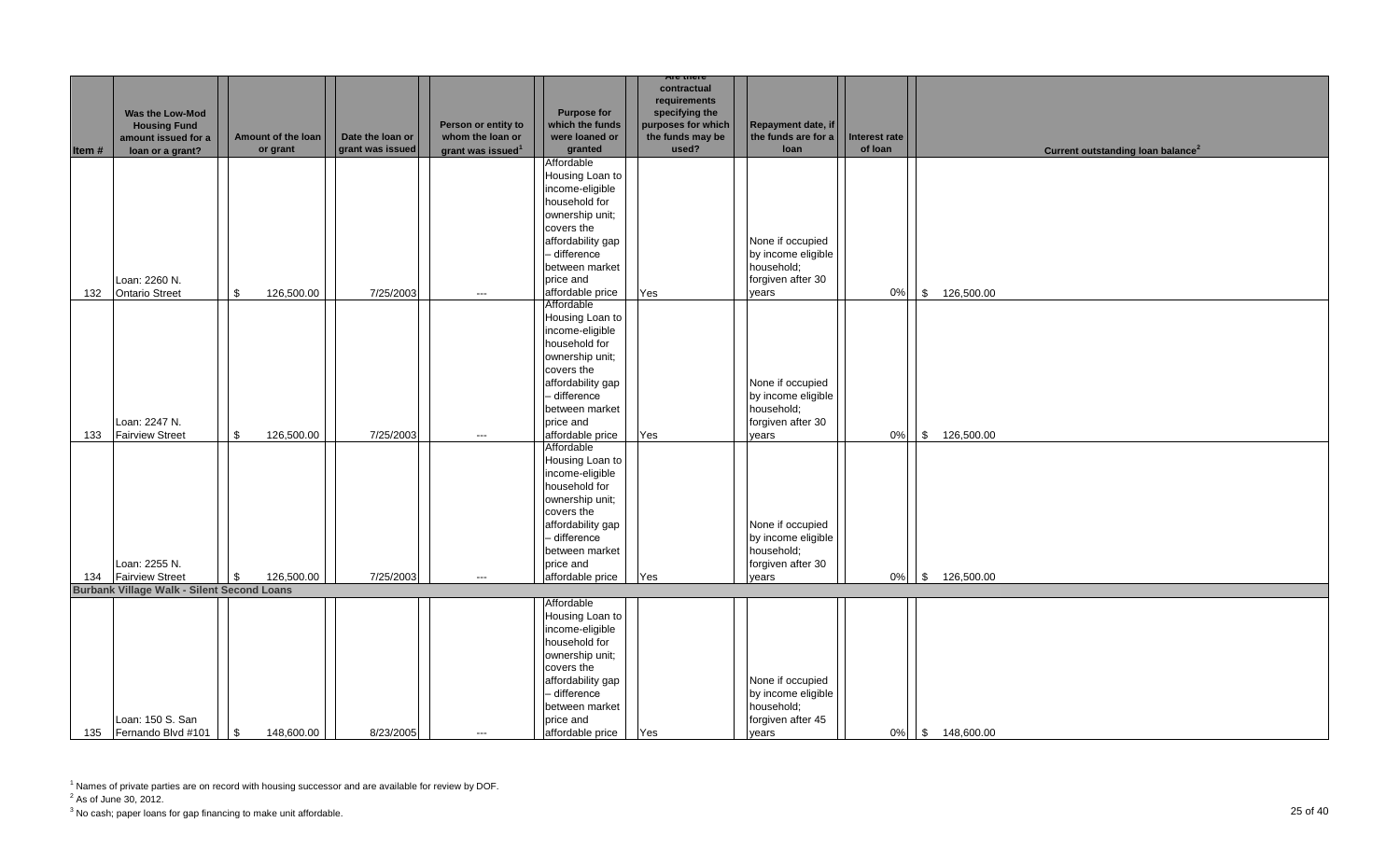|        |                                                   |                            |                  |                         |                               | Are there          |                                        |               |                                               |
|--------|---------------------------------------------------|----------------------------|------------------|-------------------------|-------------------------------|--------------------|----------------------------------------|---------------|-----------------------------------------------|
|        |                                                   |                            |                  |                         |                               | contractual        |                                        |               |                                               |
|        |                                                   |                            |                  |                         |                               | requirements       |                                        |               |                                               |
|        | Was the Low-Mod                                   |                            |                  |                         | <b>Purpose for</b>            | specifying the     |                                        |               |                                               |
|        | <b>Housing Fund</b>                               |                            |                  | Person or entity to     | which the funds               | purposes for which | Repayment date, if                     |               |                                               |
|        | amount issued for a                               | Amount of the loan         | Date the loan or | whom the loan or        | were loaned or                | the funds may be   | the funds are for a                    | Interest rate |                                               |
| Item # | loan or a grant?                                  | or grant                   | grant was issued | grant was issued $1$    | granted                       | used?              | loan                                   | of loan       | Current outstanding loan balance <sup>2</sup> |
|        |                                                   |                            |                  |                         | Affordable<br>Housing Loan to |                    |                                        |               |                                               |
|        |                                                   |                            |                  |                         | income-eligible               |                    |                                        |               |                                               |
|        |                                                   |                            |                  |                         | household for                 |                    |                                        |               |                                               |
|        |                                                   |                            |                  |                         | ownership unit;               |                    |                                        |               |                                               |
|        |                                                   |                            |                  |                         | covers the                    |                    |                                        |               |                                               |
|        |                                                   |                            |                  |                         | affordability gap             |                    |                                        |               |                                               |
|        |                                                   |                            |                  |                         | - difference                  |                    | None if occupied<br>by income eligible |               |                                               |
|        |                                                   |                            |                  |                         | between market                |                    | household;                             |               |                                               |
|        | Loan: 2260 N.                                     |                            |                  |                         | price and                     |                    | forgiven after 30                      |               |                                               |
| 132    | <b>Ontario Street</b>                             | 126,500.00<br>\$           | 7/25/2003        |                         | affordable price              |                    |                                        | 0%            | \$ 126,500.00                                 |
|        |                                                   |                            |                  | $\hspace{0.05cm}\ldots$ | Affordable                    | Yes                | years                                  |               |                                               |
|        |                                                   |                            |                  |                         | Housing Loan to               |                    |                                        |               |                                               |
|        |                                                   |                            |                  |                         | income-eligible               |                    |                                        |               |                                               |
|        |                                                   |                            |                  |                         | household for                 |                    |                                        |               |                                               |
|        |                                                   |                            |                  |                         | ownership unit;               |                    |                                        |               |                                               |
|        |                                                   |                            |                  |                         | covers the                    |                    |                                        |               |                                               |
|        |                                                   |                            |                  |                         | affordability gap             |                    | None if occupied                       |               |                                               |
|        |                                                   |                            |                  |                         | - difference                  |                    | by income eligible                     |               |                                               |
|        |                                                   |                            |                  |                         | between market                |                    | household;                             |               |                                               |
|        | Loan: 2247 N.                                     |                            |                  |                         | price and                     |                    | forgiven after 30                      |               |                                               |
| 133    | <b>Fairview Street</b>                            | 126,500.00<br>\$           | 7/25/2003        | $\hspace{0.05cm}\ldots$ | affordable price              | Yes                | years                                  | 0%            | \$ 126,500.00                                 |
|        |                                                   |                            |                  |                         | Affordable                    |                    |                                        |               |                                               |
|        |                                                   |                            |                  |                         | Housing Loan to               |                    |                                        |               |                                               |
|        |                                                   |                            |                  |                         | income-eligible               |                    |                                        |               |                                               |
|        |                                                   |                            |                  |                         | household for                 |                    |                                        |               |                                               |
|        |                                                   |                            |                  |                         | ownership unit;               |                    |                                        |               |                                               |
|        |                                                   |                            |                  |                         | covers the                    |                    |                                        |               |                                               |
|        |                                                   |                            |                  |                         | affordability gap             |                    | None if occupied                       |               |                                               |
|        |                                                   |                            |                  |                         | - difference                  |                    | by income eligible                     |               |                                               |
|        |                                                   |                            |                  |                         | between market                |                    | household;                             |               |                                               |
|        | Loan: 2255 N.                                     |                            |                  |                         | price and                     |                    | forgiven after 30                      |               |                                               |
| 134    | <b>Fairview Street</b>                            | 126,500.00<br>-\$          | 7/25/2003        | $---$                   | affordable price              | Yes                | vears                                  | 0%            | 126,500.00<br>$\sqrt{S}$                      |
|        | <b>Burbank Village Walk - Silent Second Loans</b> |                            |                  |                         |                               |                    |                                        |               |                                               |
|        |                                                   |                            |                  |                         | Affordable                    |                    |                                        |               |                                               |
|        |                                                   |                            |                  |                         | Housing Loan to               |                    |                                        |               |                                               |
|        |                                                   |                            |                  |                         | income-eligible               |                    |                                        |               |                                               |
|        |                                                   |                            |                  |                         | household for                 |                    |                                        |               |                                               |
|        |                                                   |                            |                  |                         | ownership unit;               |                    |                                        |               |                                               |
|        |                                                   |                            |                  |                         | covers the                    |                    |                                        |               |                                               |
|        |                                                   |                            |                  |                         | affordability gap             |                    | None if occupied                       |               |                                               |
|        |                                                   |                            |                  |                         | - difference                  |                    | by income eligible<br>household;       |               |                                               |
|        | Loan: 150 S. San                                  |                            |                  |                         | between market<br>price and   |                    | forgiven after 45                      |               |                                               |
| 135    | Fernando Blvd #101                                | $\mathbb{S}$<br>148,600.00 | 8/23/2005        | $---$                   | affordable price              | Yes                | vears                                  | 0%            | \$ 148,600.00                                 |
|        |                                                   |                            |                  |                         |                               |                    |                                        |               |                                               |

 $2^2$  As of June 30, 2012.

 $^3$  No cash; paper loans for gap financing to make unit affordable.  $\hspace{25mm}$   $\hspace{25mm}$   $\hspace{25mm}$  25 of 40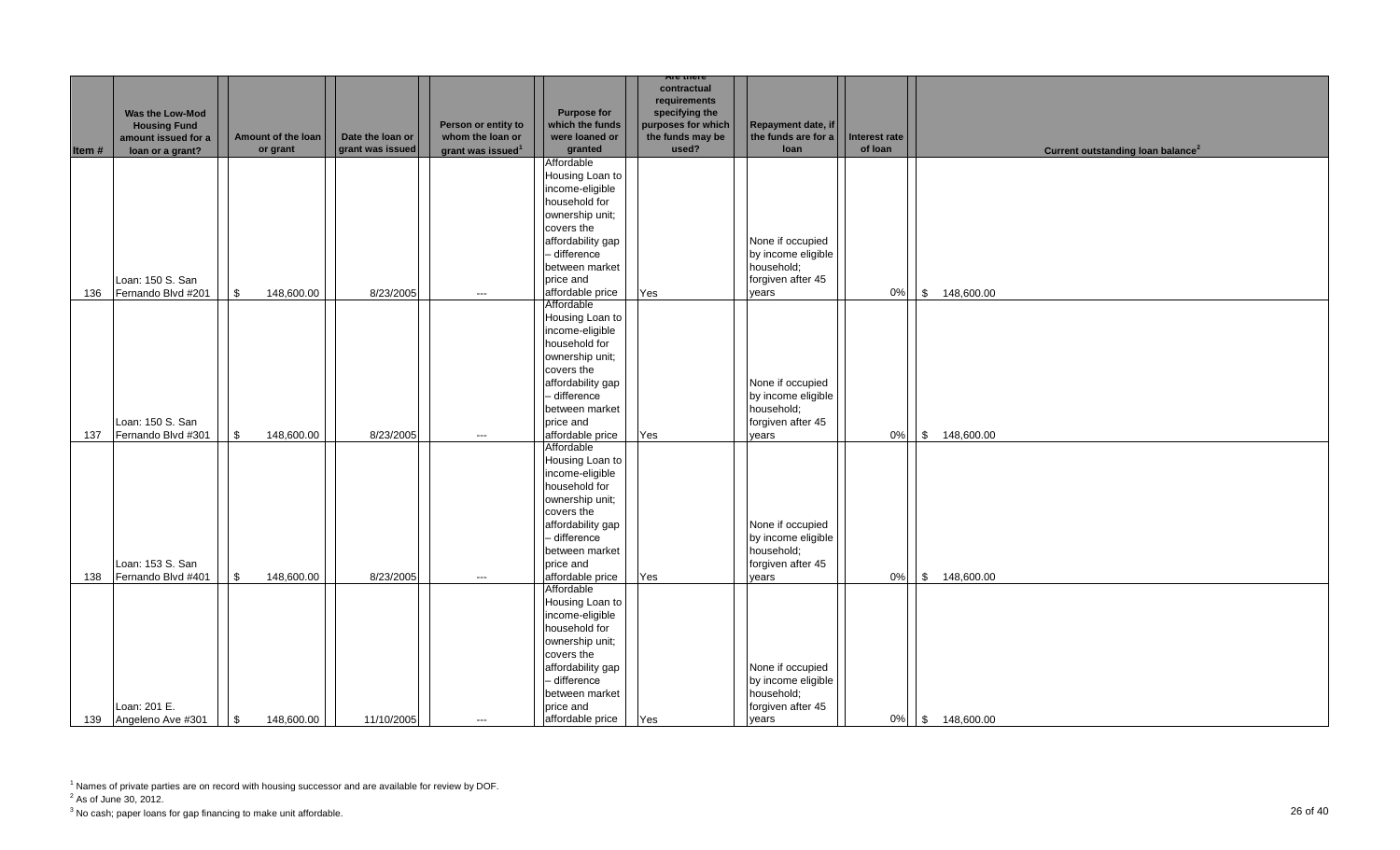|       |                                                                                   |                                |                                      |                                                                          |                                                                    | Are there                                                                                        |                                                   |                          |                                               |
|-------|-----------------------------------------------------------------------------------|--------------------------------|--------------------------------------|--------------------------------------------------------------------------|--------------------------------------------------------------------|--------------------------------------------------------------------------------------------------|---------------------------------------------------|--------------------------|-----------------------------------------------|
| Item# | Was the Low-Mod<br><b>Housing Fund</b><br>amount issued for a<br>loan or a grant? | Amount of the loan<br>or grant | Date the loan or<br>grant was issued | Person or entity to<br>whom the loan or<br>grant was issued <sup>1</sup> | <b>Purpose for</b><br>which the funds<br>were loaned or<br>granted | contractual<br>requirements<br>specifying the<br>purposes for which<br>the funds may be<br>used? | Repayment date, if<br>the funds are for a<br>loan | Interest rate<br>of loan | Current outstanding loan balance <sup>2</sup> |
|       |                                                                                   |                                |                                      |                                                                          | Affordable                                                         |                                                                                                  |                                                   |                          |                                               |
|       |                                                                                   |                                |                                      |                                                                          | Housing Loan to                                                    |                                                                                                  |                                                   |                          |                                               |
|       |                                                                                   |                                |                                      |                                                                          | income-eligible                                                    |                                                                                                  |                                                   |                          |                                               |
|       |                                                                                   |                                |                                      |                                                                          | household for                                                      |                                                                                                  |                                                   |                          |                                               |
|       |                                                                                   |                                |                                      |                                                                          | ownership unit;                                                    |                                                                                                  |                                                   |                          |                                               |
|       |                                                                                   |                                |                                      |                                                                          | covers the                                                         |                                                                                                  |                                                   |                          |                                               |
|       |                                                                                   |                                |                                      |                                                                          | affordability gap                                                  |                                                                                                  | None if occupied                                  |                          |                                               |
|       |                                                                                   |                                |                                      |                                                                          | - difference                                                       |                                                                                                  | by income eligible                                |                          |                                               |
|       |                                                                                   |                                |                                      |                                                                          | between market                                                     |                                                                                                  | household;                                        |                          |                                               |
|       | Loan: 150 S. San                                                                  |                                |                                      |                                                                          | price and                                                          |                                                                                                  | forgiven after 45                                 |                          |                                               |
| 136   | Fernando Blvd #201                                                                | 148,600.00<br>\$               | 8/23/2005                            | $\hspace{0.05cm}\ldots$                                                  | affordable price<br>Affordable                                     | Yes                                                                                              | years                                             | $0\%$                    | \$ 148,600.00                                 |
|       |                                                                                   |                                |                                      |                                                                          | Housing Loan to                                                    |                                                                                                  |                                                   |                          |                                               |
|       |                                                                                   |                                |                                      |                                                                          | income-eligible                                                    |                                                                                                  |                                                   |                          |                                               |
|       |                                                                                   |                                |                                      |                                                                          | household for                                                      |                                                                                                  |                                                   |                          |                                               |
|       |                                                                                   |                                |                                      |                                                                          | ownership unit;                                                    |                                                                                                  |                                                   |                          |                                               |
|       |                                                                                   |                                |                                      |                                                                          | covers the                                                         |                                                                                                  |                                                   |                          |                                               |
|       |                                                                                   |                                |                                      |                                                                          | affordability gap                                                  |                                                                                                  | None if occupied                                  |                          |                                               |
|       |                                                                                   |                                |                                      |                                                                          | - difference                                                       |                                                                                                  | by income eligible                                |                          |                                               |
|       |                                                                                   |                                |                                      |                                                                          | between market                                                     |                                                                                                  | household;                                        |                          |                                               |
|       | Loan: 150 S. San                                                                  |                                |                                      |                                                                          | price and                                                          |                                                                                                  | forgiven after 45                                 |                          |                                               |
| 137   | Fernando Blvd #301                                                                | $\mathbb{S}$<br>148,600.00     | 8/23/2005                            | $\hspace{0.05cm} \ldots$                                                 | affordable price                                                   | Yes                                                                                              | vears                                             | 0%                       | \$148,600.00                                  |
|       |                                                                                   |                                |                                      |                                                                          | Affordable<br>Housing Loan to                                      |                                                                                                  |                                                   |                          |                                               |
|       |                                                                                   |                                |                                      |                                                                          | income-eligible                                                    |                                                                                                  |                                                   |                          |                                               |
|       |                                                                                   |                                |                                      |                                                                          | household for                                                      |                                                                                                  |                                                   |                          |                                               |
|       |                                                                                   |                                |                                      |                                                                          | ownership unit;                                                    |                                                                                                  |                                                   |                          |                                               |
|       |                                                                                   |                                |                                      |                                                                          | covers the                                                         |                                                                                                  |                                                   |                          |                                               |
|       |                                                                                   |                                |                                      |                                                                          | affordability gap                                                  |                                                                                                  | None if occupied                                  |                          |                                               |
|       |                                                                                   |                                |                                      |                                                                          | - difference                                                       |                                                                                                  | by income eligible                                |                          |                                               |
|       |                                                                                   |                                |                                      |                                                                          | between market                                                     |                                                                                                  | household;                                        |                          |                                               |
|       | Loan: 153 S. San                                                                  |                                |                                      |                                                                          | price and                                                          |                                                                                                  | forgiven after 45                                 |                          |                                               |
| 138   | Fernando Blvd #401                                                                | \$<br>148,600.00               | 8/23/2005                            | $---$                                                                    | affordable price                                                   | Yes                                                                                              | years                                             | 0%                       | \$ 148,600.00                                 |
|       |                                                                                   |                                |                                      |                                                                          | Affordable                                                         |                                                                                                  |                                                   |                          |                                               |
|       |                                                                                   |                                |                                      |                                                                          | Housing Loan to                                                    |                                                                                                  |                                                   |                          |                                               |
|       |                                                                                   |                                |                                      |                                                                          | income-eligible<br>household for                                   |                                                                                                  |                                                   |                          |                                               |
|       |                                                                                   |                                |                                      |                                                                          | ownership unit;                                                    |                                                                                                  |                                                   |                          |                                               |
|       |                                                                                   |                                |                                      |                                                                          | covers the                                                         |                                                                                                  |                                                   |                          |                                               |
|       |                                                                                   |                                |                                      |                                                                          | affordability gap                                                  |                                                                                                  | None if occupied                                  |                          |                                               |
|       |                                                                                   |                                |                                      |                                                                          | - difference                                                       |                                                                                                  | by income eligible                                |                          |                                               |
|       |                                                                                   |                                |                                      |                                                                          | between market                                                     |                                                                                                  | household;                                        |                          |                                               |
|       | Loan: 201 E.                                                                      |                                |                                      |                                                                          | price and                                                          |                                                                                                  | forgiven after 45                                 |                          |                                               |
|       | 139 Angeleno Ave #301                                                             | \$<br>148,600.00               | 11/10/2005                           | $---$                                                                    | affordable price                                                   | Yes                                                                                              | vears                                             | $0\%$                    | \$ 148,600.00                                 |

 $2^2$  As of June 30, 2012.

 $^3$  No cash; paper loans for gap financing to make unit affordable.  $\hspace{2cm}$  26 of 40  $\hspace{1cm}$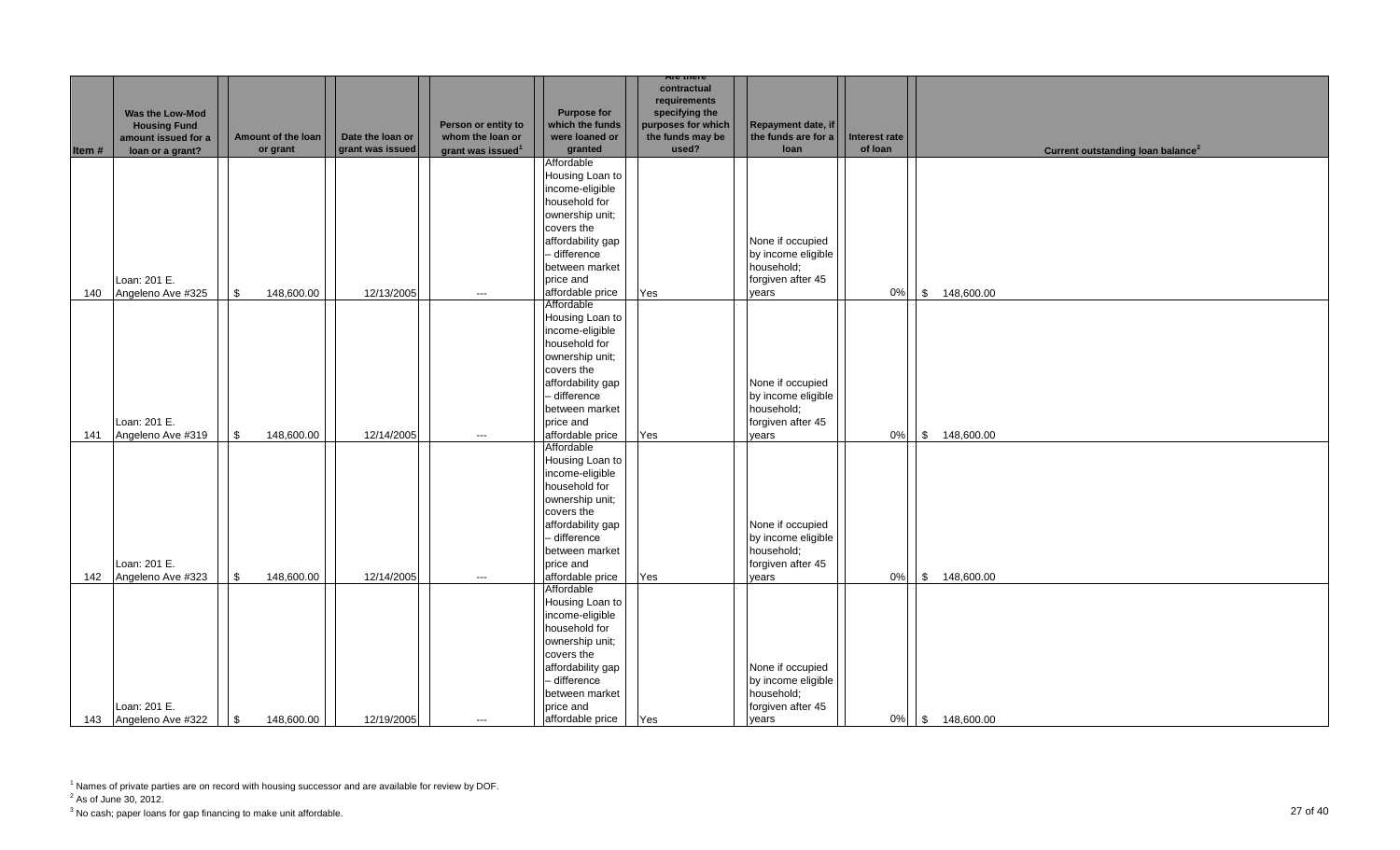|        |                       |                    |                  |                               |                                 | <b>Are there</b>               |                                        |                      |                                               |
|--------|-----------------------|--------------------|------------------|-------------------------------|---------------------------------|--------------------------------|----------------------------------------|----------------------|-----------------------------------------------|
|        |                       |                    |                  |                               |                                 | contractual                    |                                        |                      |                                               |
|        | Was the Low-Mod       |                    |                  |                               | <b>Purpose for</b>              | requirements<br>specifying the |                                        |                      |                                               |
|        | <b>Housing Fund</b>   |                    |                  | Person or entity to           | which the funds                 | purposes for which             | Repayment date, if                     |                      |                                               |
|        | amount issued for a   | Amount of the loan | Date the loan or | whom the loan or              | were loaned or                  | the funds may be               | the funds are for a                    | <b>Interest rate</b> |                                               |
| Item # | loan or a grant?      | or grant           | grant was issued | grant was issued <sup>1</sup> | granted                         | used?                          | loan                                   | of loan              | Current outstanding loan balance <sup>2</sup> |
|        |                       |                    |                  |                               | Affordable                      |                                |                                        |                      |                                               |
|        |                       |                    |                  |                               | Housing Loan to                 |                                |                                        |                      |                                               |
|        |                       |                    |                  |                               | income-eligible                 |                                |                                        |                      |                                               |
|        |                       |                    |                  |                               | household for                   |                                |                                        |                      |                                               |
|        |                       |                    |                  |                               | ownership unit;                 |                                |                                        |                      |                                               |
|        |                       |                    |                  |                               | covers the                      |                                |                                        |                      |                                               |
|        |                       |                    |                  |                               | affordability gap               |                                | None if occupied                       |                      |                                               |
|        |                       |                    |                  |                               | - difference                    |                                | by income eligible                     |                      |                                               |
|        |                       |                    |                  |                               | between market                  |                                | household;                             |                      |                                               |
|        | Loan: 201 E.          |                    |                  |                               | price and                       |                                | forgiven after 45                      |                      |                                               |
| 140    | Angeleno Ave #325     | \$<br>148,600.00   | 12/13/2005       | $\hspace{0.05cm} \ldots$      | affordable price                | Yes                            | vears                                  | 0%                   | \$ 148,600.00                                 |
|        |                       |                    |                  |                               | Affordable                      |                                |                                        |                      |                                               |
|        |                       |                    |                  |                               | Housing Loan to                 |                                |                                        |                      |                                               |
|        |                       |                    |                  |                               | income-eligible                 |                                |                                        |                      |                                               |
|        |                       |                    |                  |                               | household for                   |                                |                                        |                      |                                               |
|        |                       |                    |                  |                               | ownership unit;                 |                                |                                        |                      |                                               |
|        |                       |                    |                  |                               | covers the<br>affordability gap |                                |                                        |                      |                                               |
|        |                       |                    |                  |                               | - difference                    |                                | None if occupied<br>by income eligible |                      |                                               |
|        |                       |                    |                  |                               | between market                  |                                | household;                             |                      |                                               |
|        | Loan: 201 E.          |                    |                  |                               | price and                       |                                | forgiven after 45                      |                      |                                               |
| 141    | Angeleno Ave #319     | 148,600.00<br>\$   | 12/14/2005       | $\hspace{0.05cm}\ldots$       | affordable price                | Yes                            | vears                                  | 0%                   | \$ 148,600.00                                 |
|        |                       |                    |                  |                               | Affordable                      |                                |                                        |                      |                                               |
|        |                       |                    |                  |                               | Housing Loan to                 |                                |                                        |                      |                                               |
|        |                       |                    |                  |                               | income-eligible                 |                                |                                        |                      |                                               |
|        |                       |                    |                  |                               | household for                   |                                |                                        |                      |                                               |
|        |                       |                    |                  |                               | ownership unit;                 |                                |                                        |                      |                                               |
|        |                       |                    |                  |                               | covers the                      |                                |                                        |                      |                                               |
|        |                       |                    |                  |                               | affordability gap               |                                | None if occupied                       |                      |                                               |
|        |                       |                    |                  |                               | - difference                    |                                | by income eligible                     |                      |                                               |
|        |                       |                    |                  |                               | between market                  |                                | household;                             |                      |                                               |
|        | Loan: 201 E.          |                    |                  |                               | price and                       |                                | forgiven after 45                      |                      |                                               |
| 142    | Angeleno Ave #323     | \$<br>148,600.00   | 12/14/2005       | $\hspace{0.05cm}\ldots$       | affordable price                | Yes                            | years                                  | $0\%$                | \$ 148,600.00                                 |
|        |                       |                    |                  |                               | Affordable                      |                                |                                        |                      |                                               |
|        |                       |                    |                  |                               | Housing Loan to                 |                                |                                        |                      |                                               |
|        |                       |                    |                  |                               | income-eligible                 |                                |                                        |                      |                                               |
|        |                       |                    |                  |                               | household for                   |                                |                                        |                      |                                               |
|        |                       |                    |                  |                               | ownership unit;<br>covers the   |                                |                                        |                      |                                               |
|        |                       |                    |                  |                               | affordability gap               |                                | None if occupied                       |                      |                                               |
|        |                       |                    |                  |                               | - difference                    |                                | by income eligible                     |                      |                                               |
|        |                       |                    |                  |                               | between market                  |                                | household;                             |                      |                                               |
|        | Loan: 201 E.          |                    |                  |                               | price and                       |                                | forgiven after 45                      |                      |                                               |
|        | 143 Angeleno Ave #322 | \$<br>148,600.00   | 12/19/2005       | $---$                         | affordable price                | Yes                            | vears                                  | $0\%$                | \$ 148,600.00                                 |

 $2^2$  As of June 30, 2012.

 $^3$  No cash; paper loans for gap financing to make unit affordable.  $27$  of  $40$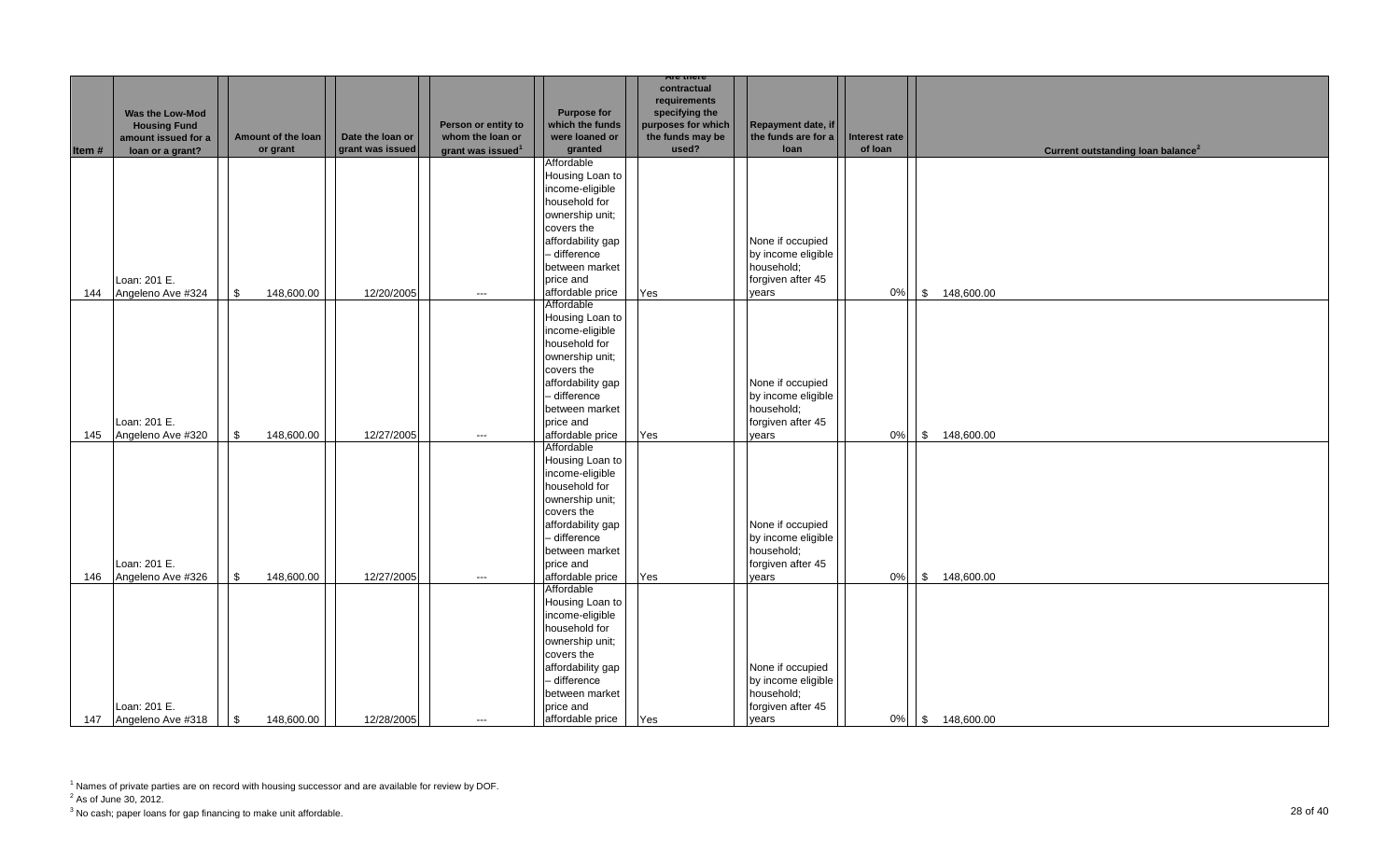|       |                                                                                   |                                |                                      |                                                                          |                                                                    | Are there                                                                                        |                                                   |                          |                                               |
|-------|-----------------------------------------------------------------------------------|--------------------------------|--------------------------------------|--------------------------------------------------------------------------|--------------------------------------------------------------------|--------------------------------------------------------------------------------------------------|---------------------------------------------------|--------------------------|-----------------------------------------------|
| Item# | Was the Low-Mod<br><b>Housing Fund</b><br>amount issued for a<br>loan or a grant? | Amount of the loan<br>or grant | Date the loan or<br>grant was issued | Person or entity to<br>whom the loan or<br>grant was issued <sup>1</sup> | <b>Purpose for</b><br>which the funds<br>were loaned or<br>granted | contractual<br>requirements<br>specifying the<br>purposes for which<br>the funds may be<br>used? | Repayment date, if<br>the funds are for a<br>loan | Interest rate<br>of loan | Current outstanding loan balance <sup>2</sup> |
|       |                                                                                   |                                |                                      |                                                                          | Affordable                                                         |                                                                                                  |                                                   |                          |                                               |
|       |                                                                                   |                                |                                      |                                                                          | Housing Loan to                                                    |                                                                                                  |                                                   |                          |                                               |
|       |                                                                                   |                                |                                      |                                                                          | income-eligible                                                    |                                                                                                  |                                                   |                          |                                               |
|       |                                                                                   |                                |                                      |                                                                          | household for                                                      |                                                                                                  |                                                   |                          |                                               |
|       |                                                                                   |                                |                                      |                                                                          | ownership unit;                                                    |                                                                                                  |                                                   |                          |                                               |
|       |                                                                                   |                                |                                      |                                                                          | covers the                                                         |                                                                                                  |                                                   |                          |                                               |
|       |                                                                                   |                                |                                      |                                                                          | affordability gap                                                  |                                                                                                  | None if occupied                                  |                          |                                               |
|       |                                                                                   |                                |                                      |                                                                          | - difference                                                       |                                                                                                  | by income eligible                                |                          |                                               |
|       |                                                                                   |                                |                                      |                                                                          | between market                                                     |                                                                                                  | household;                                        |                          |                                               |
|       | Loan: 201 E.                                                                      |                                |                                      |                                                                          | price and                                                          |                                                                                                  | forgiven after 45                                 |                          |                                               |
| 144   | Angeleno Ave #324                                                                 | 148,600.00<br>\$               | 12/20/2005                           | $\hspace{0.05cm}\ldots$                                                  | affordable price                                                   | Yes                                                                                              | years                                             | 0%                       | \$ 148,600.00                                 |
|       |                                                                                   |                                |                                      |                                                                          | Affordable<br>Housing Loan to                                      |                                                                                                  |                                                   |                          |                                               |
|       |                                                                                   |                                |                                      |                                                                          | income-eligible                                                    |                                                                                                  |                                                   |                          |                                               |
|       |                                                                                   |                                |                                      |                                                                          | household for                                                      |                                                                                                  |                                                   |                          |                                               |
|       |                                                                                   |                                |                                      |                                                                          | ownership unit;                                                    |                                                                                                  |                                                   |                          |                                               |
|       |                                                                                   |                                |                                      |                                                                          | covers the                                                         |                                                                                                  |                                                   |                          |                                               |
|       |                                                                                   |                                |                                      |                                                                          | affordability gap                                                  |                                                                                                  | None if occupied                                  |                          |                                               |
|       |                                                                                   |                                |                                      |                                                                          | - difference                                                       |                                                                                                  | by income eligible                                |                          |                                               |
|       |                                                                                   |                                |                                      |                                                                          | between market                                                     |                                                                                                  | household;                                        |                          |                                               |
|       | Loan: 201 E.                                                                      |                                |                                      |                                                                          | price and                                                          |                                                                                                  | forgiven after 45                                 |                          |                                               |
| 145   | Angeleno Ave #320                                                                 | $\mathbb{S}$<br>148,600.00     | 12/27/2005                           | $\hspace{0.05cm} \ldots$                                                 | affordable price                                                   | Yes                                                                                              | vears                                             | 0%                       | \$ 148,600.00                                 |
|       |                                                                                   |                                |                                      |                                                                          | Affordable                                                         |                                                                                                  |                                                   |                          |                                               |
|       |                                                                                   |                                |                                      |                                                                          | Housing Loan to                                                    |                                                                                                  |                                                   |                          |                                               |
|       |                                                                                   |                                |                                      |                                                                          | income-eligible<br>household for                                   |                                                                                                  |                                                   |                          |                                               |
|       |                                                                                   |                                |                                      |                                                                          | ownership unit;                                                    |                                                                                                  |                                                   |                          |                                               |
|       |                                                                                   |                                |                                      |                                                                          | covers the                                                         |                                                                                                  |                                                   |                          |                                               |
|       |                                                                                   |                                |                                      |                                                                          | affordability gap                                                  |                                                                                                  | None if occupied                                  |                          |                                               |
|       |                                                                                   |                                |                                      |                                                                          | - difference                                                       |                                                                                                  | by income eligible                                |                          |                                               |
|       |                                                                                   |                                |                                      |                                                                          | between market                                                     |                                                                                                  | household;                                        |                          |                                               |
|       | Loan: 201 E.                                                                      |                                |                                      |                                                                          | price and                                                          |                                                                                                  | forgiven after 45                                 |                          |                                               |
| 146   | Angeleno Ave #326                                                                 | 148,600.00<br>\$               | 12/27/2005                           | $---$                                                                    | affordable price                                                   | Yes                                                                                              | years                                             | 0%                       | \$ 148,600.00                                 |
|       |                                                                                   |                                |                                      |                                                                          | Affordable                                                         |                                                                                                  |                                                   |                          |                                               |
|       |                                                                                   |                                |                                      |                                                                          | Housing Loan to                                                    |                                                                                                  |                                                   |                          |                                               |
|       |                                                                                   |                                |                                      |                                                                          | income-eligible                                                    |                                                                                                  |                                                   |                          |                                               |
|       |                                                                                   |                                |                                      |                                                                          | household for                                                      |                                                                                                  |                                                   |                          |                                               |
|       |                                                                                   |                                |                                      |                                                                          | ownership unit;                                                    |                                                                                                  |                                                   |                          |                                               |
|       |                                                                                   |                                |                                      |                                                                          | covers the<br>affordability gap                                    |                                                                                                  | None if occupied                                  |                          |                                               |
|       |                                                                                   |                                |                                      |                                                                          | - difference                                                       |                                                                                                  | by income eligible                                |                          |                                               |
|       |                                                                                   |                                |                                      |                                                                          | between market                                                     |                                                                                                  | household;                                        |                          |                                               |
|       | Loan: 201 E.                                                                      |                                |                                      |                                                                          | price and                                                          |                                                                                                  | forgiven after 45                                 |                          |                                               |
|       | 147 Angeleno Ave #318                                                             | \$<br>148,600.00               | 12/28/2005                           | $---$                                                                    | affordable price                                                   | Yes                                                                                              | vears                                             | $0\%$                    | \$ 148,600.00                                 |

 $2^2$  As of June 30, 2012.

 $^3$  No cash; paper loans for gap financing to make unit affordable.  $\hspace{3cm}$   $\hspace{3cm}$   $\hspace{3cm}$   $\hspace{3cm}$   $\hspace{3cm}$   $\hspace{3cm}$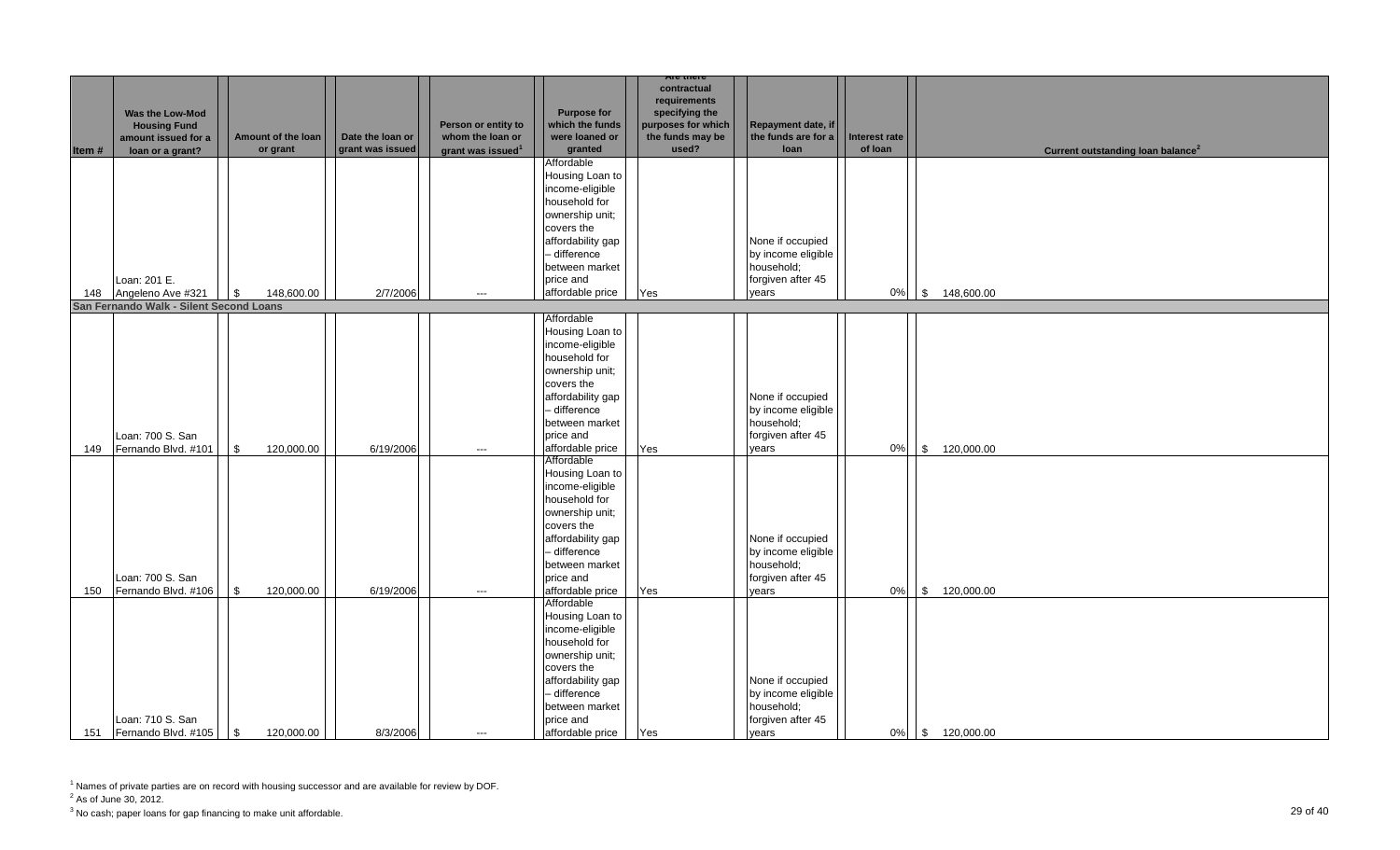|       |                                                               |                          |                  |                                         |                                                                                                                                                                                            | Are there                                                                               |                                                                                    |                      |                                               |
|-------|---------------------------------------------------------------|--------------------------|------------------|-----------------------------------------|--------------------------------------------------------------------------------------------------------------------------------------------------------------------------------------------|-----------------------------------------------------------------------------------------|------------------------------------------------------------------------------------|----------------------|-----------------------------------------------|
|       | Was the Low-Mod<br><b>Housing Fund</b><br>amount issued for a | Amount of the loan       | Date the loan or | Person or entity to<br>whom the loan or | <b>Purpose for</b><br>which the funds<br>were loaned or                                                                                                                                    | contractual<br>requirements<br>specifying the<br>purposes for which<br>the funds may be | Repayment date, if<br>the funds are for a                                          | <b>Interest rate</b> |                                               |
| Item# | loan or a grant?                                              | or grant                 | grant was issued | grant was issued <sup>1</sup>           | granted                                                                                                                                                                                    | used?                                                                                   | loan                                                                               | of loan              | Current outstanding loan balance <sup>2</sup> |
|       |                                                               |                          |                  |                                         | Affordable<br>Housing Loan to<br>income-eligible<br>household for<br>ownership unit;<br>covers the                                                                                         |                                                                                         |                                                                                    |                      |                                               |
| 148   | Loan: 201 E.<br>Angeleno Ave #321                             | 148,600.00<br>l \$       | 2/7/2006         | $\cdots$                                | affordability gap<br>- difference<br>between market<br>price and<br>affordable price                                                                                                       | Yes                                                                                     | None if occupied<br>by income eligible<br>household;<br>forgiven after 45<br>vears | $0\%$                | \$ 148,600.00                                 |
|       | San Fernando Walk - Silent Second Loans                       |                          |                  |                                         |                                                                                                                                                                                            |                                                                                         |                                                                                    |                      |                                               |
| 149   | Loan: 700 S. San<br>Fernando Blvd. #101                       | \$<br>120,000.00         | 6/19/2006        | $\hspace{0.05cm}\ldots$                 | Affordable<br>Housing Loan to<br>income-eligible<br>household for<br>ownership unit;<br>covers the<br>affordability gap<br>- difference<br>between market<br>price and<br>affordable price | Yes                                                                                     | None if occupied<br>by income eligible<br>household;<br>forgiven after 45<br>vears | 0%                   | \$ 120,000.00                                 |
| 150   | Loan: 700 S. San<br>Fernando Blvd. #106                       | \$<br>120,000.00         | 6/19/2006        | $---$                                   | Affordable<br>Housing Loan to<br>income-eligible<br>household for<br>ownership unit;<br>covers the<br>affordability gap<br>- difference<br>between market<br>price and<br>affordable price | Yes                                                                                     | None if occupied<br>by income eligible<br>household;<br>forgiven after 45<br>years | 0%                   | 120,000.00<br>$\sqrt{3}$                      |
|       | Loan: 710 S. San<br>151 Fernando Blvd. #105                   | $\sqrt{3}$<br>120,000.00 | 8/3/2006         | $\cdots$                                | Affordable<br>Housing Loan to<br>income-eligible<br>household for<br>ownership unit;<br>covers the<br>affordability gap<br>- difference<br>between market<br>price and<br>affordable price | Yes                                                                                     | None if occupied<br>by income eligible<br>household;<br>forgiven after 45<br>years | $0\%$                | \$ 120,000.00                                 |

 $2^2$  As of June 30, 2012.

 $^3$  No cash; paper loans for gap financing to make unit affordable.  $\hfill{29}$  Of  $40$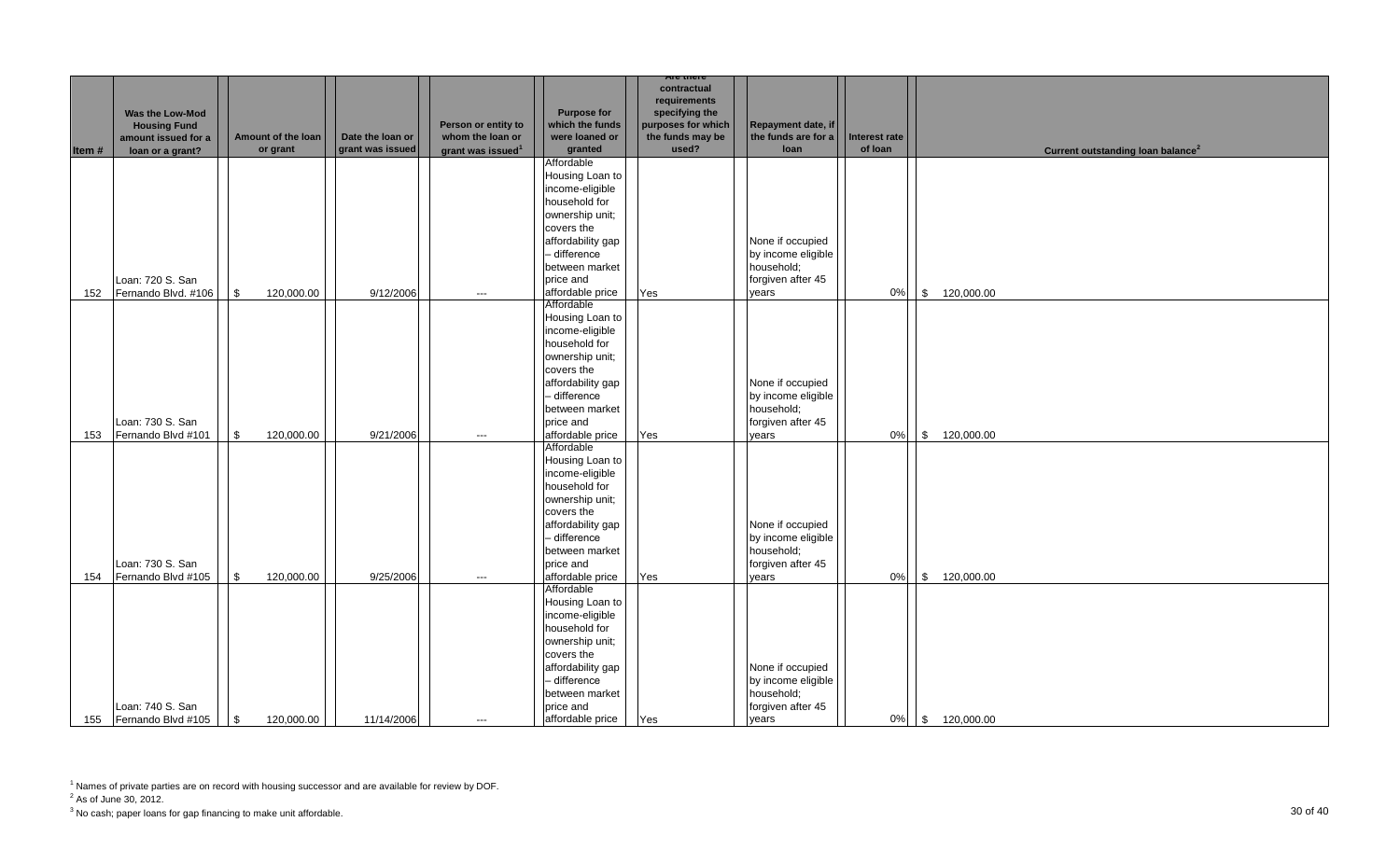|       |                                                                                          |                                |                                      |                                                                          |                                                                    | Are there                                                                                        |                                                   |                          |                                               |
|-------|------------------------------------------------------------------------------------------|--------------------------------|--------------------------------------|--------------------------------------------------------------------------|--------------------------------------------------------------------|--------------------------------------------------------------------------------------------------|---------------------------------------------------|--------------------------|-----------------------------------------------|
| Item# | <b>Was the Low-Mod</b><br><b>Housing Fund</b><br>amount issued for a<br>loan or a grant? | Amount of the loan<br>or grant | Date the loan or<br>grant was issued | Person or entity to<br>whom the loan or<br>grant was issued <sup>1</sup> | <b>Purpose for</b><br>which the funds<br>were loaned or<br>granted | contractual<br>requirements<br>specifying the<br>purposes for which<br>the funds may be<br>used? | Repayment date, if<br>the funds are for a<br>loan | Interest rate<br>of loan | Current outstanding loan balance <sup>2</sup> |
|       |                                                                                          |                                |                                      |                                                                          | Affordable                                                         |                                                                                                  |                                                   |                          |                                               |
|       |                                                                                          |                                |                                      |                                                                          | Housing Loan to                                                    |                                                                                                  |                                                   |                          |                                               |
|       |                                                                                          |                                |                                      |                                                                          | income-eligible                                                    |                                                                                                  |                                                   |                          |                                               |
|       |                                                                                          |                                |                                      |                                                                          | household for                                                      |                                                                                                  |                                                   |                          |                                               |
|       |                                                                                          |                                |                                      |                                                                          | ownership unit;                                                    |                                                                                                  |                                                   |                          |                                               |
|       |                                                                                          |                                |                                      |                                                                          | covers the                                                         |                                                                                                  |                                                   |                          |                                               |
|       |                                                                                          |                                |                                      |                                                                          | affordability gap                                                  |                                                                                                  | None if occupied                                  |                          |                                               |
|       |                                                                                          |                                |                                      |                                                                          | - difference                                                       |                                                                                                  | by income eligible                                |                          |                                               |
|       |                                                                                          |                                |                                      |                                                                          | between market                                                     |                                                                                                  | household;                                        |                          |                                               |
|       | Loan: 720 S. San                                                                         |                                |                                      |                                                                          | price and                                                          |                                                                                                  | forgiven after 45                                 |                          |                                               |
| 152   | Fernando Blvd. #106                                                                      | $\mathbb{S}$<br>120,000.00     | 9/12/2006                            | $---$                                                                    | affordable price                                                   | Yes                                                                                              | vears                                             | $0\%$                    | \$ 120,000.00                                 |
|       |                                                                                          |                                |                                      |                                                                          | Affordable                                                         |                                                                                                  |                                                   |                          |                                               |
|       |                                                                                          |                                |                                      |                                                                          | Housing Loan to                                                    |                                                                                                  |                                                   |                          |                                               |
|       |                                                                                          |                                |                                      |                                                                          | income-eligible                                                    |                                                                                                  |                                                   |                          |                                               |
|       |                                                                                          |                                |                                      |                                                                          | household for<br>ownership unit;                                   |                                                                                                  |                                                   |                          |                                               |
|       |                                                                                          |                                |                                      |                                                                          | covers the                                                         |                                                                                                  |                                                   |                          |                                               |
|       |                                                                                          |                                |                                      |                                                                          | affordability gap                                                  |                                                                                                  | None if occupied                                  |                          |                                               |
|       |                                                                                          |                                |                                      |                                                                          | - difference                                                       |                                                                                                  | by income eligible                                |                          |                                               |
|       |                                                                                          |                                |                                      |                                                                          | between market                                                     |                                                                                                  | household;                                        |                          |                                               |
|       | Loan: 730 S. San                                                                         |                                |                                      |                                                                          | price and                                                          |                                                                                                  | forgiven after 45                                 |                          |                                               |
| 153   | Fernando Blvd #101                                                                       | 120,000.00<br>\$               | 9/21/2006                            | $\hspace{0.05cm}\ldots$                                                  | affordable price                                                   | Yes                                                                                              | years                                             | 0%                       | \$ 120,000.00                                 |
|       |                                                                                          |                                |                                      |                                                                          | Affordable                                                         |                                                                                                  |                                                   |                          |                                               |
|       |                                                                                          |                                |                                      |                                                                          | Housing Loan to                                                    |                                                                                                  |                                                   |                          |                                               |
|       |                                                                                          |                                |                                      |                                                                          | income-eligible                                                    |                                                                                                  |                                                   |                          |                                               |
|       |                                                                                          |                                |                                      |                                                                          | household for                                                      |                                                                                                  |                                                   |                          |                                               |
|       |                                                                                          |                                |                                      |                                                                          | ownership unit;                                                    |                                                                                                  |                                                   |                          |                                               |
|       |                                                                                          |                                |                                      |                                                                          | covers the                                                         |                                                                                                  |                                                   |                          |                                               |
|       |                                                                                          |                                |                                      |                                                                          | affordability gap                                                  |                                                                                                  | None if occupied                                  |                          |                                               |
|       |                                                                                          |                                |                                      |                                                                          | - difference                                                       |                                                                                                  | by income eligible                                |                          |                                               |
|       |                                                                                          |                                |                                      |                                                                          | between market                                                     |                                                                                                  | household;                                        |                          |                                               |
|       | Loan: 730 S. San                                                                         |                                |                                      |                                                                          | price and                                                          |                                                                                                  | forgiven after 45                                 |                          |                                               |
| 154   | Fernando Blvd #105                                                                       | $\sqrt{3}$<br>120,000.00       | 9/25/2006                            | $---$                                                                    | affordable price<br>Affordable                                     | Yes                                                                                              | years                                             | $0\%$                    | \$ 120,000.00                                 |
|       |                                                                                          |                                |                                      |                                                                          | Housing Loan to                                                    |                                                                                                  |                                                   |                          |                                               |
|       |                                                                                          |                                |                                      |                                                                          | income-eligible                                                    |                                                                                                  |                                                   |                          |                                               |
|       |                                                                                          |                                |                                      |                                                                          | household for                                                      |                                                                                                  |                                                   |                          |                                               |
|       |                                                                                          |                                |                                      |                                                                          | ownership unit;                                                    |                                                                                                  |                                                   |                          |                                               |
|       |                                                                                          |                                |                                      |                                                                          | covers the                                                         |                                                                                                  |                                                   |                          |                                               |
|       |                                                                                          |                                |                                      |                                                                          | affordability gap                                                  |                                                                                                  | None if occupied                                  |                          |                                               |
|       |                                                                                          |                                |                                      |                                                                          | - difference                                                       |                                                                                                  | by income eligible                                |                          |                                               |
|       |                                                                                          |                                |                                      |                                                                          | between market                                                     |                                                                                                  | household;                                        |                          |                                               |
|       | Loan: 740 S. San                                                                         |                                |                                      |                                                                          | price and                                                          |                                                                                                  | forgiven after 45                                 |                          |                                               |
|       | 155 Fernando Blvd #105                                                                   | $\sqrt{3}$<br>120,000.00       | 11/14/2006                           | $---$                                                                    | affordable price                                                   | Yes                                                                                              | vears                                             | $0\%$                    | \$ 120,000.00                                 |

 $2^2$  As of June 30, 2012.

 $^3$  No cash; paper loans for gap financing to make unit affordable.  $\hspace{3cm}30$  Of  $40$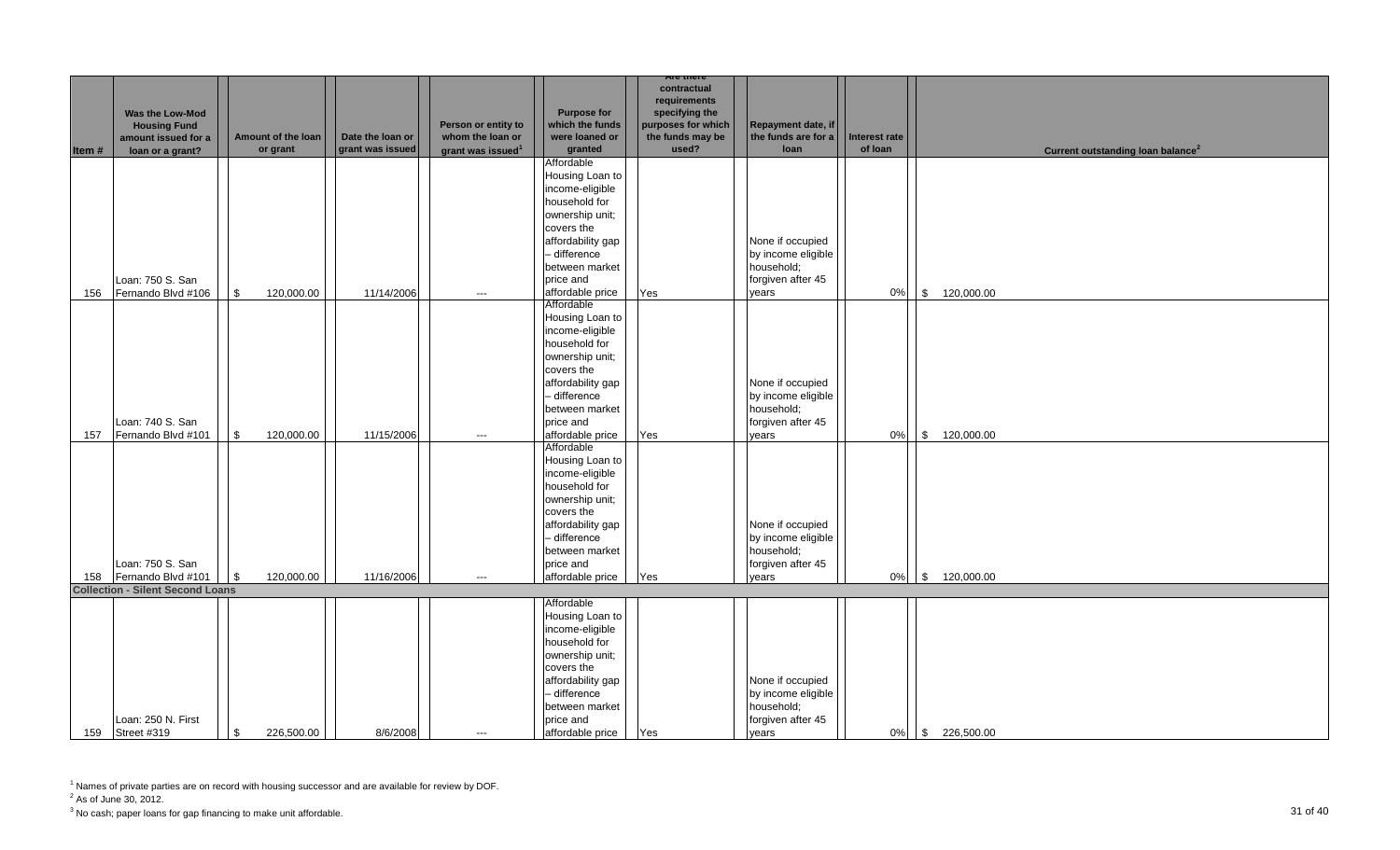|       |                                         |                              |                  |                               |                    | Are there          |                     |                      |                                               |
|-------|-----------------------------------------|------------------------------|------------------|-------------------------------|--------------------|--------------------|---------------------|----------------------|-----------------------------------------------|
|       |                                         |                              |                  |                               |                    | contractual        |                     |                      |                                               |
|       |                                         |                              |                  |                               |                    | requirements       |                     |                      |                                               |
|       | Was the Low-Mod                         |                              |                  |                               | <b>Purpose for</b> | specifying the     |                     |                      |                                               |
|       | <b>Housing Fund</b>                     |                              |                  | Person or entity to           | which the funds    | purposes for which | Repayment date, if  |                      |                                               |
|       | amount issued for a                     | Amount of the loan           | Date the loan or | whom the loan or              | were loaned or     | the funds may be   | the funds are for a | <b>Interest rate</b> |                                               |
| Item# | loan or a grant?                        | or grant                     | grant was issued | grant was issued <sup>1</sup> | granted            | used?              | loan                | of loan              | Current outstanding loan balance <sup>2</sup> |
|       |                                         |                              |                  |                               | Affordable         |                    |                     |                      |                                               |
|       |                                         |                              |                  |                               | Housing Loan to    |                    |                     |                      |                                               |
|       |                                         |                              |                  |                               | income-eligible    |                    |                     |                      |                                               |
|       |                                         |                              |                  |                               | household for      |                    |                     |                      |                                               |
|       |                                         |                              |                  |                               | ownership unit;    |                    |                     |                      |                                               |
|       |                                         |                              |                  |                               |                    |                    |                     |                      |                                               |
|       |                                         |                              |                  |                               | covers the         |                    |                     |                      |                                               |
|       |                                         |                              |                  |                               | affordability gap  |                    | None if occupied    |                      |                                               |
|       |                                         |                              |                  |                               | - difference       |                    | by income eligible  |                      |                                               |
|       |                                         |                              |                  |                               | between market     |                    | household;          |                      |                                               |
|       | Loan: 750 S. San                        |                              |                  |                               | price and          |                    | forgiven after 45   |                      |                                               |
| 156   | Fernando Blvd #106                      | 120,000.00<br>\$             | 11/14/2006       | $\hspace{0.05cm} \ldots$      | affordable price   | Yes                | years               | 0%                   | \$ 120,000.00                                 |
|       |                                         |                              |                  |                               | Affordable         |                    |                     |                      |                                               |
|       |                                         |                              |                  |                               | Housing Loan to    |                    |                     |                      |                                               |
|       |                                         |                              |                  |                               | income-eligible    |                    |                     |                      |                                               |
|       |                                         |                              |                  |                               | household for      |                    |                     |                      |                                               |
|       |                                         |                              |                  |                               | ownership unit;    |                    |                     |                      |                                               |
|       |                                         |                              |                  |                               | covers the         |                    |                     |                      |                                               |
|       |                                         |                              |                  |                               | affordability gap  |                    | None if occupied    |                      |                                               |
|       |                                         |                              |                  |                               | - difference       |                    | by income eligible  |                      |                                               |
|       |                                         |                              |                  |                               |                    |                    | household;          |                      |                                               |
|       |                                         |                              |                  |                               | between market     |                    |                     |                      |                                               |
|       | Loan: 740 S. San                        |                              |                  |                               | price and          |                    | forgiven after 45   |                      |                                               |
| 157   | Fernando Blvd #101                      | 120,000.00<br>$\mathfrak{S}$ | 11/15/2006       | $---$                         | affordable price   | Yes                | vears               | 0%                   | \$ 120,000.00                                 |
|       |                                         |                              |                  |                               | Affordable         |                    |                     |                      |                                               |
|       |                                         |                              |                  |                               | Housing Loan to    |                    |                     |                      |                                               |
|       |                                         |                              |                  |                               | income-eligible    |                    |                     |                      |                                               |
|       |                                         |                              |                  |                               | household for      |                    |                     |                      |                                               |
|       |                                         |                              |                  |                               | ownership unit;    |                    |                     |                      |                                               |
|       |                                         |                              |                  |                               | covers the         |                    |                     |                      |                                               |
|       |                                         |                              |                  |                               | affordability gap  |                    | None if occupied    |                      |                                               |
|       |                                         |                              |                  |                               | - difference       |                    | by income eligible  |                      |                                               |
|       |                                         |                              |                  |                               | between market     |                    | household;          |                      |                                               |
|       | Loan: 750 S. San                        |                              |                  |                               | price and          |                    | forgiven after 45   |                      |                                               |
| 158   | Fernando Blvd #101                      | 120,000.00<br>l \$           | 11/16/2006       | $---$                         | affordable price   | Yes                | years               | 0%                   | 120,000.00<br>$\sqrt{3}$                      |
|       | <b>Collection - Silent Second Loans</b> |                              |                  |                               |                    |                    |                     |                      |                                               |
|       |                                         |                              |                  |                               | Affordable         |                    |                     |                      |                                               |
|       |                                         |                              |                  |                               | Housing Loan to    |                    |                     |                      |                                               |
|       |                                         |                              |                  |                               | income-eligible    |                    |                     |                      |                                               |
|       |                                         |                              |                  |                               | household for      |                    |                     |                      |                                               |
|       |                                         |                              |                  |                               | ownership unit;    |                    |                     |                      |                                               |
|       |                                         |                              |                  |                               | covers the         |                    |                     |                      |                                               |
|       |                                         |                              |                  |                               | affordability gap  |                    | None if occupied    |                      |                                               |
|       |                                         |                              |                  |                               |                    |                    |                     |                      |                                               |
|       |                                         |                              |                  |                               | - difference       |                    | by income eligible  |                      |                                               |
|       |                                         |                              |                  |                               | between market     |                    | household;          |                      |                                               |
|       | Loan: 250 N. First                      |                              |                  |                               | price and          |                    | forgiven after 45   |                      |                                               |
|       | 159 Street #319                         | $\mathfrak s$<br>226,500.00  | 8/6/2008         | $---$                         | affordable price   | Yes                | vears               | $0\%$                | \$226,500.00                                  |

 $2^2$  As of June 30, 2012.

 $^3$  No cash; paper loans for gap financing to make unit affordable.  $\hspace{3cm}31$  of  $40$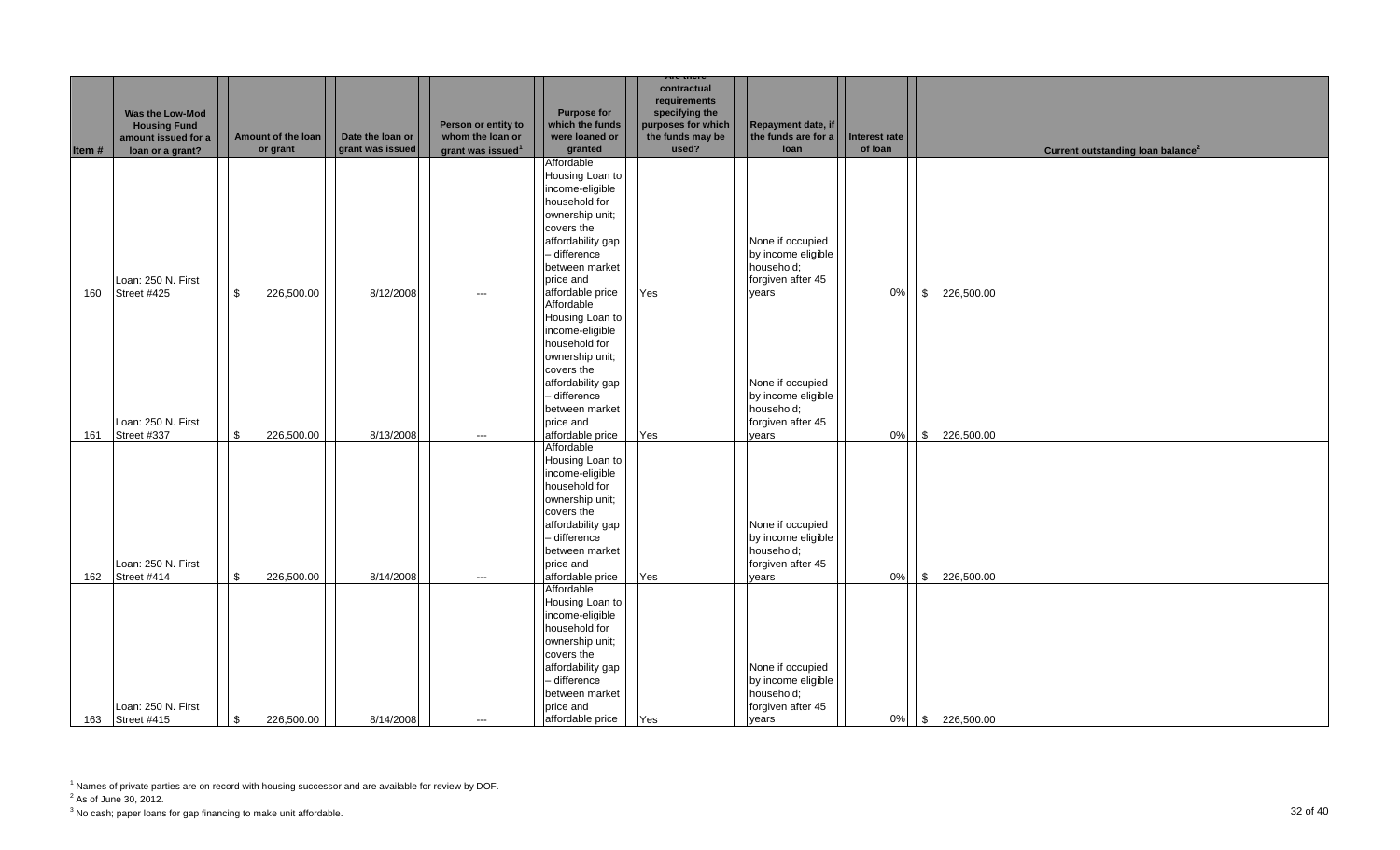|       |                                         |                            |                  |                                         |                                   | <b>Are there</b>                       |                                           |                      |                                               |
|-------|-----------------------------------------|----------------------------|------------------|-----------------------------------------|-----------------------------------|----------------------------------------|-------------------------------------------|----------------------|-----------------------------------------------|
|       |                                         |                            |                  |                                         |                                   | contractual                            |                                           |                      |                                               |
|       |                                         |                            |                  |                                         |                                   | requirements                           |                                           |                      |                                               |
|       | Was the Low-Mod                         |                            |                  |                                         | <b>Purpose for</b>                | specifying the                         |                                           |                      |                                               |
|       | <b>Housing Fund</b>                     | Amount of the loan         | Date the loan or | Person or entity to<br>whom the loan or | which the funds<br>were loaned or | purposes for which<br>the funds may be | Repayment date, if<br>the funds are for a | <b>Interest rate</b> |                                               |
| Item# | amount issued for a<br>loan or a grant? | or grant                   | grant was issued | grant was issued <sup>1</sup>           | granted                           | used?                                  | loan                                      | of loan              | Current outstanding loan balance <sup>2</sup> |
|       |                                         |                            |                  |                                         | Affordable                        |                                        |                                           |                      |                                               |
|       |                                         |                            |                  |                                         | Housing Loan to                   |                                        |                                           |                      |                                               |
|       |                                         |                            |                  |                                         | income-eligible                   |                                        |                                           |                      |                                               |
|       |                                         |                            |                  |                                         | household for                     |                                        |                                           |                      |                                               |
|       |                                         |                            |                  |                                         | ownership unit;                   |                                        |                                           |                      |                                               |
|       |                                         |                            |                  |                                         | covers the                        |                                        |                                           |                      |                                               |
|       |                                         |                            |                  |                                         | affordability gap                 |                                        | None if occupied                          |                      |                                               |
|       |                                         |                            |                  |                                         | - difference                      |                                        | by income eligible                        |                      |                                               |
|       |                                         |                            |                  |                                         | between market                    |                                        |                                           |                      |                                               |
|       |                                         |                            |                  |                                         |                                   |                                        | household;                                |                      |                                               |
| 160   | Loan: 250 N. First<br>Street #425       | \$                         | 8/12/2008        |                                         | price and<br>affordable price     | Yes                                    | forgiven after 45<br>vears                | 0%                   | \$226,500.00                                  |
|       |                                         | 226,500.00                 |                  | $\hspace{0.05cm} \ldots$                | Affordable                        |                                        |                                           |                      |                                               |
|       |                                         |                            |                  |                                         | Housing Loan to                   |                                        |                                           |                      |                                               |
|       |                                         |                            |                  |                                         | income-eligible                   |                                        |                                           |                      |                                               |
|       |                                         |                            |                  |                                         | household for                     |                                        |                                           |                      |                                               |
|       |                                         |                            |                  |                                         | ownership unit;                   |                                        |                                           |                      |                                               |
|       |                                         |                            |                  |                                         | covers the                        |                                        |                                           |                      |                                               |
|       |                                         |                            |                  |                                         | affordability gap                 |                                        | None if occupied                          |                      |                                               |
|       |                                         |                            |                  |                                         | - difference                      |                                        | by income eligible                        |                      |                                               |
|       |                                         |                            |                  |                                         | between market                    |                                        | household;                                |                      |                                               |
|       | Loan: 250 N. First                      |                            |                  |                                         | price and                         |                                        | forgiven after 45                         |                      |                                               |
| 161   | Street #337                             | $\mathbf{s}$<br>226,500.00 | 8/13/2008        | $---$                                   | affordable price                  | Yes                                    | vears                                     | 0%                   | \$226,500.00                                  |
|       |                                         |                            |                  |                                         | Affordable                        |                                        |                                           |                      |                                               |
|       |                                         |                            |                  |                                         | Housing Loan to                   |                                        |                                           |                      |                                               |
|       |                                         |                            |                  |                                         | income-eligible                   |                                        |                                           |                      |                                               |
|       |                                         |                            |                  |                                         | household for                     |                                        |                                           |                      |                                               |
|       |                                         |                            |                  |                                         | ownership unit;                   |                                        |                                           |                      |                                               |
|       |                                         |                            |                  |                                         | covers the                        |                                        |                                           |                      |                                               |
|       |                                         |                            |                  |                                         | affordability gap                 |                                        | None if occupied                          |                      |                                               |
|       |                                         |                            |                  |                                         | - difference                      |                                        | by income eligible                        |                      |                                               |
|       |                                         |                            |                  |                                         | between market                    |                                        | household;                                |                      |                                               |
|       | Loan: 250 N. First                      |                            |                  |                                         | price and                         |                                        | forgiven after 45                         |                      |                                               |
| 162   | Street #414                             | 226,500.00<br>\$           | 8/14/2008        | $\hspace{0.05cm}\ldots$                 | affordable price                  | Yes                                    | years                                     | 0%                   | \$226,500.00                                  |
|       |                                         |                            |                  |                                         | Affordable                        |                                        |                                           |                      |                                               |
|       |                                         |                            |                  |                                         | Housing Loan to                   |                                        |                                           |                      |                                               |
|       |                                         |                            |                  |                                         | income-eligible                   |                                        |                                           |                      |                                               |
|       |                                         |                            |                  |                                         | household for                     |                                        |                                           |                      |                                               |
|       |                                         |                            |                  |                                         | ownership unit;                   |                                        |                                           |                      |                                               |
|       |                                         |                            |                  |                                         | covers the                        |                                        |                                           |                      |                                               |
|       |                                         |                            |                  |                                         | affordability gap                 |                                        | None if occupied                          |                      |                                               |
|       |                                         |                            |                  |                                         | - difference                      |                                        | by income eligible                        |                      |                                               |
|       |                                         |                            |                  |                                         | between market                    |                                        | household;                                |                      |                                               |
|       | Loan: 250 N. First                      |                            |                  |                                         | price and                         |                                        | forgiven after 45                         |                      |                                               |
|       | 163 Street #415                         | \$<br>226,500.00           | 8/14/2008        | $---$                                   | affordable price                  | Yes                                    | vears                                     |                      | 0% \$ 226,500.00                              |

 $2^2$  As of June 30, 2012.

 $^3$  No cash; paper loans for gap financing to make unit affordable.  $\hspace{3cm}32$  Of  $40$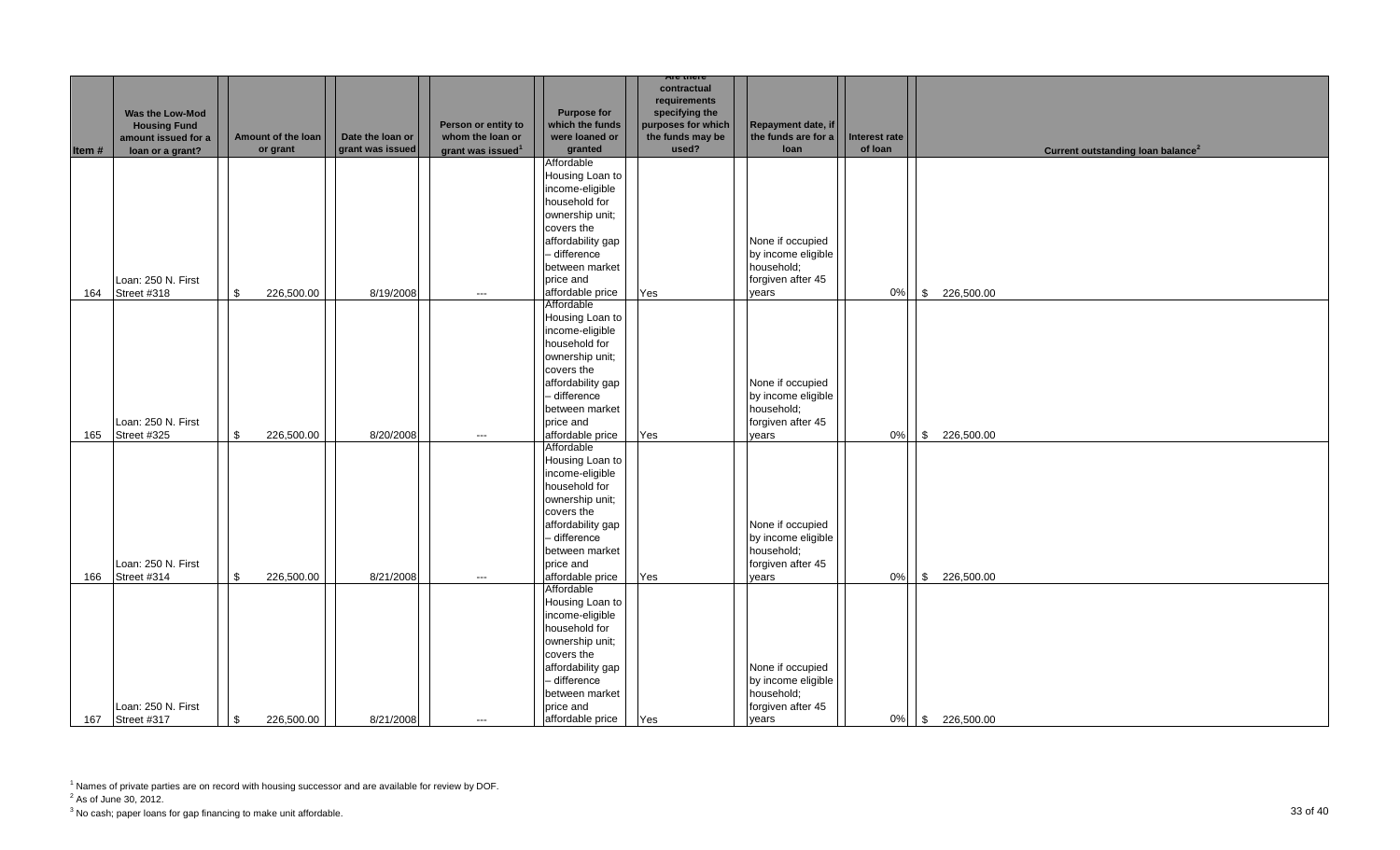|       |                     |                            |                  |                                         |                               | <b>Are there</b>   |                     |                      |                                               |
|-------|---------------------|----------------------------|------------------|-----------------------------------------|-------------------------------|--------------------|---------------------|----------------------|-----------------------------------------------|
|       |                     |                            |                  |                                         |                               | contractual        |                     |                      |                                               |
|       |                     |                            |                  |                                         |                               | requirements       |                     |                      |                                               |
|       | Was the Low-Mod     |                            |                  |                                         | <b>Purpose for</b>            | specifying the     |                     |                      |                                               |
|       | <b>Housing Fund</b> |                            |                  | Person or entity to<br>whom the loan or | which the funds               | purposes for which | Repayment date, if  |                      |                                               |
|       | amount issued for a | Amount of the loan         | Date the loan or |                                         | were loaned or                | the funds may be   | the funds are for a | <b>Interest rate</b> |                                               |
| Item# | loan or a grant?    | or grant                   | grant was issued | grant was issued <sup>1</sup>           | granted                       | used?              | loan                | of loan              | Current outstanding loan balance <sup>2</sup> |
|       |                     |                            |                  |                                         | Affordable<br>Housing Loan to |                    |                     |                      |                                               |
|       |                     |                            |                  |                                         |                               |                    |                     |                      |                                               |
|       |                     |                            |                  |                                         | income-eligible               |                    |                     |                      |                                               |
|       |                     |                            |                  |                                         | household for                 |                    |                     |                      |                                               |
|       |                     |                            |                  |                                         | ownership unit;               |                    |                     |                      |                                               |
|       |                     |                            |                  |                                         | covers the                    |                    |                     |                      |                                               |
|       |                     |                            |                  |                                         | affordability gap             |                    | None if occupied    |                      |                                               |
|       |                     |                            |                  |                                         | - difference                  |                    | by income eligible  |                      |                                               |
|       |                     |                            |                  |                                         | between market                |                    | household;          |                      |                                               |
|       | Loan: 250 N. First  |                            |                  |                                         | price and                     |                    | forgiven after 45   |                      |                                               |
| 164   | Street #318         | \$<br>226,500.00           | 8/19/2008        | $\hspace{0.05cm} \ldots$                | affordable price              | Yes                | vears               | 0%                   | \$226,500.00                                  |
|       |                     |                            |                  |                                         | Affordable                    |                    |                     |                      |                                               |
|       |                     |                            |                  |                                         | Housing Loan to               |                    |                     |                      |                                               |
|       |                     |                            |                  |                                         | income-eligible               |                    |                     |                      |                                               |
|       |                     |                            |                  |                                         | household for                 |                    |                     |                      |                                               |
|       |                     |                            |                  |                                         | ownership unit;               |                    |                     |                      |                                               |
|       |                     |                            |                  |                                         | covers the                    |                    |                     |                      |                                               |
|       |                     |                            |                  |                                         | affordability gap             |                    | None if occupied    |                      |                                               |
|       |                     |                            |                  |                                         | - difference                  |                    | by income eligible  |                      |                                               |
|       |                     |                            |                  |                                         | between market                |                    | household;          |                      |                                               |
|       | Loan: 250 N. First  |                            |                  |                                         | price and                     |                    | forgiven after 45   |                      |                                               |
| 165   | Street #325         | $\mathbf{s}$<br>226,500.00 | 8/20/2008        | $\hspace{0.05cm}\ldots$                 | affordable price              | Yes                | vears               | 0%                   | \$226,500.00                                  |
|       |                     |                            |                  |                                         | Affordable                    |                    |                     |                      |                                               |
|       |                     |                            |                  |                                         | Housing Loan to               |                    |                     |                      |                                               |
|       |                     |                            |                  |                                         | income-eligible               |                    |                     |                      |                                               |
|       |                     |                            |                  |                                         | household for                 |                    |                     |                      |                                               |
|       |                     |                            |                  |                                         | ownership unit;               |                    |                     |                      |                                               |
|       |                     |                            |                  |                                         | covers the                    |                    |                     |                      |                                               |
|       |                     |                            |                  |                                         | affordability gap             |                    | None if occupied    |                      |                                               |
|       |                     |                            |                  |                                         | - difference                  |                    | by income eligible  |                      |                                               |
|       |                     |                            |                  |                                         | between market                |                    | household;          |                      |                                               |
|       | Loan: 250 N. First  |                            |                  |                                         | price and                     |                    | forgiven after 45   |                      |                                               |
| 166   | Street #314         | 226,500.00<br>\$           | 8/21/2008        | $\hspace{0.05cm}\ldots$                 | affordable price              | Yes                | years               | 0%                   | \$226,500.00                                  |
|       |                     |                            |                  |                                         | Affordable                    |                    |                     |                      |                                               |
|       |                     |                            |                  |                                         | Housing Loan to               |                    |                     |                      |                                               |
|       |                     |                            |                  |                                         | income-eligible               |                    |                     |                      |                                               |
|       |                     |                            |                  |                                         | household for                 |                    |                     |                      |                                               |
|       |                     |                            |                  |                                         | ownership unit;               |                    |                     |                      |                                               |
|       |                     |                            |                  |                                         | covers the                    |                    |                     |                      |                                               |
|       |                     |                            |                  |                                         | affordability gap             |                    | None if occupied    |                      |                                               |
|       |                     |                            |                  |                                         | - difference                  |                    | by income eligible  |                      |                                               |
|       |                     |                            |                  |                                         | between market                |                    | household;          |                      |                                               |
|       | Loan: 250 N. First  |                            |                  |                                         | price and                     |                    | forgiven after 45   |                      |                                               |
|       | 167 Street #317     | \$<br>226,500.00           | 8/21/2008        | $---$                                   | affordable price              | Yes                | vears               |                      | 0% \$ 226,500.00                              |

 $2^2$  As of June 30, 2012.

 $^3$  No cash; paper loans for gap financing to make unit affordable.  $\hspace{3cm}33$  of  $40$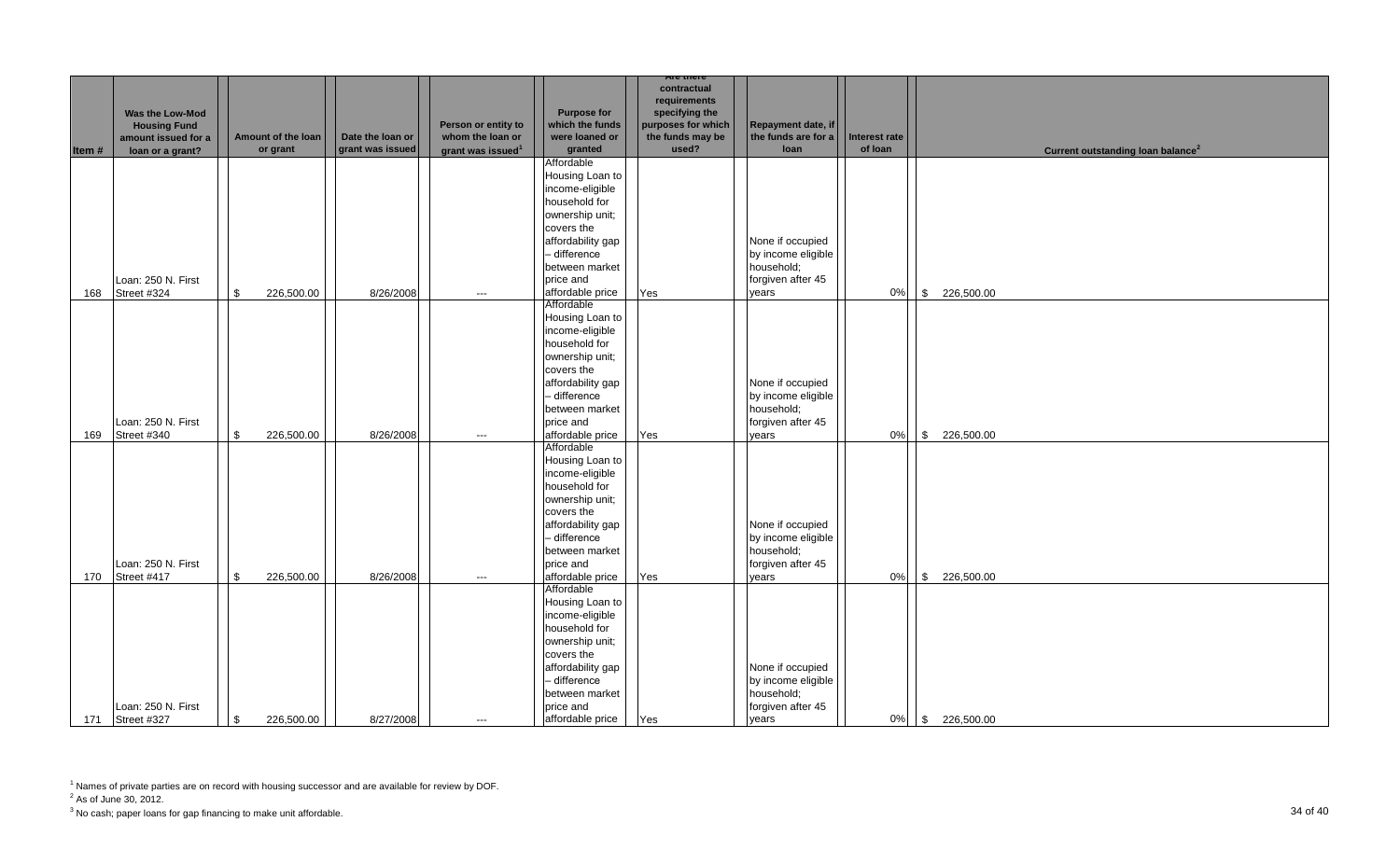|       |                     |                            |                  |                                         |                    | <b>Are there</b>   |                     |                      |                                               |
|-------|---------------------|----------------------------|------------------|-----------------------------------------|--------------------|--------------------|---------------------|----------------------|-----------------------------------------------|
|       |                     |                            |                  |                                         |                    | contractual        |                     |                      |                                               |
|       |                     |                            |                  |                                         |                    | requirements       |                     |                      |                                               |
|       | Was the Low-Mod     |                            |                  |                                         | <b>Purpose for</b> | specifying the     |                     |                      |                                               |
|       | <b>Housing Fund</b> |                            |                  | Person or entity to<br>whom the loan or | which the funds    | purposes for which | Repayment date, if  |                      |                                               |
|       | amount issued for a | Amount of the loan         | Date the loan or |                                         | were loaned or     | the funds may be   | the funds are for a | <b>Interest rate</b> |                                               |
| Item# | loan or a grant?    | or grant                   | grant was issued | grant was issued <sup>1</sup>           | granted            | used?              | loan                | of loan              | Current outstanding loan balance <sup>2</sup> |
|       |                     |                            |                  |                                         | Affordable         |                    |                     |                      |                                               |
|       |                     |                            |                  |                                         | Housing Loan to    |                    |                     |                      |                                               |
|       |                     |                            |                  |                                         | income-eligible    |                    |                     |                      |                                               |
|       |                     |                            |                  |                                         | household for      |                    |                     |                      |                                               |
|       |                     |                            |                  |                                         | ownership unit;    |                    |                     |                      |                                               |
|       |                     |                            |                  |                                         | covers the         |                    |                     |                      |                                               |
|       |                     |                            |                  |                                         | affordability gap  |                    | None if occupied    |                      |                                               |
|       |                     |                            |                  |                                         | - difference       |                    | by income eligible  |                      |                                               |
|       |                     |                            |                  |                                         | between market     |                    | household;          |                      |                                               |
|       | Loan: 250 N. First  |                            |                  |                                         | price and          |                    | forgiven after 45   |                      |                                               |
| 168   | Street #324         | \$<br>226,500.00           | 8/26/2008        | $\hspace{0.05cm} \ldots$                | affordable price   | Yes                | vears               | 0%                   | \$226,500.00                                  |
|       |                     |                            |                  |                                         | Affordable         |                    |                     |                      |                                               |
|       |                     |                            |                  |                                         | Housing Loan to    |                    |                     |                      |                                               |
|       |                     |                            |                  |                                         | income-eligible    |                    |                     |                      |                                               |
|       |                     |                            |                  |                                         | household for      |                    |                     |                      |                                               |
|       |                     |                            |                  |                                         | ownership unit;    |                    |                     |                      |                                               |
|       |                     |                            |                  |                                         | covers the         |                    |                     |                      |                                               |
|       |                     |                            |                  |                                         | affordability gap  |                    | None if occupied    |                      |                                               |
|       |                     |                            |                  |                                         | - difference       |                    | by income eligible  |                      |                                               |
|       |                     |                            |                  |                                         | between market     |                    | household;          |                      |                                               |
|       | Loan: 250 N. First  |                            |                  |                                         | price and          |                    | forgiven after 45   |                      |                                               |
| 169   | Street #340         | $\mathbf{s}$<br>226,500.00 | 8/26/2008        | $\hspace{0.05cm}\ldots$                 | affordable price   | Yes                | vears               | 0%                   | \$226,500.00                                  |
|       |                     |                            |                  |                                         | Affordable         |                    |                     |                      |                                               |
|       |                     |                            |                  |                                         | Housing Loan to    |                    |                     |                      |                                               |
|       |                     |                            |                  |                                         | income-eligible    |                    |                     |                      |                                               |
|       |                     |                            |                  |                                         | household for      |                    |                     |                      |                                               |
|       |                     |                            |                  |                                         | ownership unit;    |                    |                     |                      |                                               |
|       |                     |                            |                  |                                         | covers the         |                    |                     |                      |                                               |
|       |                     |                            |                  |                                         | affordability gap  |                    | None if occupied    |                      |                                               |
|       |                     |                            |                  |                                         | - difference       |                    | by income eligible  |                      |                                               |
|       |                     |                            |                  |                                         | between market     |                    | household;          |                      |                                               |
|       | Loan: 250 N. First  |                            |                  |                                         | price and          |                    | forgiven after 45   |                      |                                               |
| 170   | Street #417         | 226,500.00<br>\$           | 8/26/2008        | $\hspace{0.05cm}\ldots$                 | affordable price   | Yes                | years               | 0%                   | \$226,500.00                                  |
|       |                     |                            |                  |                                         | Affordable         |                    |                     |                      |                                               |
|       |                     |                            |                  |                                         | Housing Loan to    |                    |                     |                      |                                               |
|       |                     |                            |                  |                                         | income-eligible    |                    |                     |                      |                                               |
|       |                     |                            |                  |                                         | household for      |                    |                     |                      |                                               |
|       |                     |                            |                  |                                         | ownership unit;    |                    |                     |                      |                                               |
|       |                     |                            |                  |                                         | covers the         |                    |                     |                      |                                               |
|       |                     |                            |                  |                                         | affordability gap  |                    | None if occupied    |                      |                                               |
|       |                     |                            |                  |                                         | - difference       |                    | by income eligible  |                      |                                               |
|       |                     |                            |                  |                                         | between market     |                    | household;          |                      |                                               |
|       | Loan: 250 N. First  |                            |                  |                                         | price and          |                    | forgiven after 45   |                      |                                               |
|       | 171 Street #327     | \$<br>226,500.00           | 8/27/2008        | $---$                                   | affordable price   | Yes                | vears               |                      | 0% \$ 226,500.00                              |

 $2^2$  As of June 30, 2012.

 $^3$  No cash; paper loans for gap financing to make unit affordable.  $\hspace{3.5cm}34$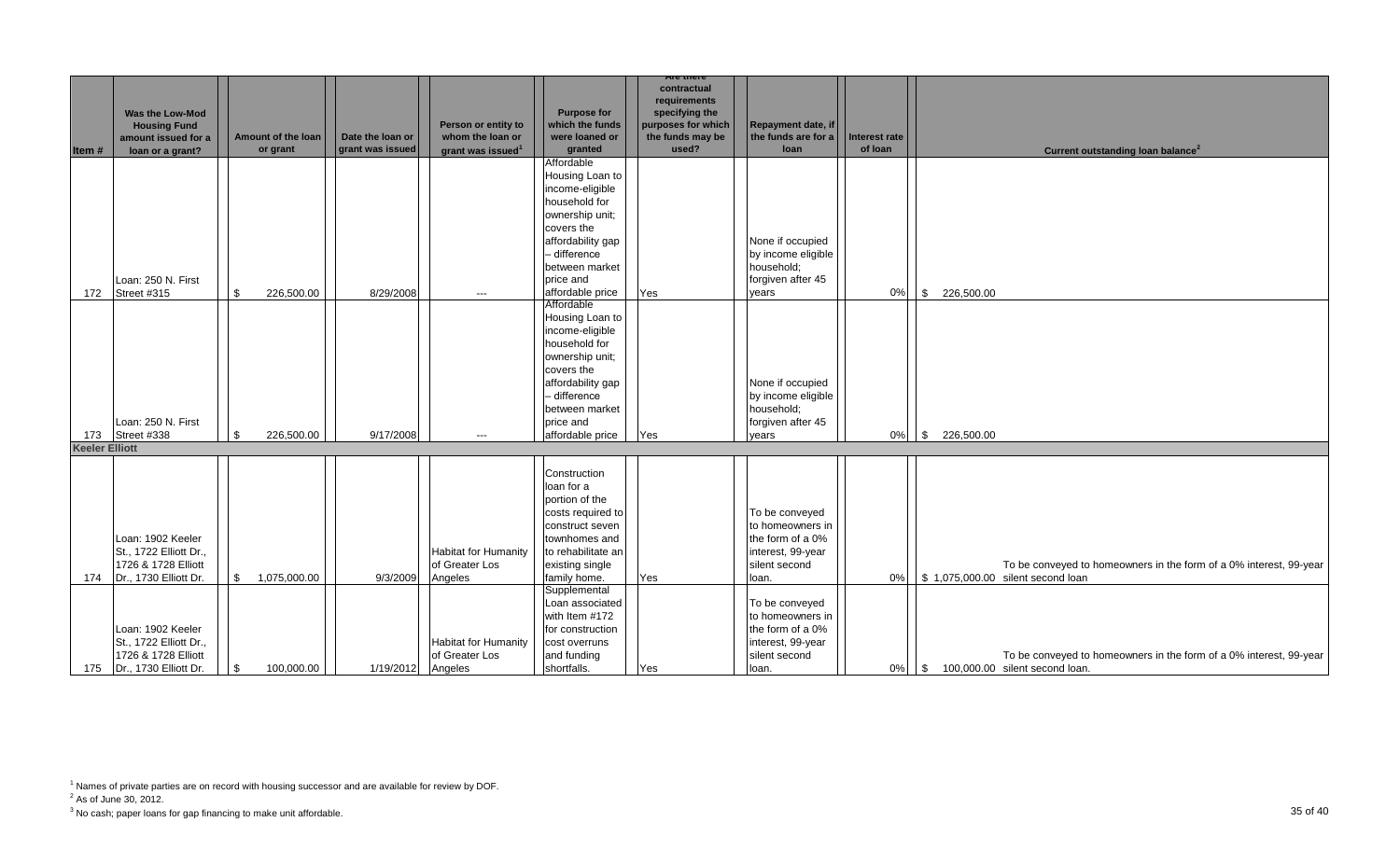|                       |                        |                    |                  |                               |                                  | Are there                   |                     |               |                  |                                                                    |
|-----------------------|------------------------|--------------------|------------------|-------------------------------|----------------------------------|-----------------------------|---------------------|---------------|------------------|--------------------------------------------------------------------|
|                       |                        |                    |                  |                               |                                  | contractual<br>requirements |                     |               |                  |                                                                    |
|                       | <b>Was the Low-Mod</b> |                    |                  |                               | <b>Purpose for</b>               | specifying the              |                     |               |                  |                                                                    |
|                       | <b>Housing Fund</b>    |                    |                  | Person or entity to           | which the funds                  | purposes for which          | Repayment date, if  |               |                  |                                                                    |
|                       | amount issued for a    | Amount of the loan | Date the loan or | whom the loan or              | were loaned or                   | the funds may be            | the funds are for a | Interest rate |                  |                                                                    |
| Item#                 | loan or a grant?       | or grant           | grant was issued | grant was issued <sup>1</sup> | granted                          | used?                       | loan                | of loan       |                  | Current outstanding loan balance <sup>2</sup>                      |
|                       |                        |                    |                  |                               | Affordable                       |                             |                     |               |                  |                                                                    |
|                       |                        |                    |                  |                               | Housing Loan to                  |                             |                     |               |                  |                                                                    |
|                       |                        |                    |                  |                               | income-eligible                  |                             |                     |               |                  |                                                                    |
|                       |                        |                    |                  |                               | household for<br>ownership unit; |                             |                     |               |                  |                                                                    |
|                       |                        |                    |                  |                               | covers the                       |                             |                     |               |                  |                                                                    |
|                       |                        |                    |                  |                               | affordability gap                |                             | None if occupied    |               |                  |                                                                    |
|                       |                        |                    |                  |                               | - difference                     |                             | by income eligible  |               |                  |                                                                    |
|                       |                        |                    |                  |                               | between market                   |                             | household:          |               |                  |                                                                    |
|                       | Loan: 250 N. First     |                    |                  |                               | price and                        |                             | forgiven after 45   |               |                  |                                                                    |
| 172                   | Street #315            | \$<br>226,500.00   | 8/29/2008        | $---$                         | affordable price                 | Yes                         | vears               | 0%            | \$226,500.00     |                                                                    |
|                       |                        |                    |                  |                               | Affordable                       |                             |                     |               |                  |                                                                    |
|                       |                        |                    |                  |                               | Housing Loan to                  |                             |                     |               |                  |                                                                    |
|                       |                        |                    |                  |                               | income-eligible                  |                             |                     |               |                  |                                                                    |
|                       |                        |                    |                  |                               | household for                    |                             |                     |               |                  |                                                                    |
|                       |                        |                    |                  |                               | ownership unit;                  |                             |                     |               |                  |                                                                    |
|                       |                        |                    |                  |                               | covers the                       |                             |                     |               |                  |                                                                    |
|                       |                        |                    |                  |                               | affordability gap                |                             | None if occupied    |               |                  |                                                                    |
|                       |                        |                    |                  |                               | - difference                     |                             | by income eligible  |               |                  |                                                                    |
|                       |                        |                    |                  |                               | between market                   |                             | household;          |               |                  |                                                                    |
|                       | Loan: 250 N. First     |                    |                  |                               | price and                        |                             | forgiven after 45   |               |                  |                                                                    |
| 173                   | Street #338            | 226,500.00<br>\$   | 9/17/2008        | $---$                         | affordable price                 | Yes                         | vears               | 0%            | 226,500.00<br>\$ |                                                                    |
| <b>Keeler Elliott</b> |                        |                    |                  |                               |                                  |                             |                     |               |                  |                                                                    |
|                       |                        |                    |                  |                               | Construction                     |                             |                     |               |                  |                                                                    |
|                       |                        |                    |                  |                               | loan for a                       |                             |                     |               |                  |                                                                    |
|                       |                        |                    |                  |                               | portion of the                   |                             |                     |               |                  |                                                                    |
|                       |                        |                    |                  |                               | costs required to                |                             | To be conveyed      |               |                  |                                                                    |
|                       |                        |                    |                  |                               | construct seven                  |                             | to homeowners in    |               |                  |                                                                    |
|                       | Loan: 1902 Keeler      |                    |                  |                               | townhomes and                    |                             | the form of a 0%    |               |                  |                                                                    |
|                       | St., 1722 Elliott Dr., |                    |                  | <b>Habitat for Humanity</b>   | to rehabilitate an               |                             | interest, 99-year   |               |                  |                                                                    |
|                       | 1726 & 1728 Elliott    |                    |                  | of Greater Los                | existing single                  |                             | silent second       |               |                  | To be conveyed to homeowners in the form of a 0% interest, 99-year |
| 174                   | Dr., 1730 Elliott Dr.  | \$<br>1,075,000.00 | 9/3/2009         | Angeles                       | family home.                     | Yes                         | loan.               | 0%            |                  | \$ 1,075,000.00 silent second loan                                 |
|                       |                        |                    |                  |                               | Supplemental                     |                             |                     |               |                  |                                                                    |
|                       |                        |                    |                  |                               | Loan associated                  |                             | To be conveyed      |               |                  |                                                                    |
|                       |                        |                    |                  |                               | with Item #172                   |                             | to homeowners in    |               |                  |                                                                    |
|                       | Loan: 1902 Keeler      |                    |                  |                               | for construction                 |                             | the form of a 0%    |               |                  |                                                                    |
|                       | St., 1722 Elliott Dr., |                    |                  | <b>Habitat for Humanity</b>   | cost overruns                    |                             | interest, 99-year   |               |                  |                                                                    |
|                       | 1726 & 1728 Elliott    |                    |                  | of Greater Los                | and funding                      |                             | silent second       |               |                  | To be conveyed to homeowners in the form of a 0% interest, 99-year |
| 175                   | Dr., 1730 Elliott Dr.  | \$<br>100,000.00   | 1/19/2012        | Angeles                       | shortfalls.                      | Yes                         | loan.               | 0%            | l \$             | 100,000.00 silent second loan.                                     |

 $2^2$  As of June 30, 2012.

 $^3$  No cash; paper loans for gap financing to make unit affordable.  $\hspace{3cm}35$  of  $40$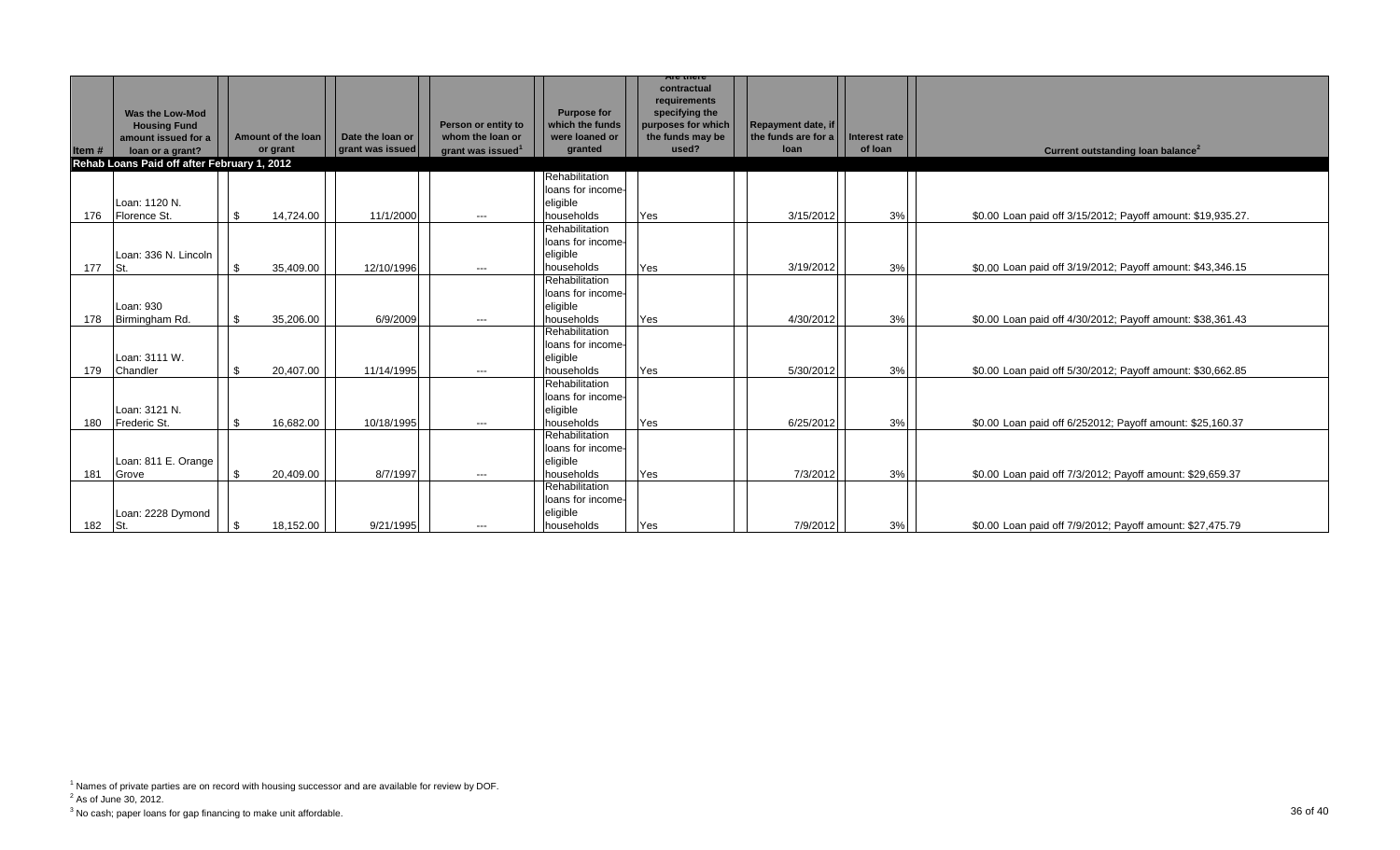|       |                                             |     |                    |                  |                               |                                       | contractual<br>requirements            |                                           |               |                                                             |
|-------|---------------------------------------------|-----|--------------------|------------------|-------------------------------|---------------------------------------|----------------------------------------|-------------------------------------------|---------------|-------------------------------------------------------------|
|       | Was the Low-Mod                             |     |                    |                  | Person or entity to           | <b>Purpose for</b><br>which the funds | specifying the                         |                                           |               |                                                             |
|       | <b>Housing Fund</b><br>amount issued for a  |     | Amount of the loan | Date the loan or | whom the loan or              | were loaned or                        | purposes for which<br>the funds may be | Repayment date, if<br>the funds are for a | Interest rate |                                                             |
| Item# | loan or a grant?                            |     | or grant           | grant was issued | grant was issued <sup>1</sup> | granted                               | used?                                  | loan                                      | of loan       | Current outstanding loan balance <sup>2</sup>               |
|       | Rehab Loans Paid off after February 1, 2012 |     |                    |                  |                               |                                       |                                        |                                           |               |                                                             |
|       |                                             |     |                    |                  |                               | Rehabilitation                        |                                        |                                           |               |                                                             |
|       |                                             |     |                    |                  |                               | loans for income-                     |                                        |                                           |               |                                                             |
|       | Loan: 1120 N.                               |     |                    |                  |                               | eligible                              |                                        |                                           |               |                                                             |
| 176   | Florence St.                                | \$. | 14.724.00          | 11/1/2000        | $\hspace{0.05cm} \ldots$      | households                            | Yes                                    | 3/15/2012                                 | 3%            | \$0.00 Loan paid off 3/15/2012; Payoff amount: \$19,935.27. |
|       |                                             |     |                    |                  |                               | Rehabilitation<br>loans for income-   |                                        |                                           |               |                                                             |
|       | Loan: 336 N. Lincoln                        |     |                    |                  |                               | eligible                              |                                        |                                           |               |                                                             |
| 177   | St.                                         |     | 35.409.00          | 12/10/1996       | $---$                         | households                            | Yes                                    | 3/19/2012                                 | 3%            | \$0.00 Loan paid off 3/19/2012; Payoff amount: \$43,346.15  |
|       |                                             |     |                    |                  |                               | Rehabilitation                        |                                        |                                           |               |                                                             |
|       |                                             |     |                    |                  |                               | loans for income-                     |                                        |                                           |               |                                                             |
|       | Loan: 930                                   |     |                    |                  |                               | eligible                              |                                        |                                           |               |                                                             |
| 178   | Birmingham Rd.                              |     | 35,206.00          | 6/9/2009         | $---$                         | households                            | Yes                                    | 4/30/2012                                 | 3%            | \$0.00 Loan paid off 4/30/2012; Payoff amount: \$38,361.43  |
|       |                                             |     |                    |                  |                               | Rehabilitation                        |                                        |                                           |               |                                                             |
|       |                                             |     |                    |                  |                               | loans for income-                     |                                        |                                           |               |                                                             |
|       | Loan: 3111 W.                               |     |                    |                  |                               | eligible                              |                                        |                                           |               |                                                             |
| 179   | Chandler                                    | \$  | 20,407.00          | 11/14/1995       | $---$                         | households                            | Yes                                    | 5/30/2012                                 | 3%            | \$0.00 Loan paid off 5/30/2012; Payoff amount: \$30,662.85  |
|       |                                             |     |                    |                  |                               | Rehabilitation                        |                                        |                                           |               |                                                             |
|       | Loan: 3121 N.                               |     |                    |                  |                               | loans for income-<br>eligible         |                                        |                                           |               |                                                             |
| 180   | Frederic St.                                | \$. | 16,682.00          | 10/18/1995       | $---$                         | households                            | Yes                                    | 6/25/2012                                 | 3%            | \$0.00 Loan paid off 6/252012; Payoff amount: \$25,160.37   |
|       |                                             |     |                    |                  |                               | Rehabilitation                        |                                        |                                           |               |                                                             |
|       |                                             |     |                    |                  |                               | loans for income-                     |                                        |                                           |               |                                                             |
|       | Loan: 811 E. Orange                         |     |                    |                  |                               | eligible                              |                                        |                                           |               |                                                             |
| 181   | Grove                                       |     | 20,409.00          | 8/7/1997         | $---$                         | households                            | Yes                                    | 7/3/2012                                  | 3%            | \$0.00 Loan paid off 7/3/2012; Payoff amount: \$29,659.37   |
|       |                                             |     |                    |                  |                               | Rehabilitation                        |                                        |                                           |               |                                                             |
|       |                                             |     |                    |                  |                               | loans for income-                     |                                        |                                           |               |                                                             |
|       | Loan: 2228 Dymond                           |     |                    |                  |                               | eligible                              |                                        |                                           |               |                                                             |
| 182   | St.                                         |     | 18,152.00          | 9/21/1995        | $\qquad \qquad \cdots$        | households                            | Yes                                    | 7/9/2012                                  | 3%            | \$0.00 Loan paid off 7/9/2012; Payoff amount: \$27,475.79   |

 $2^2$  As of June 30, 2012.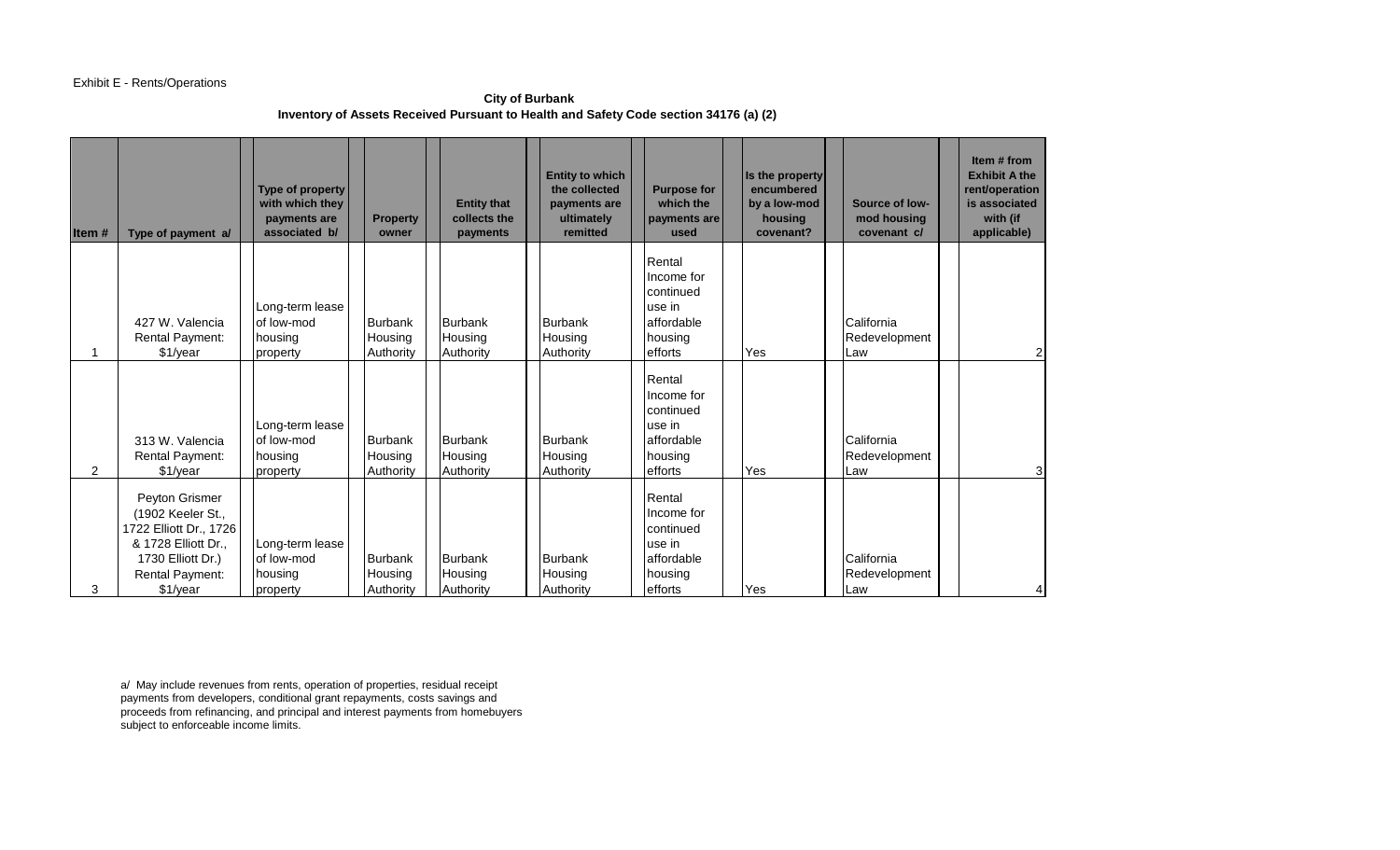# Exhibit E - Rents/Operations

**City of Burbank Inventory of Assets Received Pursuant to Health and Safety Code section 34176 (a) (2)** 

| Item # | Type of payment a/                                                                                                                              | Type of property<br>with which they<br>payments are<br>associated b/ | <b>Property</b><br>owner               | <b>Entity that</b><br>collects the<br>payments | <b>Entity to which</b><br>the collected<br>payments are<br>ultimately<br>remitted | <b>Purpose for</b><br>which the<br>payments are<br>used                         | Is the property<br>encumbered<br>by a low-mod<br>housing<br>covenant? | Source of low-<br>mod housing<br>covenant c/ | Item # from<br><b>Exhibit A the</b><br>rent/operation<br>is associated<br>with (if<br>applicable) |
|--------|-------------------------------------------------------------------------------------------------------------------------------------------------|----------------------------------------------------------------------|----------------------------------------|------------------------------------------------|-----------------------------------------------------------------------------------|---------------------------------------------------------------------------------|-----------------------------------------------------------------------|----------------------------------------------|---------------------------------------------------------------------------------------------------|
|        | 427 W. Valencia<br><b>Rental Payment:</b><br>\$1/year                                                                                           | Long-term lease<br>of low-mod<br>housing<br>property                 | Burbank<br>Housing<br>Authority        | Burbank<br>Housing<br>Authority                | Burbank<br>Housing<br>Authority                                                   | Rental<br>Income for<br>continued<br>use in<br>affordable<br>housing<br>efforts | Yes                                                                   | California<br>Redevelopment<br>Law           | $\overline{2}$                                                                                    |
| 2      | 313 W. Valencia<br><b>Rental Payment:</b><br>\$1/year                                                                                           | Long-term lease<br>of low-mod<br>housing<br>property                 | Burbank<br>Housing<br>Authority        | <b>Burbank</b><br>Housing<br>Authority         | Burbank<br>Housing<br>Authority                                                   | Rental<br>Income for<br>continued<br>use in<br>affordable<br>housing<br>efforts | Yes                                                                   | California<br>Redevelopment<br>Law           | 3                                                                                                 |
| 3      | Peyton Grismer<br>(1902 Keeler St.,<br>1722 Elliott Dr., 1726<br>& 1728 Elliott Dr.,<br>1730 Elliott Dr.)<br><b>Rental Payment:</b><br>\$1/year | Long-term lease<br>of low-mod<br>housing<br>property                 | <b>Burbank</b><br>Housing<br>Authority | Burbank<br>Housing<br>Authority                | Burbank<br>Housing<br>Authority                                                   | Rental<br>Income for<br>continued<br>use in<br>affordable<br>housing<br>efforts | Yes                                                                   | California<br>Redevelopment<br>Law           | 4                                                                                                 |

a/ May include revenues from rents, operation of properties, residual receipt payments from developers, conditional grant repayments, costs savings and proceeds from refinancing, and principal and interest payments from homebuyers subject to enforceable income limits.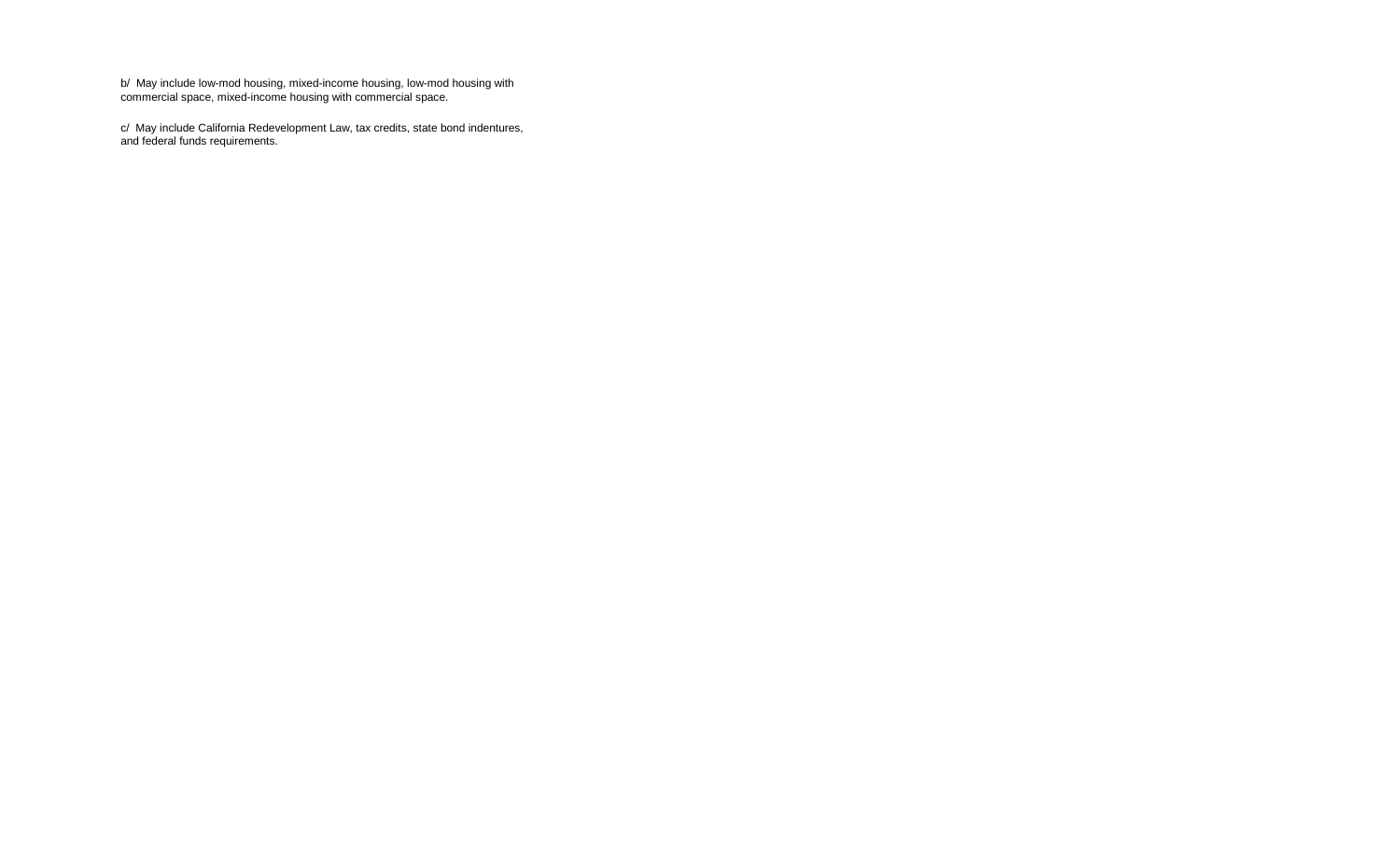b/ May include low-mod housing, mixed-income housing, low-mod housing with commercial space, mixed-income housing with commercial space.

c/ May include California Redevelopment Law, tax credits, state bond indentures, and federal funds requirements.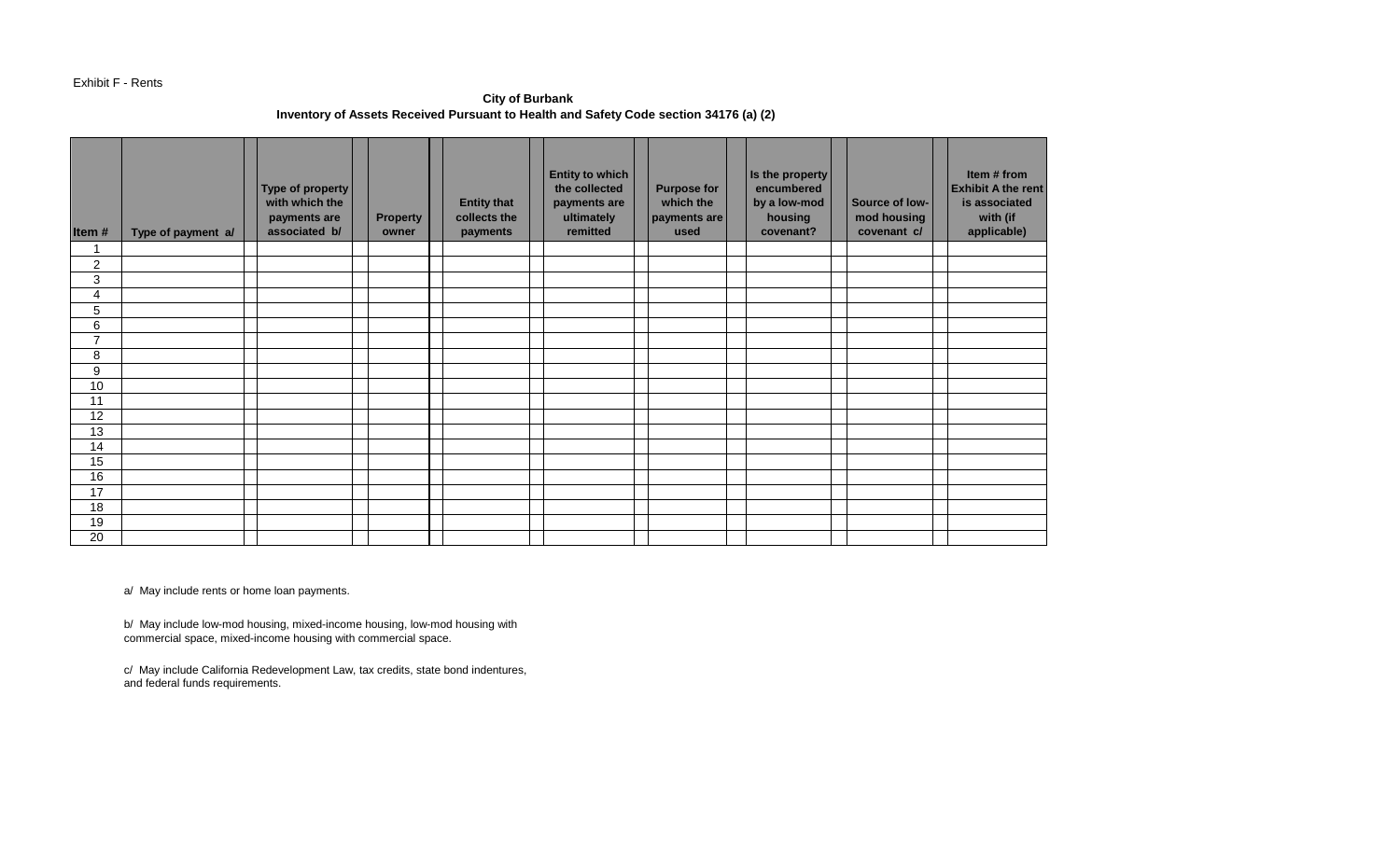### Exhibit F - Rents

**City of Burbank Inventory of Assets Received Pursuant to Health and Safety Code section 34176 (a) (2)** 

| Item#            | Type of payment a/ | Type of property<br>with which the<br>payments are<br>associated b/ | <b>Property</b><br>owner | <b>Entity that</b><br>collects the<br>payments | <b>Entity to which</b><br>the collected<br>payments are<br>ultimately<br>remitted | <b>Purpose for</b><br>which the<br>payments are<br>used | Is the property<br>encumbered<br>by a low-mod<br>housing<br>covenant? | Source of low-<br>mod housing<br>covenant c/ | Item # from<br><b>Exhibit A the rent</b><br>is associated<br>with (if<br>applicable) |
|------------------|--------------------|---------------------------------------------------------------------|--------------------------|------------------------------------------------|-----------------------------------------------------------------------------------|---------------------------------------------------------|-----------------------------------------------------------------------|----------------------------------------------|--------------------------------------------------------------------------------------|
| 1                |                    |                                                                     |                          |                                                |                                                                                   |                                                         |                                                                       |                                              |                                                                                      |
| $\boldsymbol{2}$ |                    |                                                                     |                          |                                                |                                                                                   |                                                         |                                                                       |                                              |                                                                                      |
| $\mathfrak{S}$   |                    |                                                                     |                          |                                                |                                                                                   |                                                         |                                                                       |                                              |                                                                                      |
| 4                |                    |                                                                     |                          |                                                |                                                                                   |                                                         |                                                                       |                                              |                                                                                      |
| $\sqrt{5}$       |                    |                                                                     |                          |                                                |                                                                                   |                                                         |                                                                       |                                              |                                                                                      |
| 6                |                    |                                                                     |                          |                                                |                                                                                   |                                                         |                                                                       |                                              |                                                                                      |
| $\overline{7}$   |                    |                                                                     |                          |                                                |                                                                                   |                                                         |                                                                       |                                              |                                                                                      |
| 8                |                    |                                                                     |                          |                                                |                                                                                   |                                                         |                                                                       |                                              |                                                                                      |
| 9                |                    |                                                                     |                          |                                                |                                                                                   |                                                         |                                                                       |                                              |                                                                                      |
| 10               |                    |                                                                     |                          |                                                |                                                                                   |                                                         |                                                                       |                                              |                                                                                      |
| 11               |                    |                                                                     |                          |                                                |                                                                                   |                                                         |                                                                       |                                              |                                                                                      |
| 12               |                    |                                                                     |                          |                                                |                                                                                   |                                                         |                                                                       |                                              |                                                                                      |
| 13               |                    |                                                                     |                          |                                                |                                                                                   |                                                         |                                                                       |                                              |                                                                                      |
| 14               |                    |                                                                     |                          |                                                |                                                                                   |                                                         |                                                                       |                                              |                                                                                      |
| 15               |                    |                                                                     |                          |                                                |                                                                                   |                                                         |                                                                       |                                              |                                                                                      |
| 16               |                    |                                                                     |                          |                                                |                                                                                   |                                                         |                                                                       |                                              |                                                                                      |
| 17               |                    |                                                                     |                          |                                                |                                                                                   |                                                         |                                                                       |                                              |                                                                                      |
| 18               |                    |                                                                     |                          |                                                |                                                                                   |                                                         |                                                                       |                                              |                                                                                      |
| 19               |                    |                                                                     |                          |                                                |                                                                                   |                                                         |                                                                       |                                              |                                                                                      |
| 20               |                    |                                                                     |                          |                                                |                                                                                   |                                                         |                                                                       |                                              |                                                                                      |

a/ May include rents or home loan payments.

b/ May include low-mod housing, mixed-income housing, low-mod housing with commercial space, mixed-income housing with commercial space.

c/ May include California Redevelopment Law, tax credits, state bond indentures, and federal funds requirements.